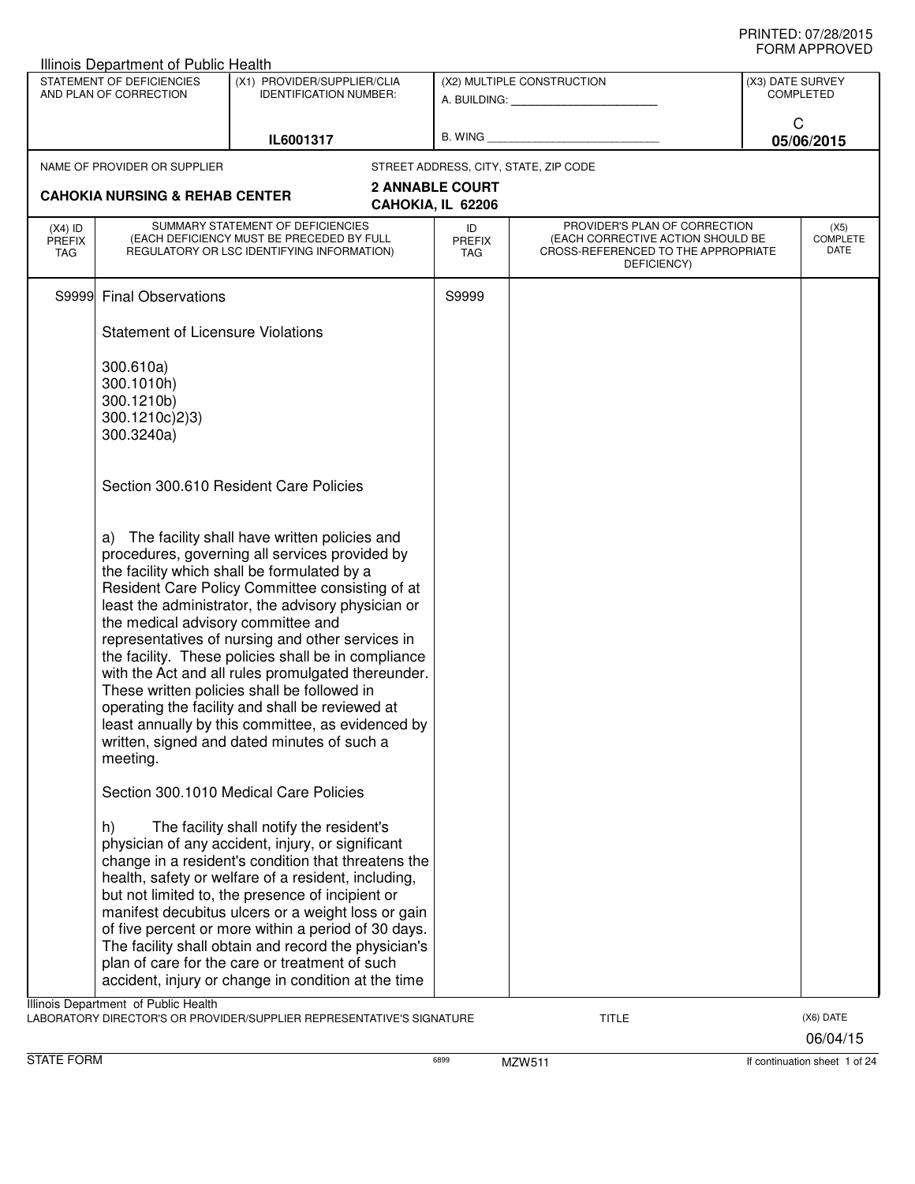|                                          | STATEMENT OF DEFICIENCIES<br>AND PLAN OF CORRECTION                   | (X1) PROVIDER/SUPPLIER/CLIA<br><b>IDENTIFICATION NUMBER:</b>                                                                                                                                                                                                                                                                                                                                                                                                                                                                                                                                                                     |                                       | (X2) MULTIPLE CONSTRUCTION                                                              | (X3) DATE SURVEY<br><b>COMPLETED</b> |
|------------------------------------------|-----------------------------------------------------------------------|----------------------------------------------------------------------------------------------------------------------------------------------------------------------------------------------------------------------------------------------------------------------------------------------------------------------------------------------------------------------------------------------------------------------------------------------------------------------------------------------------------------------------------------------------------------------------------------------------------------------------------|---------------------------------------|-----------------------------------------------------------------------------------------|--------------------------------------|
|                                          |                                                                       |                                                                                                                                                                                                                                                                                                                                                                                                                                                                                                                                                                                                                                  |                                       |                                                                                         | C                                    |
|                                          |                                                                       | IL6001317                                                                                                                                                                                                                                                                                                                                                                                                                                                                                                                                                                                                                        |                                       |                                                                                         | 05/06/2015                           |
|                                          | NAME OF PROVIDER OR SUPPLIER                                          |                                                                                                                                                                                                                                                                                                                                                                                                                                                                                                                                                                                                                                  | STREET ADDRESS, CITY, STATE, ZIP CODE |                                                                                         |                                      |
|                                          | <b>CAHOKIA NURSING &amp; REHAB CENTER</b>                             |                                                                                                                                                                                                                                                                                                                                                                                                                                                                                                                                                                                                                                  | <b>2 ANNABLE COURT</b>                |                                                                                         |                                      |
|                                          |                                                                       | SUMMARY STATEMENT OF DEFICIENCIES                                                                                                                                                                                                                                                                                                                                                                                                                                                                                                                                                                                                | CAHOKIA, IL 62206                     | PROVIDER'S PLAN OF CORRECTION                                                           |                                      |
| $(X4)$ ID<br><b>PREFIX</b><br><b>TAG</b> |                                                                       | (EACH DEFICIENCY MUST BE PRECEDED BY FULL<br>REGULATORY OR LSC IDENTIFYING INFORMATION)                                                                                                                                                                                                                                                                                                                                                                                                                                                                                                                                          | ID<br><b>PREFIX</b><br>TAG            | (EACH CORRECTIVE ACTION SHOULD BE<br>CROSS-REFERENCED TO THE APPROPRIATE<br>DEFICIENCY) | (X5)<br>COMPLETE<br>DATE             |
|                                          | S9999 Final Observations                                              |                                                                                                                                                                                                                                                                                                                                                                                                                                                                                                                                                                                                                                  | S9999                                 |                                                                                         |                                      |
|                                          | <b>Statement of Licensure Violations</b>                              |                                                                                                                                                                                                                                                                                                                                                                                                                                                                                                                                                                                                                                  |                                       |                                                                                         |                                      |
|                                          | 300.610a)<br>300.1010h)<br>300.1210b)<br>300.1210c)2)3)<br>300.3240a) |                                                                                                                                                                                                                                                                                                                                                                                                                                                                                                                                                                                                                                  |                                       |                                                                                         |                                      |
|                                          |                                                                       | Section 300.610 Resident Care Policies                                                                                                                                                                                                                                                                                                                                                                                                                                                                                                                                                                                           |                                       |                                                                                         |                                      |
|                                          | the medical advisory committee and<br>meeting.                        | a) The facility shall have written policies and<br>procedures, governing all services provided by<br>the facility which shall be formulated by a<br>Resident Care Policy Committee consisting of at<br>least the administrator, the advisory physician or<br>representatives of nursing and other services in<br>the facility. These policies shall be in compliance<br>with the Act and all rules promulgated thereunder.<br>These written policies shall be followed in<br>operating the facility and shall be reviewed at<br>least annually by this committee, as evidenced by<br>written, signed and dated minutes of such a |                                       |                                                                                         |                                      |
|                                          | h)                                                                    | Section 300.1010 Medical Care Policies<br>The facility shall notify the resident's<br>physician of any accident, injury, or significant<br>change in a resident's condition that threatens the<br>health, safety or welfare of a resident, including,<br>but not limited to, the presence of incipient or<br>manifest decubitus ulcers or a weight loss or gain<br>of five percent or more within a period of 30 days.<br>The facility shall obtain and record the physician's<br>plan of care for the care or treatment of such<br>accident, injury or change in condition at the time                                          |                                       |                                                                                         |                                      |
|                                          | Illinois Department of Public Health                                  |                                                                                                                                                                                                                                                                                                                                                                                                                                                                                                                                                                                                                                  |                                       |                                                                                         |                                      |
|                                          |                                                                       | LABORATORY DIRECTOR'S OR PROVIDER/SUPPLIER REPRESENTATIVE'S SIGNATURE                                                                                                                                                                                                                                                                                                                                                                                                                                                                                                                                                            |                                       | <b>TITLE</b>                                                                            | (X6) DATE<br>06/04/15                |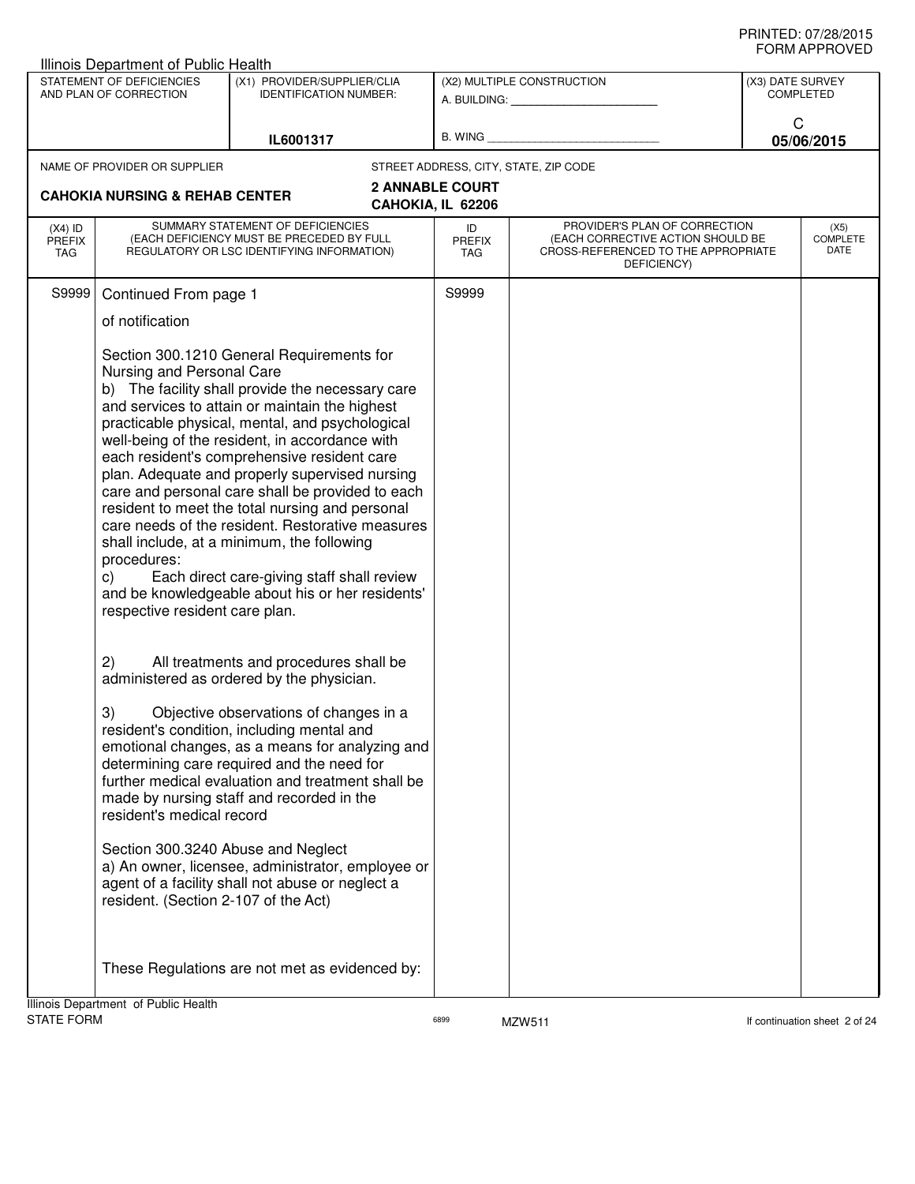|                                          | <b>Illinois Department of Public Health</b><br>STATEMENT OF DEFICIENCIES<br>AND PLAN OF CORRECTION                                                                                                                                                                                                                                                                                                                                                                                                                                                                                                                                                                                                                                                       |                                   | (X1) PROVIDER/SUPPLIER/CLIA<br><b>IDENTIFICATION NUMBER:</b>                         |                                             | (X2) MULTIPLE CONSTRUCTION                                                                                               |                 | (X3) DATE SURVEY<br><b>COMPLETED</b> |
|------------------------------------------|----------------------------------------------------------------------------------------------------------------------------------------------------------------------------------------------------------------------------------------------------------------------------------------------------------------------------------------------------------------------------------------------------------------------------------------------------------------------------------------------------------------------------------------------------------------------------------------------------------------------------------------------------------------------------------------------------------------------------------------------------------|-----------------------------------|--------------------------------------------------------------------------------------|---------------------------------------------|--------------------------------------------------------------------------------------------------------------------------|-----------------|--------------------------------------|
|                                          |                                                                                                                                                                                                                                                                                                                                                                                                                                                                                                                                                                                                                                                                                                                                                          | IL6001317                         |                                                                                      |                                             |                                                                                                                          | C<br>05/06/2015 |                                      |
|                                          | NAME OF PROVIDER OR SUPPLIER                                                                                                                                                                                                                                                                                                                                                                                                                                                                                                                                                                                                                                                                                                                             |                                   |                                                                                      |                                             | STREET ADDRESS, CITY, STATE, ZIP CODE                                                                                    |                 |                                      |
|                                          | <b>CAHOKIA NURSING &amp; REHAB CENTER</b>                                                                                                                                                                                                                                                                                                                                                                                                                                                                                                                                                                                                                                                                                                                |                                   |                                                                                      | <b>2 ANNABLE COURT</b><br>CAHOKIA, IL 62206 |                                                                                                                          |                 |                                      |
| $(X4)$ ID<br><b>PREFIX</b><br><b>TAG</b> | (EACH DEFICIENCY MUST BE PRECEDED BY FULL<br>REGULATORY OR LSC IDENTIFYING INFORMATION)                                                                                                                                                                                                                                                                                                                                                                                                                                                                                                                                                                                                                                                                  | SUMMARY STATEMENT OF DEFICIENCIES |                                                                                      | ID<br><b>PREFIX</b><br><b>TAG</b>           | PROVIDER'S PLAN OF CORRECTION<br>(EACH CORRECTIVE ACTION SHOULD BE<br>CROSS-REFERENCED TO THE APPROPRIATE<br>DEFICIENCY) |                 | (X5)<br><b>COMPLETE</b><br>DATE      |
| S9999                                    | Continued From page 1<br>of notification<br>Section 300.1210 General Requirements for<br>Nursing and Personal Care<br>b) The facility shall provide the necessary care<br>and services to attain or maintain the highest<br>practicable physical, mental, and psychological<br>well-being of the resident, in accordance with<br>each resident's comprehensive resident care<br>plan. Adequate and properly supervised nursing<br>care and personal care shall be provided to each<br>resident to meet the total nursing and personal<br>care needs of the resident. Restorative measures<br>shall include, at a minimum, the following<br>procedures:<br>C)<br>and be knowledgeable about his or her residents'<br>respective resident care plan.<br>2) |                                   | Each direct care-giving staff shall review<br>All treatments and procedures shall be | S9999                                       |                                                                                                                          |                 |                                      |
|                                          | administered as ordered by the physician.<br>3)<br>resident's condition, including mental and<br>emotional changes, as a means for analyzing and<br>determining care required and the need for<br>further medical evaluation and treatment shall be<br>made by nursing staff and recorded in the<br>resident's medical record<br>Section 300.3240 Abuse and Neglect<br>a) An owner, licensee, administrator, employee or<br>agent of a facility shall not abuse or neglect a<br>resident. (Section 2-107 of the Act)                                                                                                                                                                                                                                     |                                   | Objective observations of changes in a                                               |                                             |                                                                                                                          |                 |                                      |
|                                          | These Regulations are not met as evidenced by:                                                                                                                                                                                                                                                                                                                                                                                                                                                                                                                                                                                                                                                                                                           |                                   |                                                                                      |                                             |                                                                                                                          |                 |                                      |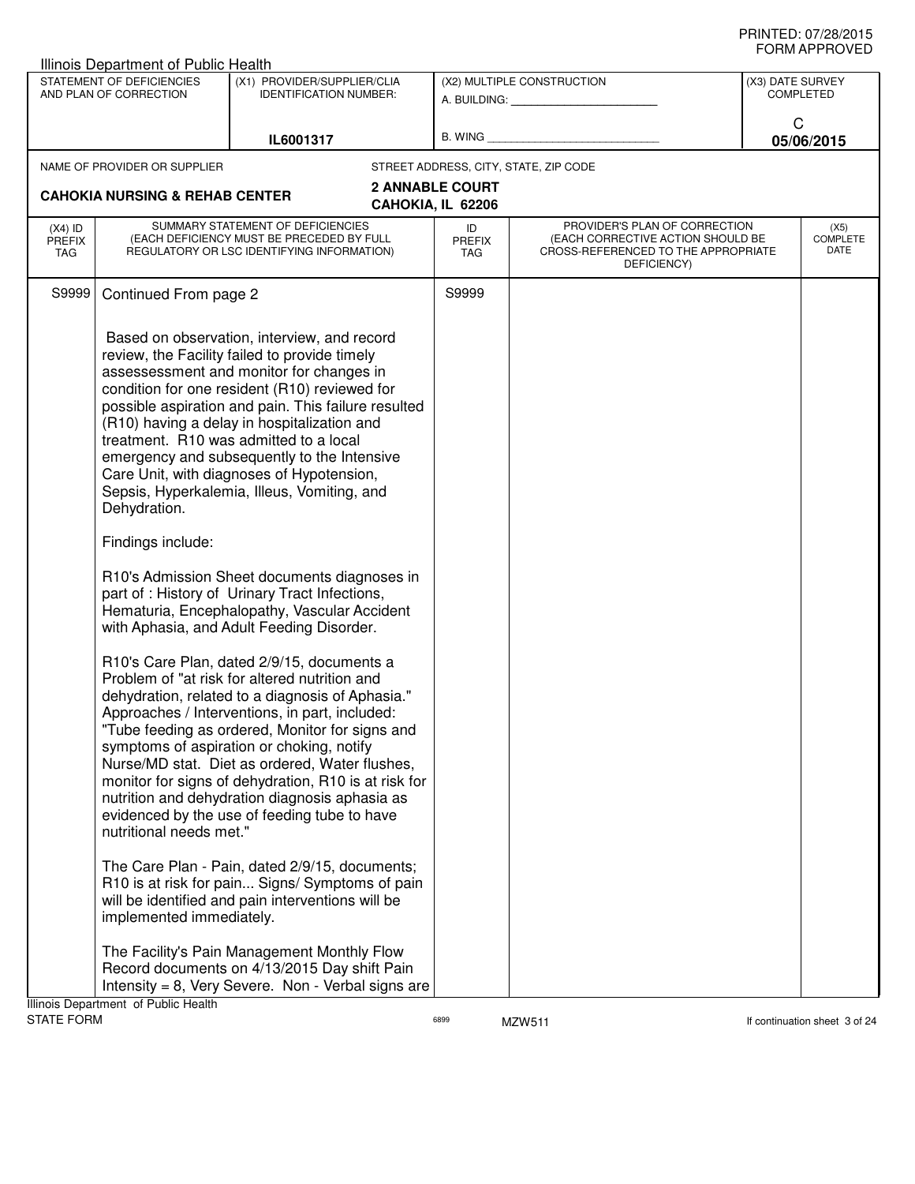|                                   | Illinois Department of Public Health                                                                                         |                                                                                                                                                                                                                                                                                                                                                                                                                                                                                                                                                                                                                                                                                                                                                                                                                                                                                                                                                                                                                                                                                                                                                                                                                                                                                                                                                                                                                                                                                                                        |                            |                                                                                                                          |                                      |                          |
|-----------------------------------|------------------------------------------------------------------------------------------------------------------------------|------------------------------------------------------------------------------------------------------------------------------------------------------------------------------------------------------------------------------------------------------------------------------------------------------------------------------------------------------------------------------------------------------------------------------------------------------------------------------------------------------------------------------------------------------------------------------------------------------------------------------------------------------------------------------------------------------------------------------------------------------------------------------------------------------------------------------------------------------------------------------------------------------------------------------------------------------------------------------------------------------------------------------------------------------------------------------------------------------------------------------------------------------------------------------------------------------------------------------------------------------------------------------------------------------------------------------------------------------------------------------------------------------------------------------------------------------------------------------------------------------------------------|----------------------------|--------------------------------------------------------------------------------------------------------------------------|--------------------------------------|--------------------------|
|                                   | STATEMENT OF DEFICIENCIES<br>AND PLAN OF CORRECTION                                                                          | (X1) PROVIDER/SUPPLIER/CLIA<br><b>IDENTIFICATION NUMBER:</b>                                                                                                                                                                                                                                                                                                                                                                                                                                                                                                                                                                                                                                                                                                                                                                                                                                                                                                                                                                                                                                                                                                                                                                                                                                                                                                                                                                                                                                                           |                            | (X2) MULTIPLE CONSTRUCTION<br>A. BUILDING: A. BUILDING:                                                                  | (X3) DATE SURVEY<br><b>COMPLETED</b> |                          |
|                                   |                                                                                                                              | IL6001317                                                                                                                                                                                                                                                                                                                                                                                                                                                                                                                                                                                                                                                                                                                                                                                                                                                                                                                                                                                                                                                                                                                                                                                                                                                                                                                                                                                                                                                                                                              | B. WING                    |                                                                                                                          | C<br>05/06/2015                      |                          |
|                                   | NAME OF PROVIDER OR SUPPLIER                                                                                                 |                                                                                                                                                                                                                                                                                                                                                                                                                                                                                                                                                                                                                                                                                                                                                                                                                                                                                                                                                                                                                                                                                                                                                                                                                                                                                                                                                                                                                                                                                                                        |                            | STREET ADDRESS, CITY, STATE, ZIP CODE                                                                                    |                                      |                          |
|                                   | <b>2 ANNABLE COURT</b><br><b>CAHOKIA NURSING &amp; REHAB CENTER</b><br>CAHOKIA, IL 62206                                     |                                                                                                                                                                                                                                                                                                                                                                                                                                                                                                                                                                                                                                                                                                                                                                                                                                                                                                                                                                                                                                                                                                                                                                                                                                                                                                                                                                                                                                                                                                                        |                            |                                                                                                                          |                                      |                          |
| $(X4)$ ID<br><b>PREFIX</b><br>TAG | SUMMARY STATEMENT OF DEFICIENCIES<br>(EACH DEFICIENCY MUST BE PRECEDED BY FULL<br>REGULATORY OR LSC IDENTIFYING INFORMATION) |                                                                                                                                                                                                                                                                                                                                                                                                                                                                                                                                                                                                                                                                                                                                                                                                                                                                                                                                                                                                                                                                                                                                                                                                                                                                                                                                                                                                                                                                                                                        | ID<br><b>PREFIX</b><br>TAG | PROVIDER'S PLAN OF CORRECTION<br>(EACH CORRECTIVE ACTION SHOULD BE<br>CROSS-REFERENCED TO THE APPROPRIATE<br>DEFICIENCY) |                                      | (X5)<br>COMPLETE<br>DATE |
| S9999                             | Continued From page 2                                                                                                        |                                                                                                                                                                                                                                                                                                                                                                                                                                                                                                                                                                                                                                                                                                                                                                                                                                                                                                                                                                                                                                                                                                                                                                                                                                                                                                                                                                                                                                                                                                                        | S9999                      |                                                                                                                          |                                      |                          |
|                                   | Dehydration.<br>Findings include:<br>nutritional needs met."<br>implemented immediately.                                     | Based on observation, interview, and record<br>review, the Facility failed to provide timely<br>assessessment and monitor for changes in<br>condition for one resident (R10) reviewed for<br>possible aspiration and pain. This failure resulted<br>(R10) having a delay in hospitalization and<br>treatment. R10 was admitted to a local<br>emergency and subsequently to the Intensive<br>Care Unit, with diagnoses of Hypotension,<br>Sepsis, Hyperkalemia, Illeus, Vomiting, and<br>R10's Admission Sheet documents diagnoses in<br>part of : History of Urinary Tract Infections,<br>Hematuria, Encephalopathy, Vascular Accident<br>with Aphasia, and Adult Feeding Disorder.<br>R10's Care Plan, dated 2/9/15, documents a<br>Problem of "at risk for altered nutrition and<br>dehydration, related to a diagnosis of Aphasia."<br>Approaches / Interventions, in part, included:<br>"Tube feeding as ordered, Monitor for signs and<br>symptoms of aspiration or choking, notify<br>Nurse/MD stat. Diet as ordered, Water flushes,<br>monitor for signs of dehydration, R10 is at risk for<br>nutrition and dehydration diagnosis aphasia as<br>evidenced by the use of feeding tube to have<br>The Care Plan - Pain, dated 2/9/15, documents;<br>R10 is at risk for pain Signs/ Symptoms of pain<br>will be identified and pain interventions will be<br>The Facility's Pain Management Monthly Flow<br>Record documents on 4/13/2015 Day shift Pain<br>Intensity = $8$ , Very Severe. Non - Verbal signs are |                            |                                                                                                                          |                                      |                          |
|                                   | Illinois Department of Public Health                                                                                         |                                                                                                                                                                                                                                                                                                                                                                                                                                                                                                                                                                                                                                                                                                                                                                                                                                                                                                                                                                                                                                                                                                                                                                                                                                                                                                                                                                                                                                                                                                                        |                            |                                                                                                                          |                                      |                          |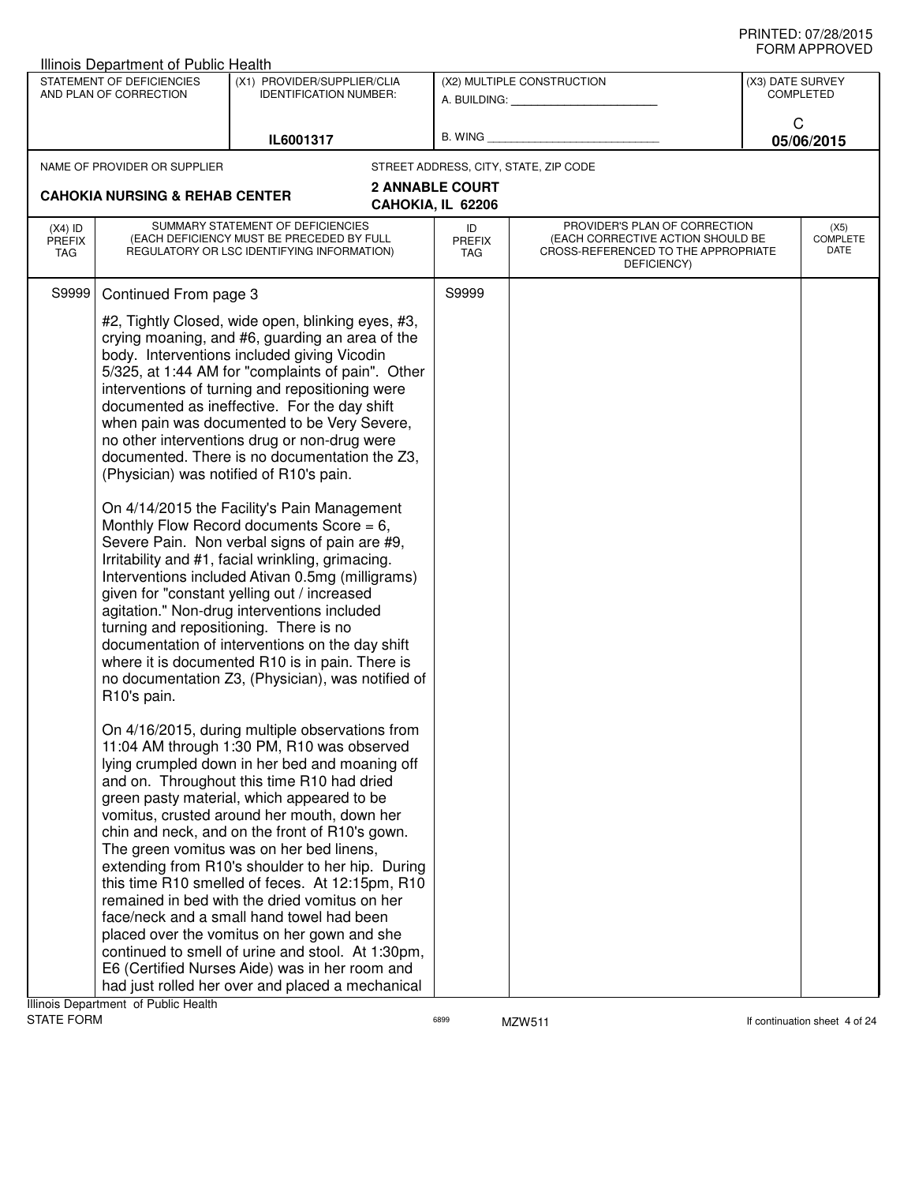|                                   | STATEMENT OF DEFICIENCIES<br>AND PLAN OF CORRECTION | (X1) PROVIDER/SUPPLIER/CLIA<br><b>IDENTIFICATION NUMBER:</b>                                                                                                                                                                                                                                                                                                                                                                                                                                                                                                                                                                                                                                                                                                                                                                                                                                                                                                                                                                                                      |                                             | (X2) MULTIPLE CONSTRUCTION<br>A. BUILDING: ________________                                                              | (X3) DATE SURVEY<br><b>COMPLETED</b> |                                 |  |
|-----------------------------------|-----------------------------------------------------|-------------------------------------------------------------------------------------------------------------------------------------------------------------------------------------------------------------------------------------------------------------------------------------------------------------------------------------------------------------------------------------------------------------------------------------------------------------------------------------------------------------------------------------------------------------------------------------------------------------------------------------------------------------------------------------------------------------------------------------------------------------------------------------------------------------------------------------------------------------------------------------------------------------------------------------------------------------------------------------------------------------------------------------------------------------------|---------------------------------------------|--------------------------------------------------------------------------------------------------------------------------|--------------------------------------|---------------------------------|--|
|                                   |                                                     | IL6001317                                                                                                                                                                                                                                                                                                                                                                                                                                                                                                                                                                                                                                                                                                                                                                                                                                                                                                                                                                                                                                                         |                                             | B. WING <b>Example 2008</b>                                                                                              |                                      | C<br>05/06/2015                 |  |
|                                   |                                                     |                                                                                                                                                                                                                                                                                                                                                                                                                                                                                                                                                                                                                                                                                                                                                                                                                                                                                                                                                                                                                                                                   |                                             |                                                                                                                          |                                      |                                 |  |
|                                   | NAME OF PROVIDER OR SUPPLIER                        |                                                                                                                                                                                                                                                                                                                                                                                                                                                                                                                                                                                                                                                                                                                                                                                                                                                                                                                                                                                                                                                                   | STREET ADDRESS, CITY, STATE, ZIP CODE       |                                                                                                                          |                                      |                                 |  |
|                                   | <b>CAHOKIA NURSING &amp; REHAB CENTER</b>           |                                                                                                                                                                                                                                                                                                                                                                                                                                                                                                                                                                                                                                                                                                                                                                                                                                                                                                                                                                                                                                                                   | <b>2 ANNABLE COURT</b><br>CAHOKIA, IL 62206 |                                                                                                                          |                                      |                                 |  |
| $(X4)$ ID<br><b>PREFIX</b><br>TAG |                                                     | SUMMARY STATEMENT OF DEFICIENCIES<br>(EACH DEFICIENCY MUST BE PRECEDED BY FULL<br>REGULATORY OR LSC IDENTIFYING INFORMATION)                                                                                                                                                                                                                                                                                                                                                                                                                                                                                                                                                                                                                                                                                                                                                                                                                                                                                                                                      | ID<br><b>PREFIX</b><br>TAG                  | PROVIDER'S PLAN OF CORRECTION<br>(EACH CORRECTIVE ACTION SHOULD BE<br>CROSS-REFERENCED TO THE APPROPRIATE<br>DEFICIENCY) |                                      | (X5)<br><b>COMPLETE</b><br>DATE |  |
| S9999                             | Continued From page 3                               |                                                                                                                                                                                                                                                                                                                                                                                                                                                                                                                                                                                                                                                                                                                                                                                                                                                                                                                                                                                                                                                                   | S9999                                       |                                                                                                                          |                                      |                                 |  |
|                                   | R10's pain.                                         | #2, Tightly Closed, wide open, blinking eyes, #3,<br>crying moaning, and #6, guarding an area of the<br>body. Interventions included giving Vicodin<br>5/325, at 1:44 AM for "complaints of pain". Other<br>interventions of turning and repositioning were<br>documented as ineffective. For the day shift<br>when pain was documented to be Very Severe,<br>no other interventions drug or non-drug were<br>documented. There is no documentation the Z3,<br>(Physician) was notified of R10's pain.<br>On 4/14/2015 the Facility's Pain Management<br>Monthly Flow Record documents Score = $6$ ,<br>Severe Pain. Non verbal signs of pain are #9,<br>Irritability and #1, facial wrinkling, grimacing.<br>Interventions included Ativan 0.5mg (milligrams)<br>given for "constant yelling out / increased<br>agitation." Non-drug interventions included<br>turning and repositioning. There is no<br>documentation of interventions on the day shift<br>where it is documented R10 is in pain. There is<br>no documentation Z3, (Physician), was notified of |                                             |                                                                                                                          |                                      |                                 |  |
|                                   |                                                     | On 4/16/2015, during multiple observations from<br>11:04 AM through 1:30 PM, R10 was observed<br>lying crumpled down in her bed and moaning off<br>and on. Throughout this time R10 had dried<br>green pasty material, which appeared to be<br>vomitus, crusted around her mouth, down her<br>chin and neck, and on the front of R10's gown.<br>The green vomitus was on her bed linens,<br>extending from R10's shoulder to her hip. During<br>this time R10 smelled of feces. At 12:15pm, R10<br>remained in bed with the dried vomitus on her<br>face/neck and a small hand towel had been<br>placed over the vomitus on her gown and she<br>continued to smell of urine and stool. At 1:30pm,<br>E6 (Certified Nurses Aide) was in her room and<br>had just rolled her over and placed a mechanical                                                                                                                                                                                                                                                           |                                             |                                                                                                                          |                                      |                                 |  |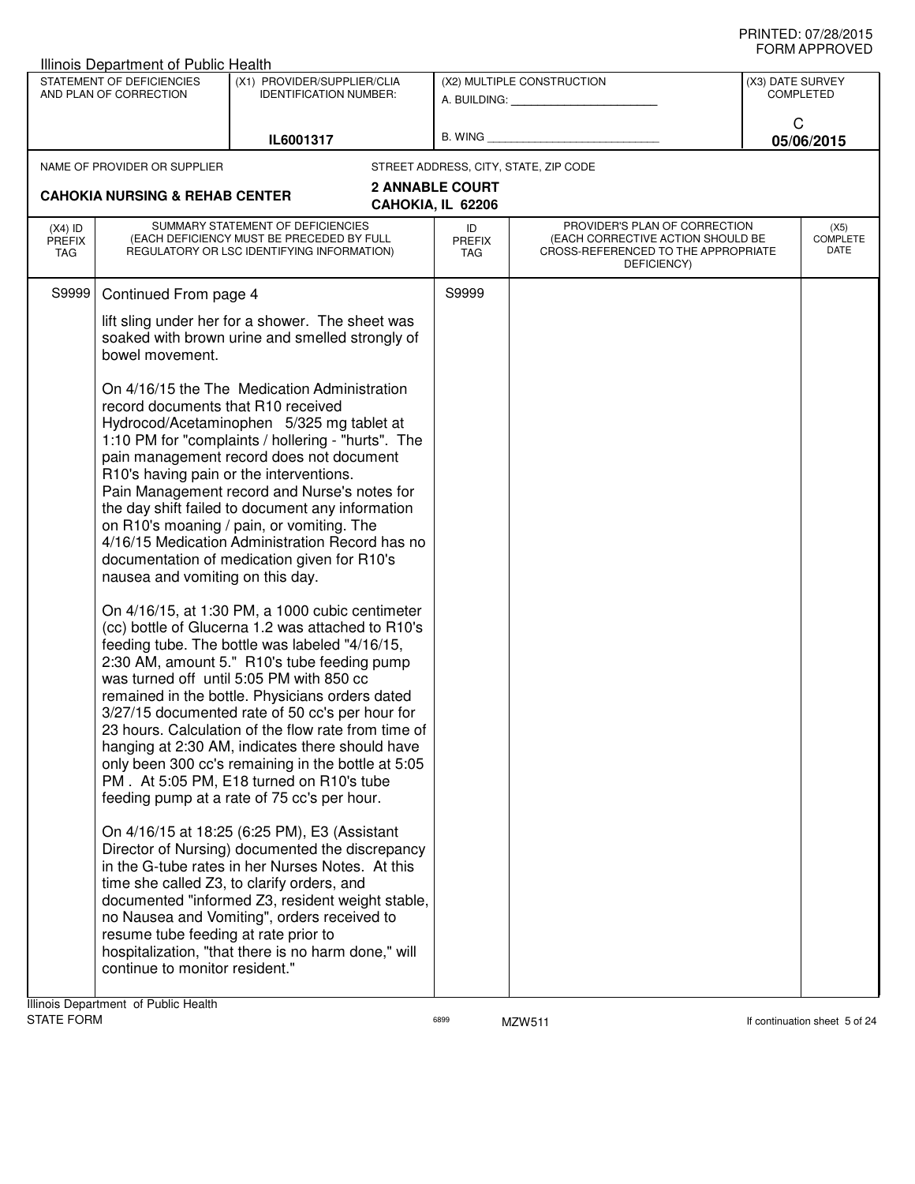|                                   | Illinois Department of Public Health                                                                                                                                                        |                                                                                                                                                                                                                                                                                                                                                                                                                                                                                                                                                                                                                                                                                                                                                                                                                                                                                                                                                                                                                                                                                                                                                                                                                                                                                                                                                                                                                                     |                                             |                                                                                                                          |                                 |                  |
|-----------------------------------|---------------------------------------------------------------------------------------------------------------------------------------------------------------------------------------------|-------------------------------------------------------------------------------------------------------------------------------------------------------------------------------------------------------------------------------------------------------------------------------------------------------------------------------------------------------------------------------------------------------------------------------------------------------------------------------------------------------------------------------------------------------------------------------------------------------------------------------------------------------------------------------------------------------------------------------------------------------------------------------------------------------------------------------------------------------------------------------------------------------------------------------------------------------------------------------------------------------------------------------------------------------------------------------------------------------------------------------------------------------------------------------------------------------------------------------------------------------------------------------------------------------------------------------------------------------------------------------------------------------------------------------------|---------------------------------------------|--------------------------------------------------------------------------------------------------------------------------|---------------------------------|------------------|
|                                   | STATEMENT OF DEFICIENCIES<br>AND PLAN OF CORRECTION                                                                                                                                         | (X1) PROVIDER/SUPPLIER/CLIA<br><b>IDENTIFICATION NUMBER:</b>                                                                                                                                                                                                                                                                                                                                                                                                                                                                                                                                                                                                                                                                                                                                                                                                                                                                                                                                                                                                                                                                                                                                                                                                                                                                                                                                                                        |                                             | (X2) MULTIPLE CONSTRUCTION                                                                                               | (X3) DATE SURVEY                | <b>COMPLETED</b> |
|                                   |                                                                                                                                                                                             | IL6001317                                                                                                                                                                                                                                                                                                                                                                                                                                                                                                                                                                                                                                                                                                                                                                                                                                                                                                                                                                                                                                                                                                                                                                                                                                                                                                                                                                                                                           |                                             | B. WING <b>Example 2008</b>                                                                                              | C                               | 05/06/2015       |
|                                   | NAME OF PROVIDER OR SUPPLIER                                                                                                                                                                |                                                                                                                                                                                                                                                                                                                                                                                                                                                                                                                                                                                                                                                                                                                                                                                                                                                                                                                                                                                                                                                                                                                                                                                                                                                                                                                                                                                                                                     |                                             | STREET ADDRESS, CITY, STATE, ZIP CODE                                                                                    |                                 |                  |
|                                   | <b>CAHOKIA NURSING &amp; REHAB CENTER</b>                                                                                                                                                   |                                                                                                                                                                                                                                                                                                                                                                                                                                                                                                                                                                                                                                                                                                                                                                                                                                                                                                                                                                                                                                                                                                                                                                                                                                                                                                                                                                                                                                     | <b>2 ANNABLE COURT</b><br>CAHOKIA, IL 62206 |                                                                                                                          |                                 |                  |
| $(X4)$ ID<br><b>PREFIX</b><br>TAG |                                                                                                                                                                                             | SUMMARY STATEMENT OF DEFICIENCIES<br>(EACH DEFICIENCY MUST BE PRECEDED BY FULL<br>REGULATORY OR LSC IDENTIFYING INFORMATION)                                                                                                                                                                                                                                                                                                                                                                                                                                                                                                                                                                                                                                                                                                                                                                                                                                                                                                                                                                                                                                                                                                                                                                                                                                                                                                        | ID<br><b>PREFIX</b><br>TAG                  | PROVIDER'S PLAN OF CORRECTION<br>(EACH CORRECTIVE ACTION SHOULD BE<br>CROSS-REFERENCED TO THE APPROPRIATE<br>DEFICIENCY) | (X5)<br><b>COMPLETE</b><br>DATE |                  |
| S9999                             | Continued From page 4                                                                                                                                                                       |                                                                                                                                                                                                                                                                                                                                                                                                                                                                                                                                                                                                                                                                                                                                                                                                                                                                                                                                                                                                                                                                                                                                                                                                                                                                                                                                                                                                                                     | S9999                                       |                                                                                                                          |                                 |                  |
|                                   | lift sling under her for a shower. The sheet was<br>soaked with brown urine and smelled strongly of<br>bowel movement.                                                                      |                                                                                                                                                                                                                                                                                                                                                                                                                                                                                                                                                                                                                                                                                                                                                                                                                                                                                                                                                                                                                                                                                                                                                                                                                                                                                                                                                                                                                                     |                                             |                                                                                                                          |                                 |                  |
|                                   | record documents that R10 received<br>R10's having pain or the interventions.<br>nausea and vomiting on this day.<br>resume tube feeding at rate prior to<br>continue to monitor resident." | On 4/16/15 the The Medication Administration<br>Hydrocod/Acetaminophen 5/325 mg tablet at<br>1:10 PM for "complaints / hollering - "hurts". The<br>pain management record does not document<br>Pain Management record and Nurse's notes for<br>the day shift failed to document any information<br>on R10's moaning / pain, or vomiting. The<br>4/16/15 Medication Administration Record has no<br>documentation of medication given for R10's<br>On 4/16/15, at 1:30 PM, a 1000 cubic centimeter<br>(cc) bottle of Glucerna 1.2 was attached to R10's<br>feeding tube. The bottle was labeled "4/16/15,<br>2:30 AM, amount 5." R10's tube feeding pump<br>was turned off until 5:05 PM with 850 cc<br>remained in the bottle. Physicians orders dated<br>3/27/15 documented rate of 50 cc's per hour for<br>23 hours. Calculation of the flow rate from time of<br>hanging at 2:30 AM, indicates there should have<br>only been 300 cc's remaining in the bottle at 5:05<br>PM. At 5:05 PM, E18 turned on R10's tube<br>feeding pump at a rate of 75 cc's per hour.<br>On 4/16/15 at 18:25 (6:25 PM), E3 (Assistant<br>Director of Nursing) documented the discrepancy<br>in the G-tube rates in her Nurses Notes. At this<br>time she called Z3, to clarify orders, and<br>documented "informed Z3, resident weight stable,<br>no Nausea and Vomiting", orders received to<br>hospitalization, "that there is no harm done," will |                                             |                                                                                                                          |                                 |                  |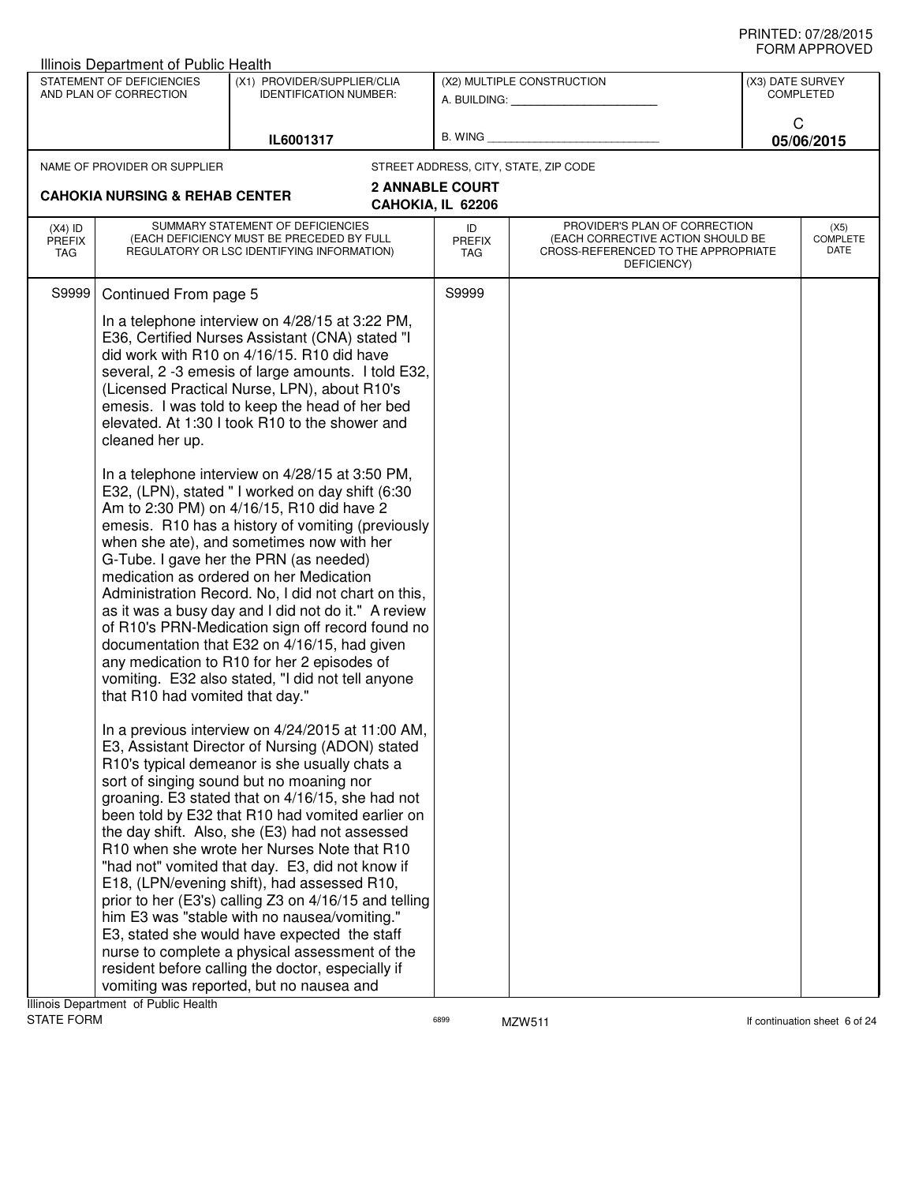|                                          | Illinois Department of Public Health                                        |                                                                                                                                                                                                                                                                                                                                                                                                                                                                                                                                                                                                                                                                                                                                                                                                                                                                                                                                                                                                                                                                                                                                                                                                                                                                                                                                                                                                                                                                                                                                                                                                                                                                                                                                                                                                                                                                                 |                                                                                      |                                                                                                                          |                                 |  |
|------------------------------------------|-----------------------------------------------------------------------------|---------------------------------------------------------------------------------------------------------------------------------------------------------------------------------------------------------------------------------------------------------------------------------------------------------------------------------------------------------------------------------------------------------------------------------------------------------------------------------------------------------------------------------------------------------------------------------------------------------------------------------------------------------------------------------------------------------------------------------------------------------------------------------------------------------------------------------------------------------------------------------------------------------------------------------------------------------------------------------------------------------------------------------------------------------------------------------------------------------------------------------------------------------------------------------------------------------------------------------------------------------------------------------------------------------------------------------------------------------------------------------------------------------------------------------------------------------------------------------------------------------------------------------------------------------------------------------------------------------------------------------------------------------------------------------------------------------------------------------------------------------------------------------------------------------------------------------------------------------------------------------|--------------------------------------------------------------------------------------|--------------------------------------------------------------------------------------------------------------------------|---------------------------------|--|
|                                          | STATEMENT OF DEFICIENCIES<br>AND PLAN OF CORRECTION                         | (X1) PROVIDER/SUPPLIER/CLIA<br><b>IDENTIFICATION NUMBER:</b>                                                                                                                                                                                                                                                                                                                                                                                                                                                                                                                                                                                                                                                                                                                                                                                                                                                                                                                                                                                                                                                                                                                                                                                                                                                                                                                                                                                                                                                                                                                                                                                                                                                                                                                                                                                                                    |                                                                                      | (X2) MULTIPLE CONSTRUCTION                                                                                               | (X3) DATE SURVEY<br>COMPLETED   |  |
|                                          |                                                                             | IL6001317                                                                                                                                                                                                                                                                                                                                                                                                                                                                                                                                                                                                                                                                                                                                                                                                                                                                                                                                                                                                                                                                                                                                                                                                                                                                                                                                                                                                                                                                                                                                                                                                                                                                                                                                                                                                                                                                       |                                                                                      | B. WING <b>Example 20</b>                                                                                                | C<br>05/06/2015                 |  |
|                                          | NAME OF PROVIDER OR SUPPLIER<br><b>CAHOKIA NURSING &amp; REHAB CENTER</b>   |                                                                                                                                                                                                                                                                                                                                                                                                                                                                                                                                                                                                                                                                                                                                                                                                                                                                                                                                                                                                                                                                                                                                                                                                                                                                                                                                                                                                                                                                                                                                                                                                                                                                                                                                                                                                                                                                                 | STREET ADDRESS, CITY, STATE, ZIP CODE<br><b>2 ANNABLE COURT</b><br>CAHOKIA, IL 62206 |                                                                                                                          |                                 |  |
| $(X4)$ ID<br><b>PREFIX</b><br><b>TAG</b> |                                                                             | SUMMARY STATEMENT OF DEFICIENCIES<br>(EACH DEFICIENCY MUST BE PRECEDED BY FULL<br>REGULATORY OR LSC IDENTIFYING INFORMATION)                                                                                                                                                                                                                                                                                                                                                                                                                                                                                                                                                                                                                                                                                                                                                                                                                                                                                                                                                                                                                                                                                                                                                                                                                                                                                                                                                                                                                                                                                                                                                                                                                                                                                                                                                    | ID<br><b>PREFIX</b><br>TAG                                                           | PROVIDER'S PLAN OF CORRECTION<br>(EACH CORRECTIVE ACTION SHOULD BE<br>CROSS-REFERENCED TO THE APPROPRIATE<br>DEFICIENCY) | (X5)<br><b>COMPLETE</b><br>DATE |  |
| S9999                                    | Continued From page 5<br>cleaned her up.<br>that R10 had vomited that day." | In a telephone interview on 4/28/15 at 3:22 PM,<br>E36, Certified Nurses Assistant (CNA) stated "I<br>did work with R10 on 4/16/15. R10 did have<br>several, 2 -3 emesis of large amounts. I told E32,<br>(Licensed Practical Nurse, LPN), about R10's<br>emesis. I was told to keep the head of her bed<br>elevated. At 1:30 I took R10 to the shower and<br>In a telephone interview on 4/28/15 at 3:50 PM,<br>E32, (LPN), stated " I worked on day shift (6:30<br>Am to 2:30 PM) on 4/16/15, R10 did have 2<br>emesis. R10 has a history of vomiting (previously<br>when she ate), and sometimes now with her<br>G-Tube. I gave her the PRN (as needed)<br>medication as ordered on her Medication<br>Administration Record. No, I did not chart on this,<br>as it was a busy day and I did not do it." A review<br>of R10's PRN-Medication sign off record found no<br>documentation that E32 on 4/16/15, had given<br>any medication to R10 for her 2 episodes of<br>vomiting. E32 also stated, "I did not tell anyone<br>In a previous interview on 4/24/2015 at 11:00 AM,<br>E3, Assistant Director of Nursing (ADON) stated<br>R10's typical demeanor is she usually chats a<br>sort of singing sound but no moaning nor<br>groaning. E3 stated that on 4/16/15, she had not<br>been told by E32 that R10 had vomited earlier on<br>the day shift. Also, she (E3) had not assessed<br>R <sub>10</sub> when she wrote her Nurses Note that R <sub>10</sub><br>"had not" vomited that day. E3, did not know if<br>E18, (LPN/evening shift), had assessed R10,<br>prior to her (E3's) calling Z3 on 4/16/15 and telling<br>him E3 was "stable with no nausea/vomiting."<br>E3, stated she would have expected the staff<br>nurse to complete a physical assessment of the<br>resident before calling the doctor, especially if<br>vomiting was reported, but no nausea and | S9999                                                                                |                                                                                                                          |                                 |  |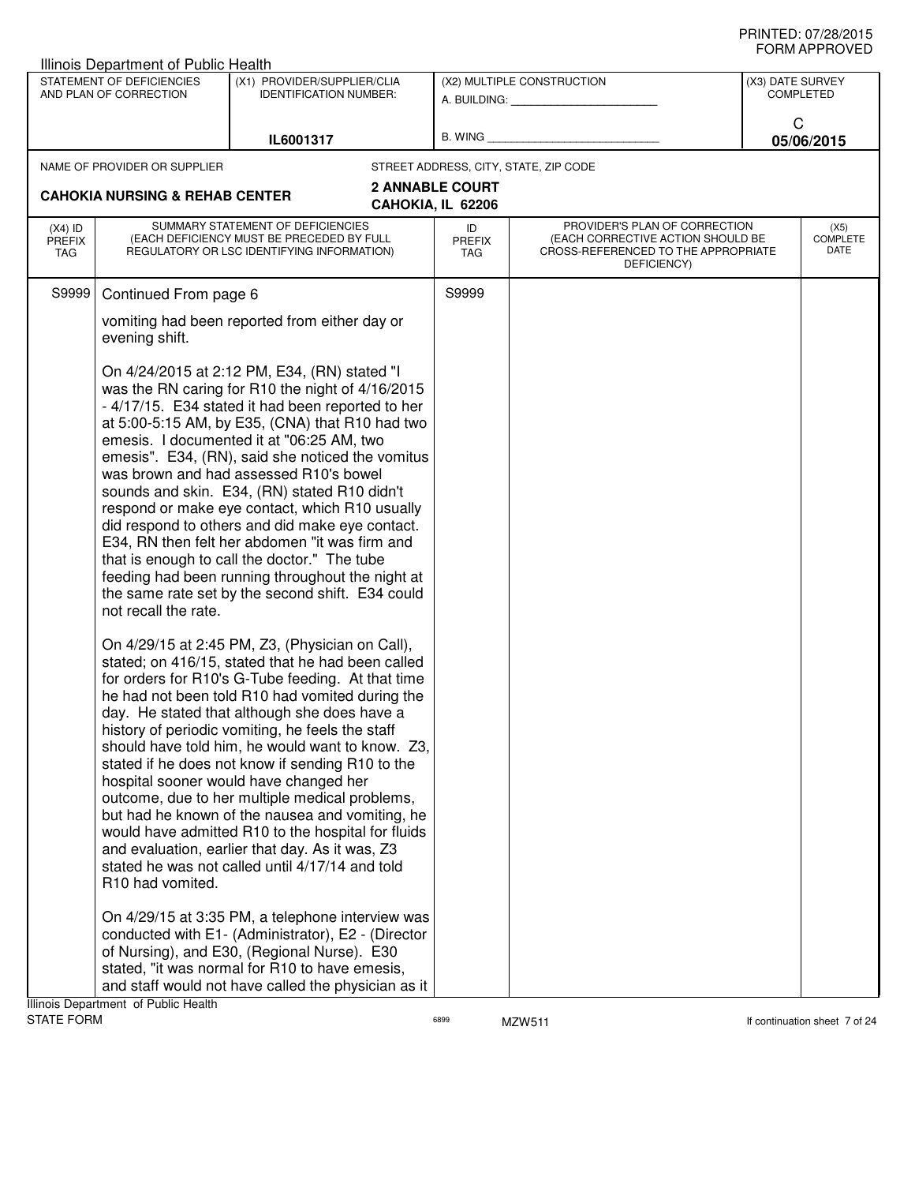|                                   | Illinois Department of Public Health                                                                                         |                                                                                                                                                                                                                                                                                                                                                                                                                                                                                                                                                                                                                                                                                                                                                                                                                                                                                                                                                                                                                                                                                                                                                                                                                                                                                                                                                                                                                                                                                                                                                                                                                                                                                                                             |                                             |                                                                                                                          |                  |                                 |
|-----------------------------------|------------------------------------------------------------------------------------------------------------------------------|-----------------------------------------------------------------------------------------------------------------------------------------------------------------------------------------------------------------------------------------------------------------------------------------------------------------------------------------------------------------------------------------------------------------------------------------------------------------------------------------------------------------------------------------------------------------------------------------------------------------------------------------------------------------------------------------------------------------------------------------------------------------------------------------------------------------------------------------------------------------------------------------------------------------------------------------------------------------------------------------------------------------------------------------------------------------------------------------------------------------------------------------------------------------------------------------------------------------------------------------------------------------------------------------------------------------------------------------------------------------------------------------------------------------------------------------------------------------------------------------------------------------------------------------------------------------------------------------------------------------------------------------------------------------------------------------------------------------------------|---------------------------------------------|--------------------------------------------------------------------------------------------------------------------------|------------------|---------------------------------|
|                                   | STATEMENT OF DEFICIENCIES<br>AND PLAN OF CORRECTION                                                                          | (X1) PROVIDER/SUPPLIER/CLIA<br><b>IDENTIFICATION NUMBER:</b>                                                                                                                                                                                                                                                                                                                                                                                                                                                                                                                                                                                                                                                                                                                                                                                                                                                                                                                                                                                                                                                                                                                                                                                                                                                                                                                                                                                                                                                                                                                                                                                                                                                                |                                             | (X2) MULTIPLE CONSTRUCTION<br>A. BUILDING: A. BUILDING:                                                                  | (X3) DATE SURVEY | <b>COMPLETED</b>                |
|                                   |                                                                                                                              | IL6001317                                                                                                                                                                                                                                                                                                                                                                                                                                                                                                                                                                                                                                                                                                                                                                                                                                                                                                                                                                                                                                                                                                                                                                                                                                                                                                                                                                                                                                                                                                                                                                                                                                                                                                                   | B. WING                                     |                                                                                                                          | C<br>05/06/2015  |                                 |
|                                   | NAME OF PROVIDER OR SUPPLIER                                                                                                 |                                                                                                                                                                                                                                                                                                                                                                                                                                                                                                                                                                                                                                                                                                                                                                                                                                                                                                                                                                                                                                                                                                                                                                                                                                                                                                                                                                                                                                                                                                                                                                                                                                                                                                                             |                                             | STREET ADDRESS, CITY, STATE, ZIP CODE                                                                                    |                  |                                 |
|                                   | <b>CAHOKIA NURSING &amp; REHAB CENTER</b>                                                                                    |                                                                                                                                                                                                                                                                                                                                                                                                                                                                                                                                                                                                                                                                                                                                                                                                                                                                                                                                                                                                                                                                                                                                                                                                                                                                                                                                                                                                                                                                                                                                                                                                                                                                                                                             | <b>2 ANNABLE COURT</b><br>CAHOKIA, IL 62206 |                                                                                                                          |                  |                                 |
| $(X4)$ ID<br><b>PREFIX</b><br>TAG | SUMMARY STATEMENT OF DEFICIENCIES<br>(EACH DEFICIENCY MUST BE PRECEDED BY FULL<br>REGULATORY OR LSC IDENTIFYING INFORMATION) |                                                                                                                                                                                                                                                                                                                                                                                                                                                                                                                                                                                                                                                                                                                                                                                                                                                                                                                                                                                                                                                                                                                                                                                                                                                                                                                                                                                                                                                                                                                                                                                                                                                                                                                             | ID<br><b>PREFIX</b><br>TAG                  | PROVIDER'S PLAN OF CORRECTION<br>(EACH CORRECTIVE ACTION SHOULD BE<br>CROSS-REFERENCED TO THE APPROPRIATE<br>DEFICIENCY) |                  | (X5)<br><b>COMPLETE</b><br>DATE |
| S9999                             | Continued From page 6                                                                                                        |                                                                                                                                                                                                                                                                                                                                                                                                                                                                                                                                                                                                                                                                                                                                                                                                                                                                                                                                                                                                                                                                                                                                                                                                                                                                                                                                                                                                                                                                                                                                                                                                                                                                                                                             | S9999                                       |                                                                                                                          |                  |                                 |
|                                   | evening shift.                                                                                                               | vomiting had been reported from either day or                                                                                                                                                                                                                                                                                                                                                                                                                                                                                                                                                                                                                                                                                                                                                                                                                                                                                                                                                                                                                                                                                                                                                                                                                                                                                                                                                                                                                                                                                                                                                                                                                                                                               |                                             |                                                                                                                          |                  |                                 |
|                                   | not recall the rate.<br>R10 had vomited.<br>Illinois Department of Public Health                                             | On 4/24/2015 at 2:12 PM, E34, (RN) stated "I<br>was the RN caring for R10 the night of 4/16/2015<br>- 4/17/15. E34 stated it had been reported to her<br>at 5:00-5:15 AM, by E35, (CNA) that R10 had two<br>emesis. I documented it at "06:25 AM, two<br>emesis". E34, (RN), said she noticed the vomitus<br>was brown and had assessed R10's bowel<br>sounds and skin. E34, (RN) stated R10 didn't<br>respond or make eye contact, which R10 usually<br>did respond to others and did make eye contact.<br>E34, RN then felt her abdomen "it was firm and<br>that is enough to call the doctor." The tube<br>feeding had been running throughout the night at<br>the same rate set by the second shift. E34 could<br>On 4/29/15 at 2:45 PM, Z3, (Physician on Call),<br>stated; on 416/15, stated that he had been called<br>for orders for R10's G-Tube feeding. At that time<br>he had not been told R10 had vomited during the<br>day. He stated that although she does have a<br>history of periodic vomiting, he feels the staff<br>should have told him, he would want to know. Z3,<br>stated if he does not know if sending R10 to the<br>hospital sooner would have changed her<br>outcome, due to her multiple medical problems,<br>but had he known of the nausea and vomiting, he<br>would have admitted R10 to the hospital for fluids<br>and evaluation, earlier that day. As it was, Z3<br>stated he was not called until 4/17/14 and told<br>On 4/29/15 at 3:35 PM, a telephone interview was<br>conducted with E1- (Administrator), E2 - (Director<br>of Nursing), and E30, (Regional Nurse). E30<br>stated, "it was normal for R10 to have emesis,<br>and staff would not have called the physician as it |                                             |                                                                                                                          |                  |                                 |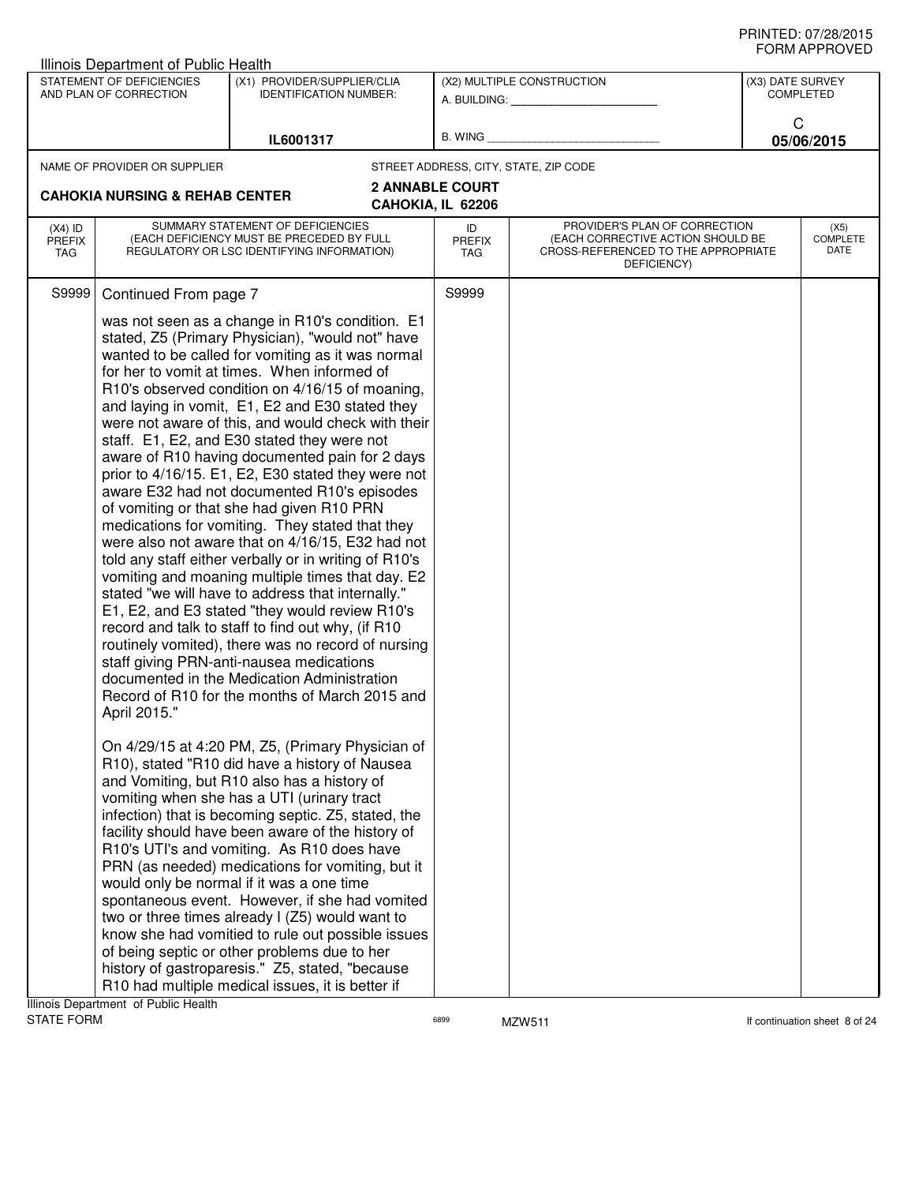|              | (X1) PROVIDER/SUPPLIER/CLIA<br><b>IDENTIFICATION NUMBER:</b> |                                                                                                                                                                                                                                                                                                                                                                                                                                                                                                                                                                                                                                                                                                                                                                                                                                                                                                                                                                                                                                                                                                                                                                                                                                                                                                                                                                                                                                                                                                                                                                                                                                                                                                                                                                                 |                                                                                                                                                                                                                                                                                                                                                                                                                                                                                |                                                                                                  | (X3) DATE SURVEY<br><b>COMPLETED</b>                                                                      |
|--------------|--------------------------------------------------------------|---------------------------------------------------------------------------------------------------------------------------------------------------------------------------------------------------------------------------------------------------------------------------------------------------------------------------------------------------------------------------------------------------------------------------------------------------------------------------------------------------------------------------------------------------------------------------------------------------------------------------------------------------------------------------------------------------------------------------------------------------------------------------------------------------------------------------------------------------------------------------------------------------------------------------------------------------------------------------------------------------------------------------------------------------------------------------------------------------------------------------------------------------------------------------------------------------------------------------------------------------------------------------------------------------------------------------------------------------------------------------------------------------------------------------------------------------------------------------------------------------------------------------------------------------------------------------------------------------------------------------------------------------------------------------------------------------------------------------------------------------------------------------------|--------------------------------------------------------------------------------------------------------------------------------------------------------------------------------------------------------------------------------------------------------------------------------------------------------------------------------------------------------------------------------------------------------------------------------------------------------------------------------|--------------------------------------------------------------------------------------------------|-----------------------------------------------------------------------------------------------------------|
|              | IL6001317                                                    | B. WING                                                                                                                                                                                                                                                                                                                                                                                                                                                                                                                                                                                                                                                                                                                                                                                                                                                                                                                                                                                                                                                                                                                                                                                                                                                                                                                                                                                                                                                                                                                                                                                                                                                                                                                                                                         |                                                                                                                                                                                                                                                                                                                                                                                                                                                                                |                                                                                                  | C<br>05/06/2015                                                                                           |
|              |                                                              |                                                                                                                                                                                                                                                                                                                                                                                                                                                                                                                                                                                                                                                                                                                                                                                                                                                                                                                                                                                                                                                                                                                                                                                                                                                                                                                                                                                                                                                                                                                                                                                                                                                                                                                                                                                 |                                                                                                                                                                                                                                                                                                                                                                                                                                                                                |                                                                                                  |                                                                                                           |
|              |                                                              | ID<br><b>PREFIX</b><br>TAG                                                                                                                                                                                                                                                                                                                                                                                                                                                                                                                                                                                                                                                                                                                                                                                                                                                                                                                                                                                                                                                                                                                                                                                                                                                                                                                                                                                                                                                                                                                                                                                                                                                                                                                                                      | DEFICIENCY)                                                                                                                                                                                                                                                                                                                                                                                                                                                                    |                                                                                                  | (X5)<br>COMPLETE<br>DATE                                                                                  |
| April 2015." |                                                              | S9999                                                                                                                                                                                                                                                                                                                                                                                                                                                                                                                                                                                                                                                                                                                                                                                                                                                                                                                                                                                                                                                                                                                                                                                                                                                                                                                                                                                                                                                                                                                                                                                                                                                                                                                                                                           |                                                                                                                                                                                                                                                                                                                                                                                                                                                                                |                                                                                                  |                                                                                                           |
|              |                                                              |                                                                                                                                                                                                                                                                                                                                                                                                                                                                                                                                                                                                                                                                                                                                                                                                                                                                                                                                                                                                                                                                                                                                                                                                                                                                                                                                                                                                                                                                                                                                                                                                                                                                                                                                                                                 |                                                                                                                                                                                                                                                                                                                                                                                                                                                                                |                                                                                                  |                                                                                                           |
|              | STATEMENT OF DEFICIENCIES<br>AND PLAN OF CORRECTION<br>S9999 | Illinois Department of Public Health<br>NAME OF PROVIDER OR SUPPLIER<br><b>CAHOKIA NURSING &amp; REHAB CENTER</b><br>SUMMARY STATEMENT OF DEFICIENCIES<br>(EACH DEFICIENCY MUST BE PRECEDED BY FULL<br>REGULATORY OR LSC IDENTIFYING INFORMATION)<br>Continued From page 7<br>was not seen as a change in R10's condition. E1<br>stated, Z5 (Primary Physician), "would not" have<br>wanted to be called for vomiting as it was normal<br>for her to vomit at times. When informed of<br>R10's observed condition on 4/16/15 of moaning,<br>and laying in vomit, E1, E2 and E30 stated they<br>staff. E1, E2, and E30 stated they were not<br>aware of R10 having documented pain for 2 days<br>aware E32 had not documented R10's episodes<br>of vomiting or that she had given R10 PRN<br>medications for vomiting. They stated that they<br>told any staff either verbally or in writing of R10's<br>vomiting and moaning multiple times that day. E2<br>stated "we will have to address that internally."<br>E1, E2, and E3 stated "they would review R10's<br>record and talk to staff to find out why, (if R10<br>staff giving PRN-anti-nausea medications<br>documented in the Medication Administration<br>R10), stated "R10 did have a history of Nausea<br>and Vomiting, but R10 also has a history of<br>vomiting when she has a UTI (urinary tract<br>infection) that is becoming septic. Z5, stated, the<br>facility should have been aware of the history of<br>R10's UTI's and vomiting. As R10 does have<br>PRN (as needed) medications for vomiting, but it<br>would only be normal if it was a one time<br>two or three times already I (Z5) would want to<br>of being septic or other problems due to her<br>history of gastroparesis." Z5, stated, "because | <b>2 ANNABLE COURT</b><br>CAHOKIA, IL 62206<br>were not aware of this, and would check with their<br>prior to 4/16/15. E1, E2, E30 stated they were not<br>were also not aware that on 4/16/15, E32 had not<br>routinely vomited), there was no record of nursing<br>Record of R10 for the months of March 2015 and<br>On 4/29/15 at 4:20 PM, Z5, (Primary Physician of<br>spontaneous event. However, if she had vomited<br>know she had vomitied to rule out possible issues | (X2) MULTIPLE CONSTRUCTION<br>A. BUILDING: A. BUILDING:<br>STREET ADDRESS, CITY, STATE, ZIP CODE | PROVIDER'S PLAN OF CORRECTION<br>(EACH CORRECTIVE ACTION SHOULD BE<br>CROSS-REFERENCED TO THE APPROPRIATE |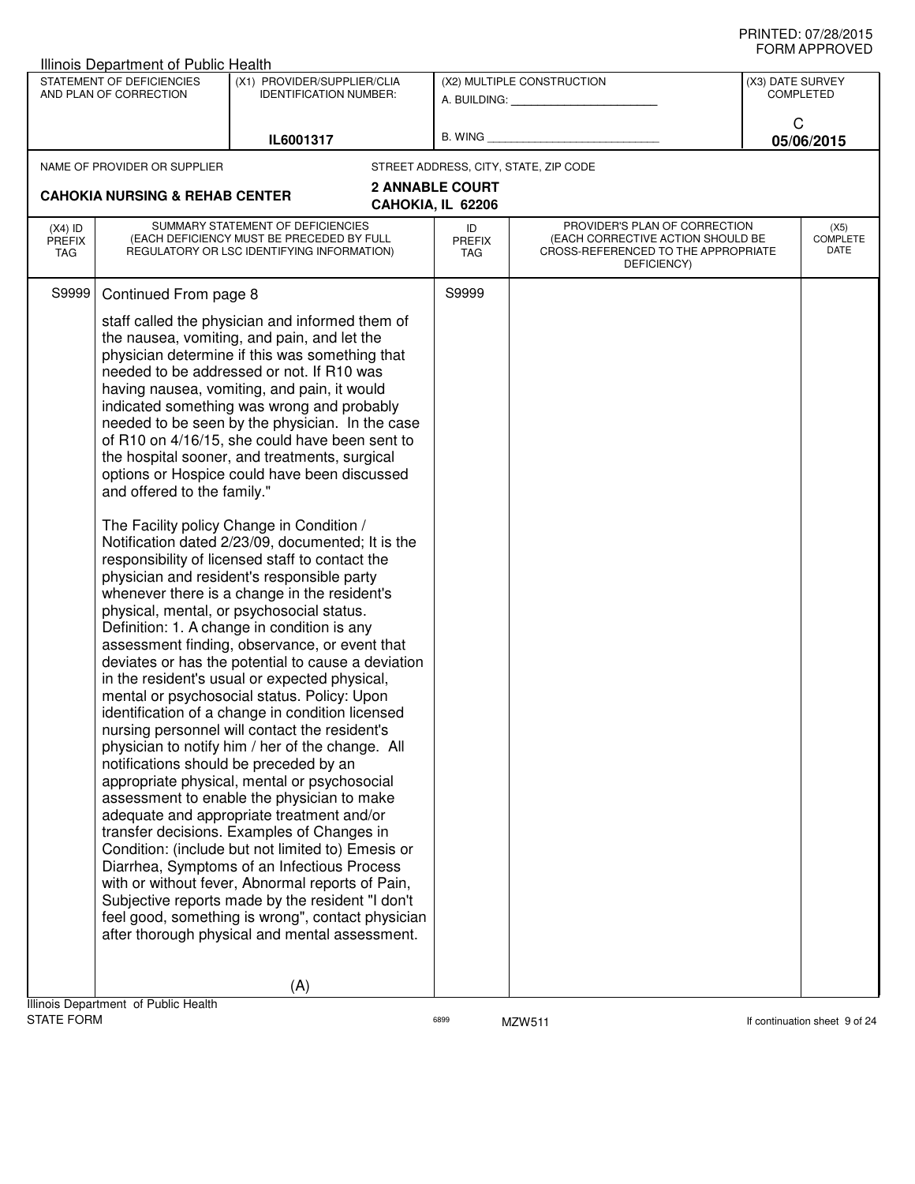|                                   | Illinois Department of Public Health                 |                                                                                                                                                                                                                                                                                                                                                                                                                                                                                                                                                                                                                                                                                                                                                                                                                                                                                                                                                                                                                                                        |                            |                                                                                                                          |                  |                                 |
|-----------------------------------|------------------------------------------------------|--------------------------------------------------------------------------------------------------------------------------------------------------------------------------------------------------------------------------------------------------------------------------------------------------------------------------------------------------------------------------------------------------------------------------------------------------------------------------------------------------------------------------------------------------------------------------------------------------------------------------------------------------------------------------------------------------------------------------------------------------------------------------------------------------------------------------------------------------------------------------------------------------------------------------------------------------------------------------------------------------------------------------------------------------------|----------------------------|--------------------------------------------------------------------------------------------------------------------------|------------------|---------------------------------|
|                                   | STATEMENT OF DEFICIENCIES<br>AND PLAN OF CORRECTION  | (X1) PROVIDER/SUPPLIER/CLIA<br><b>IDENTIFICATION NUMBER:</b>                                                                                                                                                                                                                                                                                                                                                                                                                                                                                                                                                                                                                                                                                                                                                                                                                                                                                                                                                                                           |                            | (X2) MULTIPLE CONSTRUCTION<br>A. BUILDING: A. BUILDING:                                                                  | (X3) DATE SURVEY | <b>COMPLETED</b>                |
|                                   |                                                      | IL6001317                                                                                                                                                                                                                                                                                                                                                                                                                                                                                                                                                                                                                                                                                                                                                                                                                                                                                                                                                                                                                                              | B. WING                    |                                                                                                                          | C                | 05/06/2015                      |
|                                   | NAME OF PROVIDER OR SUPPLIER                         |                                                                                                                                                                                                                                                                                                                                                                                                                                                                                                                                                                                                                                                                                                                                                                                                                                                                                                                                                                                                                                                        |                            | STREET ADDRESS, CITY, STATE, ZIP CODE                                                                                    |                  |                                 |
|                                   |                                                      |                                                                                                                                                                                                                                                                                                                                                                                                                                                                                                                                                                                                                                                                                                                                                                                                                                                                                                                                                                                                                                                        | <b>2 ANNABLE COURT</b>     |                                                                                                                          |                  |                                 |
|                                   | <b>CAHOKIA NURSING &amp; REHAB CENTER</b>            |                                                                                                                                                                                                                                                                                                                                                                                                                                                                                                                                                                                                                                                                                                                                                                                                                                                                                                                                                                                                                                                        | CAHOKIA, IL 62206          |                                                                                                                          |                  |                                 |
| $(X4)$ ID<br><b>PREFIX</b><br>TAG |                                                      | SUMMARY STATEMENT OF DEFICIENCIES<br>(EACH DEFICIENCY MUST BE PRECEDED BY FULL<br>REGULATORY OR LSC IDENTIFYING INFORMATION)                                                                                                                                                                                                                                                                                                                                                                                                                                                                                                                                                                                                                                                                                                                                                                                                                                                                                                                           | ID<br><b>PREFIX</b><br>TAG | PROVIDER'S PLAN OF CORRECTION<br>(EACH CORRECTIVE ACTION SHOULD BE<br>CROSS-REFERENCED TO THE APPROPRIATE<br>DEFICIENCY) |                  | (X5)<br><b>COMPLETE</b><br>DATE |
| S9999                             | Continued From page 8<br>and offered to the family." | staff called the physician and informed them of<br>the nausea, vomiting, and pain, and let the<br>physician determine if this was something that<br>needed to be addressed or not. If R10 was<br>having nausea, vomiting, and pain, it would<br>indicated something was wrong and probably<br>needed to be seen by the physician. In the case<br>of R10 on 4/16/15, she could have been sent to<br>the hospital sooner, and treatments, surgical<br>options or Hospice could have been discussed<br>The Facility policy Change in Condition /<br>Notification dated 2/23/09, documented; It is the<br>responsibility of licensed staff to contact the<br>physician and resident's responsible party<br>whenever there is a change in the resident's<br>physical, mental, or psychosocial status.<br>Definition: 1. A change in condition is any<br>assessment finding, observance, or event that<br>deviates or has the potential to cause a deviation<br>in the resident's usual or expected physical,<br>mental or psychosocial status. Policy: Upon | S9999                      |                                                                                                                          |                  |                                 |
| <b>STATE FORM</b>                 | Illinois Department of Public Health                 | identification of a change in condition licensed<br>nursing personnel will contact the resident's<br>physician to notify him / her of the change. All<br>notifications should be preceded by an<br>appropriate physical, mental or psychosocial<br>assessment to enable the physician to make<br>adequate and appropriate treatment and/or<br>transfer decisions. Examples of Changes in<br>Condition: (include but not limited to) Emesis or<br>Diarrhea, Symptoms of an Infectious Process<br>with or without fever, Abnormal reports of Pain,<br>Subjective reports made by the resident "I don't<br>feel good, something is wrong", contact physician<br>after thorough physical and mental assessment.<br>(A)                                                                                                                                                                                                                                                                                                                                     | 6899                       | MZW511                                                                                                                   |                  | If continuation sheet 9 of 24   |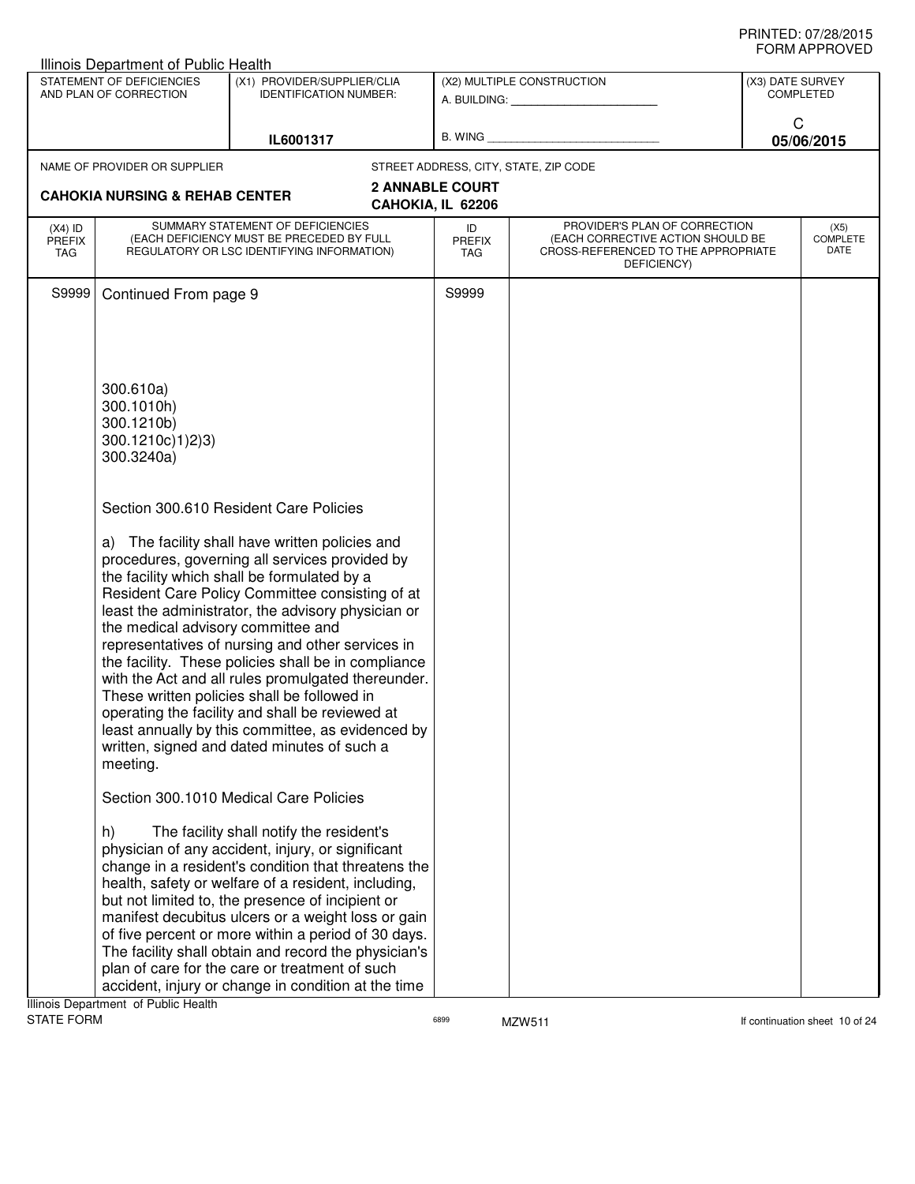|                                   | Illinois Department of Public Health                                                                                         |                                                                                                                                                                                                                                                                                                                                                                                                                                                                                                                                                                                                                                                                            |                                             |                                                                                                                                                                                                                                                             |                                      |  |
|-----------------------------------|------------------------------------------------------------------------------------------------------------------------------|----------------------------------------------------------------------------------------------------------------------------------------------------------------------------------------------------------------------------------------------------------------------------------------------------------------------------------------------------------------------------------------------------------------------------------------------------------------------------------------------------------------------------------------------------------------------------------------------------------------------------------------------------------------------------|---------------------------------------------|-------------------------------------------------------------------------------------------------------------------------------------------------------------------------------------------------------------------------------------------------------------|--------------------------------------|--|
|                                   | STATEMENT OF DEFICIENCIES<br>AND PLAN OF CORRECTION                                                                          | (X1) PROVIDER/SUPPLIER/CLIA<br><b>IDENTIFICATION NUMBER:</b>                                                                                                                                                                                                                                                                                                                                                                                                                                                                                                                                                                                                               |                                             | (X2) MULTIPLE CONSTRUCTION<br>A. BUILDING: A SALE AND THE SALE AND THE SALE OF THE SALE AND THE SALE OF THE SALE OF THE SALE OF THE SALE OF THE SALE OF THE SALE OF THE SALE OF THE SALE OF THE SALE OF THE SALE OF THE SALE OF THE SALE OF THE SALE OF THE | (X3) DATE SURVEY<br><b>COMPLETED</b> |  |
|                                   |                                                                                                                              | IL6001317                                                                                                                                                                                                                                                                                                                                                                                                                                                                                                                                                                                                                                                                  |                                             | B. WING <b>Example 2008</b>                                                                                                                                                                                                                                 | C<br>05/06/2015                      |  |
|                                   | NAME OF PROVIDER OR SUPPLIER                                                                                                 |                                                                                                                                                                                                                                                                                                                                                                                                                                                                                                                                                                                                                                                                            |                                             | STREET ADDRESS, CITY, STATE, ZIP CODE                                                                                                                                                                                                                       |                                      |  |
|                                   | <b>CAHOKIA NURSING &amp; REHAB CENTER</b>                                                                                    |                                                                                                                                                                                                                                                                                                                                                                                                                                                                                                                                                                                                                                                                            | <b>2 ANNABLE COURT</b><br>CAHOKIA, IL 62206 |                                                                                                                                                                                                                                                             |                                      |  |
| $(X4)$ ID<br><b>PREFIX</b><br>TAG | SUMMARY STATEMENT OF DEFICIENCIES<br>(EACH DEFICIENCY MUST BE PRECEDED BY FULL<br>REGULATORY OR LSC IDENTIFYING INFORMATION) |                                                                                                                                                                                                                                                                                                                                                                                                                                                                                                                                                                                                                                                                            | ID<br>PREFIX<br>TAG                         | PROVIDER'S PLAN OF CORRECTION<br>(EACH CORRECTIVE ACTION SHOULD BE<br>CROSS-REFERENCED TO THE APPROPRIATE<br>DEFICIENCY)                                                                                                                                    | (X5)<br><b>COMPLETE</b><br>DATE      |  |
| S9999                             | Continued From page 9                                                                                                        |                                                                                                                                                                                                                                                                                                                                                                                                                                                                                                                                                                                                                                                                            | S9999                                       |                                                                                                                                                                                                                                                             |                                      |  |
|                                   | 300.610a)<br>300.1010h)<br>300.1210b)<br>300.1210c)1)2)3)<br>300.3240a)                                                      |                                                                                                                                                                                                                                                                                                                                                                                                                                                                                                                                                                                                                                                                            |                                             |                                                                                                                                                                                                                                                             |                                      |  |
|                                   | the medical advisory committee and<br>meeting.                                                                               | Section 300.610 Resident Care Policies<br>a) The facility shall have written policies and<br>procedures, governing all services provided by<br>the facility which shall be formulated by a<br>Resident Care Policy Committee consisting of at<br>least the administrator, the advisory physician or<br>representatives of nursing and other services in<br>the facility. These policies shall be in compliance<br>with the Act and all rules promulgated thereunder.<br>These written policies shall be followed in<br>operating the facility and shall be reviewed at<br>least annually by this committee, as evidenced by<br>written, signed and dated minutes of such a |                                             |                                                                                                                                                                                                                                                             |                                      |  |
|                                   | h)<br>Ilinois Department of Public Hoalth                                                                                    | Section 300.1010 Medical Care Policies<br>The facility shall notify the resident's<br>physician of any accident, injury, or significant<br>change in a resident's condition that threatens the<br>health, safety or welfare of a resident, including,<br>but not limited to, the presence of incipient or<br>manifest decubitus ulcers or a weight loss or gain<br>of five percent or more within a period of 30 days.<br>The facility shall obtain and record the physician's<br>plan of care for the care or treatment of such<br>accident, injury or change in condition at the time                                                                                    |                                             |                                                                                                                                                                                                                                                             |                                      |  |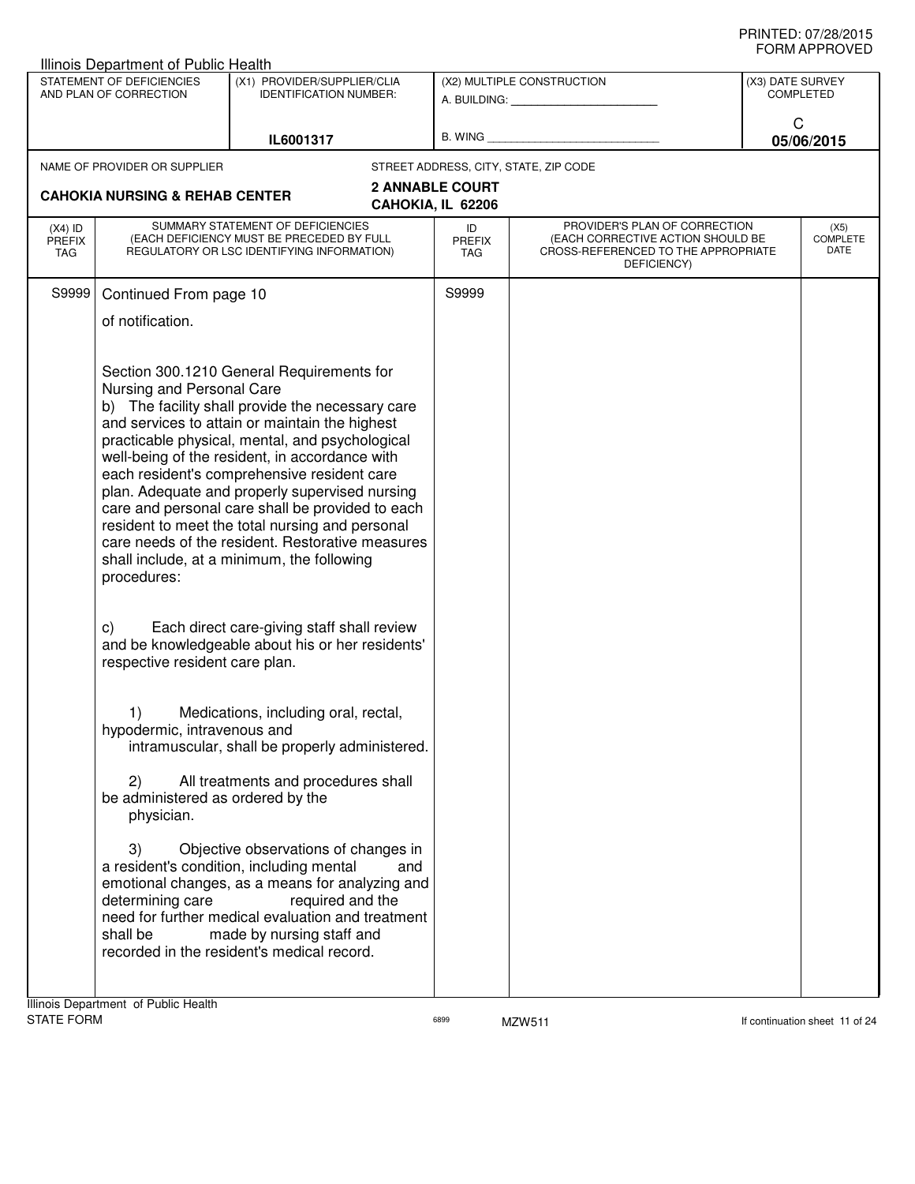|                                   | Illinois Department of Public Health                                                                                                                                                                     |                                                                                                                                                                                                                                                                                                                                                                                                                                                                                                                                                                                                                                                                                                                                                                                                                                                                                                                                                                                                                          |                            |                                                                                                                          |                                      |                                 |
|-----------------------------------|----------------------------------------------------------------------------------------------------------------------------------------------------------------------------------------------------------|--------------------------------------------------------------------------------------------------------------------------------------------------------------------------------------------------------------------------------------------------------------------------------------------------------------------------------------------------------------------------------------------------------------------------------------------------------------------------------------------------------------------------------------------------------------------------------------------------------------------------------------------------------------------------------------------------------------------------------------------------------------------------------------------------------------------------------------------------------------------------------------------------------------------------------------------------------------------------------------------------------------------------|----------------------------|--------------------------------------------------------------------------------------------------------------------------|--------------------------------------|---------------------------------|
|                                   | STATEMENT OF DEFICIENCIES<br>AND PLAN OF CORRECTION                                                                                                                                                      | (X1) PROVIDER/SUPPLIER/CLIA<br><b>IDENTIFICATION NUMBER:</b>                                                                                                                                                                                                                                                                                                                                                                                                                                                                                                                                                                                                                                                                                                                                                                                                                                                                                                                                                             |                            | (X2) MULTIPLE CONSTRUCTION<br>A. BUILDING: A. BUILDING:                                                                  | (X3) DATE SURVEY<br><b>COMPLETED</b> |                                 |
|                                   |                                                                                                                                                                                                          | IL6001317                                                                                                                                                                                                                                                                                                                                                                                                                                                                                                                                                                                                                                                                                                                                                                                                                                                                                                                                                                                                                |                            | B. WING <b>Example 2008</b>                                                                                              | C<br>05/06/2015                      |                                 |
|                                   | NAME OF PROVIDER OR SUPPLIER                                                                                                                                                                             |                                                                                                                                                                                                                                                                                                                                                                                                                                                                                                                                                                                                                                                                                                                                                                                                                                                                                                                                                                                                                          |                            | STREET ADDRESS, CITY, STATE, ZIP CODE                                                                                    |                                      |                                 |
|                                   | <b>2 ANNABLE COURT</b><br><b>CAHOKIA NURSING &amp; REHAB CENTER</b><br>CAHOKIA, IL 62206                                                                                                                 |                                                                                                                                                                                                                                                                                                                                                                                                                                                                                                                                                                                                                                                                                                                                                                                                                                                                                                                                                                                                                          |                            |                                                                                                                          |                                      |                                 |
| $(X4)$ ID<br><b>PREFIX</b><br>TAG | SUMMARY STATEMENT OF DEFICIENCIES<br>(EACH DEFICIENCY MUST BE PRECEDED BY FULL<br>REGULATORY OR LSC IDENTIFYING INFORMATION)                                                                             |                                                                                                                                                                                                                                                                                                                                                                                                                                                                                                                                                                                                                                                                                                                                                                                                                                                                                                                                                                                                                          | ID<br><b>PREFIX</b><br>TAG | PROVIDER'S PLAN OF CORRECTION<br>(EACH CORRECTIVE ACTION SHOULD BE<br>CROSS-REFERENCED TO THE APPROPRIATE<br>DEFICIENCY) |                                      | (X5)<br><b>COMPLETE</b><br>DATE |
| S9999                             | Continued From page 10                                                                                                                                                                                   |                                                                                                                                                                                                                                                                                                                                                                                                                                                                                                                                                                                                                                                                                                                                                                                                                                                                                                                                                                                                                          | S9999                      |                                                                                                                          |                                      |                                 |
|                                   | of notification.                                                                                                                                                                                         |                                                                                                                                                                                                                                                                                                                                                                                                                                                                                                                                                                                                                                                                                                                                                                                                                                                                                                                                                                                                                          |                            |                                                                                                                          |                                      |                                 |
|                                   | Nursing and Personal Care<br>procedures:<br>C)<br>respective resident care plan.<br>1)<br>hypodermic, intravenous and<br>2)<br>be administered as ordered by the<br>physician.<br>3)<br>determining care | Section 300.1210 General Requirements for<br>b) The facility shall provide the necessary care<br>and services to attain or maintain the highest<br>practicable physical, mental, and psychological<br>well-being of the resident, in accordance with<br>each resident's comprehensive resident care<br>plan. Adequate and properly supervised nursing<br>care and personal care shall be provided to each<br>resident to meet the total nursing and personal<br>care needs of the resident. Restorative measures<br>shall include, at a minimum, the following<br>Each direct care-giving staff shall review<br>and be knowledgeable about his or her residents'<br>Medications, including oral, rectal,<br>intramuscular, shall be properly administered.<br>All treatments and procedures shall<br>Objective observations of changes in<br>a resident's condition, including mental<br>and<br>emotional changes, as a means for analyzing and<br>required and the<br>need for further medical evaluation and treatment |                            |                                                                                                                          |                                      |                                 |
|                                   | shall be                                                                                                                                                                                                 | made by nursing staff and<br>recorded in the resident's medical record.                                                                                                                                                                                                                                                                                                                                                                                                                                                                                                                                                                                                                                                                                                                                                                                                                                                                                                                                                  |                            |                                                                                                                          |                                      |                                 |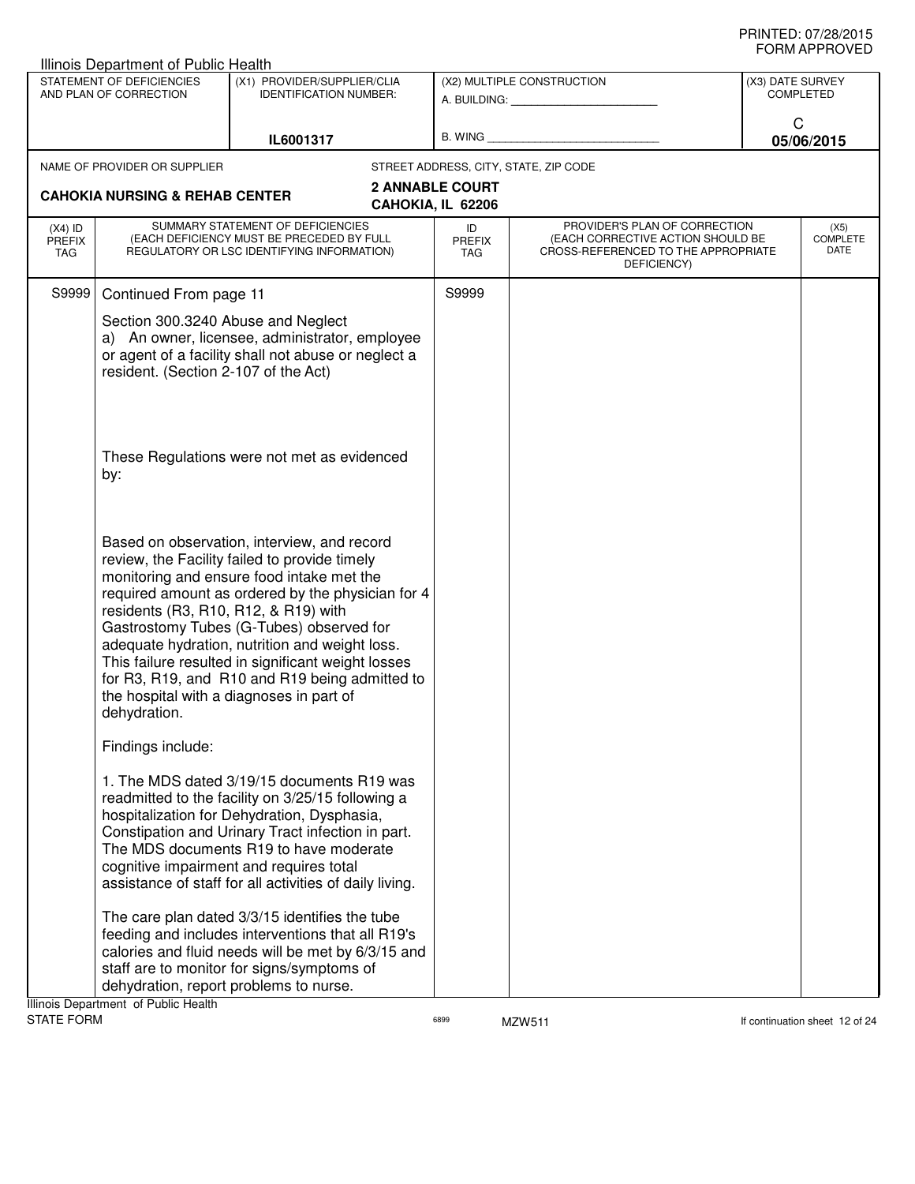|                                          | Illinois Department of Public Health                |                                                                                                                                                                                                                                                                                                                                                                                                                                                                                          |                                             |                                                                                                                          |                  |                                 |
|------------------------------------------|-----------------------------------------------------|------------------------------------------------------------------------------------------------------------------------------------------------------------------------------------------------------------------------------------------------------------------------------------------------------------------------------------------------------------------------------------------------------------------------------------------------------------------------------------------|---------------------------------------------|--------------------------------------------------------------------------------------------------------------------------|------------------|---------------------------------|
|                                          | STATEMENT OF DEFICIENCIES<br>AND PLAN OF CORRECTION | (X1) PROVIDER/SUPPLIER/CLIA<br><b>IDENTIFICATION NUMBER:</b>                                                                                                                                                                                                                                                                                                                                                                                                                             |                                             | (X2) MULTIPLE CONSTRUCTION<br>A. BUILDING: A. BUILDING:                                                                  | (X3) DATE SURVEY | <b>COMPLETED</b>                |
|                                          |                                                     | IL6001317                                                                                                                                                                                                                                                                                                                                                                                                                                                                                | B. WING                                     |                                                                                                                          | C<br>05/06/2015  |                                 |
|                                          | NAME OF PROVIDER OR SUPPLIER                        |                                                                                                                                                                                                                                                                                                                                                                                                                                                                                          | STREET ADDRESS, CITY, STATE, ZIP CODE       |                                                                                                                          |                  |                                 |
|                                          | <b>CAHOKIA NURSING &amp; REHAB CENTER</b>           |                                                                                                                                                                                                                                                                                                                                                                                                                                                                                          | <b>2 ANNABLE COURT</b><br>CAHOKIA, IL 62206 |                                                                                                                          |                  |                                 |
| $(X4)$ ID<br><b>PREFIX</b><br><b>TAG</b> |                                                     | SUMMARY STATEMENT OF DEFICIENCIES<br>(EACH DEFICIENCY MUST BE PRECEDED BY FULL<br>REGULATORY OR LSC IDENTIFYING INFORMATION)                                                                                                                                                                                                                                                                                                                                                             | ID<br>PREFIX<br><b>TAG</b>                  | PROVIDER'S PLAN OF CORRECTION<br>(EACH CORRECTIVE ACTION SHOULD BE<br>CROSS-REFERENCED TO THE APPROPRIATE<br>DEFICIENCY) |                  | (X5)<br><b>COMPLETE</b><br>DATE |
| S9999                                    | Continued From page 11                              |                                                                                                                                                                                                                                                                                                                                                                                                                                                                                          | S9999                                       |                                                                                                                          |                  |                                 |
|                                          | resident. (Section 2-107 of the Act)                | Section 300.3240 Abuse and Neglect<br>a) An owner, licensee, administrator, employee<br>or agent of a facility shall not abuse or neglect a                                                                                                                                                                                                                                                                                                                                              |                                             |                                                                                                                          |                  |                                 |
|                                          | by:                                                 | These Regulations were not met as evidenced                                                                                                                                                                                                                                                                                                                                                                                                                                              |                                             |                                                                                                                          |                  |                                 |
|                                          | dehydration.                                        | Based on observation, interview, and record<br>review, the Facility failed to provide timely<br>monitoring and ensure food intake met the<br>required amount as ordered by the physician for 4<br>residents (R3, R10, R12, & R19) with<br>Gastrostomy Tubes (G-Tubes) observed for<br>adequate hydration, nutrition and weight loss.<br>This failure resulted in significant weight losses<br>for R3, R19, and R10 and R19 being admitted to<br>the hospital with a diagnoses in part of |                                             |                                                                                                                          |                  |                                 |
|                                          | Findings include:                                   |                                                                                                                                                                                                                                                                                                                                                                                                                                                                                          |                                             |                                                                                                                          |                  |                                 |
|                                          |                                                     | 1. The MDS dated 3/19/15 documents R19 was<br>readmitted to the facility on 3/25/15 following a<br>hospitalization for Dehydration, Dysphasia,<br>Constipation and Urinary Tract infection in part.<br>The MDS documents R19 to have moderate<br>cognitive impairment and requires total<br>assistance of staff for all activities of daily living.                                                                                                                                      |                                             |                                                                                                                          |                  |                                 |
|                                          | Illinois Department of Public Health                | The care plan dated 3/3/15 identifies the tube<br>feeding and includes interventions that all R19's<br>calories and fluid needs will be met by 6/3/15 and<br>staff are to monitor for signs/symptoms of<br>dehydration, report problems to nurse.                                                                                                                                                                                                                                        |                                             |                                                                                                                          |                  |                                 |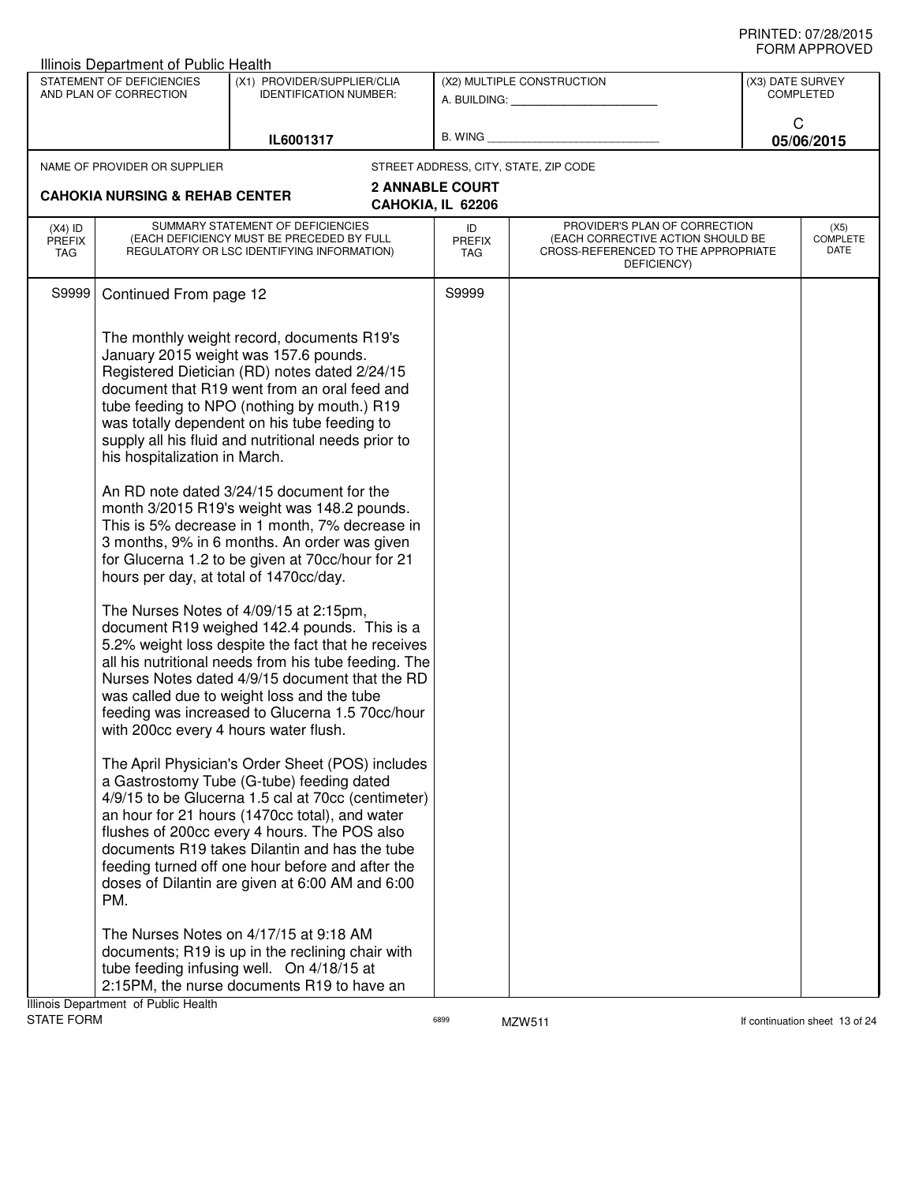| STATEMENT OF DEFICIENCIES<br>(X1) PROVIDER/SUPPLIER/CLIA<br>(X2) MULTIPLE CONSTRUCTION<br>(X3) DATE SURVEY<br>AND PLAN OF CORRECTION<br><b>COMPLETED</b><br><b>IDENTIFICATION NUMBER:</b><br>A. BUILDING: A. BUILDING:<br>C<br>B. WING<br>IL6001317<br>05/06/2015<br>STREET ADDRESS, CITY, STATE, ZIP CODE<br>NAME OF PROVIDER OR SUPPLIER<br><b>2 ANNABLE COURT</b><br><b>CAHOKIA NURSING &amp; REHAB CENTER</b><br>CAHOKIA, IL 62206<br>SUMMARY STATEMENT OF DEFICIENCIES<br>PROVIDER'S PLAN OF CORRECTION<br>$(X4)$ ID<br>ID<br>(X5)<br>(EACH DEFICIENCY MUST BE PRECEDED BY FULL<br>(EACH CORRECTIVE ACTION SHOULD BE<br><b>PREFIX</b><br><b>PREFIX</b><br>DATE<br>REGULATORY OR LSC IDENTIFYING INFORMATION)<br>CROSS-REFERENCED TO THE APPROPRIATE<br>TAG<br><b>TAG</b><br>DEFICIENCY)<br>S9999<br>S9999<br>Continued From page 12<br>The monthly weight record, documents R19's<br>January 2015 weight was 157.6 pounds.<br>Registered Dietician (RD) notes dated 2/24/15<br>document that R19 went from an oral feed and<br>tube feeding to NPO (nothing by mouth.) R19<br>was totally dependent on his tube feeding to<br>supply all his fluid and nutritional needs prior to<br>his hospitalization in March.<br>An RD note dated 3/24/15 document for the<br>month 3/2015 R19's weight was 148.2 pounds.<br>This is 5% decrease in 1 month, 7% decrease in<br>3 months, 9% in 6 months. An order was given<br>for Glucerna 1.2 to be given at 70cc/hour for 21<br>hours per day, at total of 1470cc/day.<br>The Nurses Notes of 4/09/15 at 2:15pm,<br>document R19 weighed 142.4 pounds. This is a<br>5.2% weight loss despite the fact that he receives<br>all his nutritional needs from his tube feeding. The<br>Nurses Notes dated 4/9/15 document that the RD<br>was called due to weight loss and the tube<br>feeding was increased to Glucerna 1.5 70cc/hour<br>with 200cc every 4 hours water flush.<br>The April Physician's Order Sheet (POS) includes<br>a Gastrostomy Tube (G-tube) feeding dated<br>4/9/15 to be Glucerna 1.5 cal at 70cc (centimeter)<br>an hour for 21 hours (1470cc total), and water<br>flushes of 200cc every 4 hours. The POS also<br>documents R19 takes Dilantin and has the tube<br>feeding turned off one hour before and after the<br>doses of Dilantin are given at 6:00 AM and 6:00<br>PM.<br>The Nurses Notes on 4/17/15 at 9:18 AM<br>documents; R19 is up in the reclining chair with<br>tube feeding infusing well. On 4/18/15 at<br>2:15PM, the nurse documents R19 to have an | Illinois Department of Public Health |  |  |                 |
|------------------------------------------------------------------------------------------------------------------------------------------------------------------------------------------------------------------------------------------------------------------------------------------------------------------------------------------------------------------------------------------------------------------------------------------------------------------------------------------------------------------------------------------------------------------------------------------------------------------------------------------------------------------------------------------------------------------------------------------------------------------------------------------------------------------------------------------------------------------------------------------------------------------------------------------------------------------------------------------------------------------------------------------------------------------------------------------------------------------------------------------------------------------------------------------------------------------------------------------------------------------------------------------------------------------------------------------------------------------------------------------------------------------------------------------------------------------------------------------------------------------------------------------------------------------------------------------------------------------------------------------------------------------------------------------------------------------------------------------------------------------------------------------------------------------------------------------------------------------------------------------------------------------------------------------------------------------------------------------------------------------------------------------------------------------------------------------------------------------------------------------------------------------------------------------------------------------------------------------------------------------------------------------------------------------------------------------------------------------------------------------------------------------------------------------------------------------------------------------------------------------------------------------|--------------------------------------|--|--|-----------------|
|                                                                                                                                                                                                                                                                                                                                                                                                                                                                                                                                                                                                                                                                                                                                                                                                                                                                                                                                                                                                                                                                                                                                                                                                                                                                                                                                                                                                                                                                                                                                                                                                                                                                                                                                                                                                                                                                                                                                                                                                                                                                                                                                                                                                                                                                                                                                                                                                                                                                                                                                          |                                      |  |  |                 |
|                                                                                                                                                                                                                                                                                                                                                                                                                                                                                                                                                                                                                                                                                                                                                                                                                                                                                                                                                                                                                                                                                                                                                                                                                                                                                                                                                                                                                                                                                                                                                                                                                                                                                                                                                                                                                                                                                                                                                                                                                                                                                                                                                                                                                                                                                                                                                                                                                                                                                                                                          |                                      |  |  |                 |
|                                                                                                                                                                                                                                                                                                                                                                                                                                                                                                                                                                                                                                                                                                                                                                                                                                                                                                                                                                                                                                                                                                                                                                                                                                                                                                                                                                                                                                                                                                                                                                                                                                                                                                                                                                                                                                                                                                                                                                                                                                                                                                                                                                                                                                                                                                                                                                                                                                                                                                                                          |                                      |  |  |                 |
|                                                                                                                                                                                                                                                                                                                                                                                                                                                                                                                                                                                                                                                                                                                                                                                                                                                                                                                                                                                                                                                                                                                                                                                                                                                                                                                                                                                                                                                                                                                                                                                                                                                                                                                                                                                                                                                                                                                                                                                                                                                                                                                                                                                                                                                                                                                                                                                                                                                                                                                                          |                                      |  |  |                 |
|                                                                                                                                                                                                                                                                                                                                                                                                                                                                                                                                                                                                                                                                                                                                                                                                                                                                                                                                                                                                                                                                                                                                                                                                                                                                                                                                                                                                                                                                                                                                                                                                                                                                                                                                                                                                                                                                                                                                                                                                                                                                                                                                                                                                                                                                                                                                                                                                                                                                                                                                          |                                      |  |  | <b>COMPLETE</b> |
|                                                                                                                                                                                                                                                                                                                                                                                                                                                                                                                                                                                                                                                                                                                                                                                                                                                                                                                                                                                                                                                                                                                                                                                                                                                                                                                                                                                                                                                                                                                                                                                                                                                                                                                                                                                                                                                                                                                                                                                                                                                                                                                                                                                                                                                                                                                                                                                                                                                                                                                                          |                                      |  |  |                 |
|                                                                                                                                                                                                                                                                                                                                                                                                                                                                                                                                                                                                                                                                                                                                                                                                                                                                                                                                                                                                                                                                                                                                                                                                                                                                                                                                                                                                                                                                                                                                                                                                                                                                                                                                                                                                                                                                                                                                                                                                                                                                                                                                                                                                                                                                                                                                                                                                                                                                                                                                          |                                      |  |  |                 |
|                                                                                                                                                                                                                                                                                                                                                                                                                                                                                                                                                                                                                                                                                                                                                                                                                                                                                                                                                                                                                                                                                                                                                                                                                                                                                                                                                                                                                                                                                                                                                                                                                                                                                                                                                                                                                                                                                                                                                                                                                                                                                                                                                                                                                                                                                                                                                                                                                                                                                                                                          |                                      |  |  |                 |
|                                                                                                                                                                                                                                                                                                                                                                                                                                                                                                                                                                                                                                                                                                                                                                                                                                                                                                                                                                                                                                                                                                                                                                                                                                                                                                                                                                                                                                                                                                                                                                                                                                                                                                                                                                                                                                                                                                                                                                                                                                                                                                                                                                                                                                                                                                                                                                                                                                                                                                                                          |                                      |  |  |                 |
|                                                                                                                                                                                                                                                                                                                                                                                                                                                                                                                                                                                                                                                                                                                                                                                                                                                                                                                                                                                                                                                                                                                                                                                                                                                                                                                                                                                                                                                                                                                                                                                                                                                                                                                                                                                                                                                                                                                                                                                                                                                                                                                                                                                                                                                                                                                                                                                                                                                                                                                                          |                                      |  |  |                 |
| Illinois Department of Public Health                                                                                                                                                                                                                                                                                                                                                                                                                                                                                                                                                                                                                                                                                                                                                                                                                                                                                                                                                                                                                                                                                                                                                                                                                                                                                                                                                                                                                                                                                                                                                                                                                                                                                                                                                                                                                                                                                                                                                                                                                                                                                                                                                                                                                                                                                                                                                                                                                                                                                                     |                                      |  |  |                 |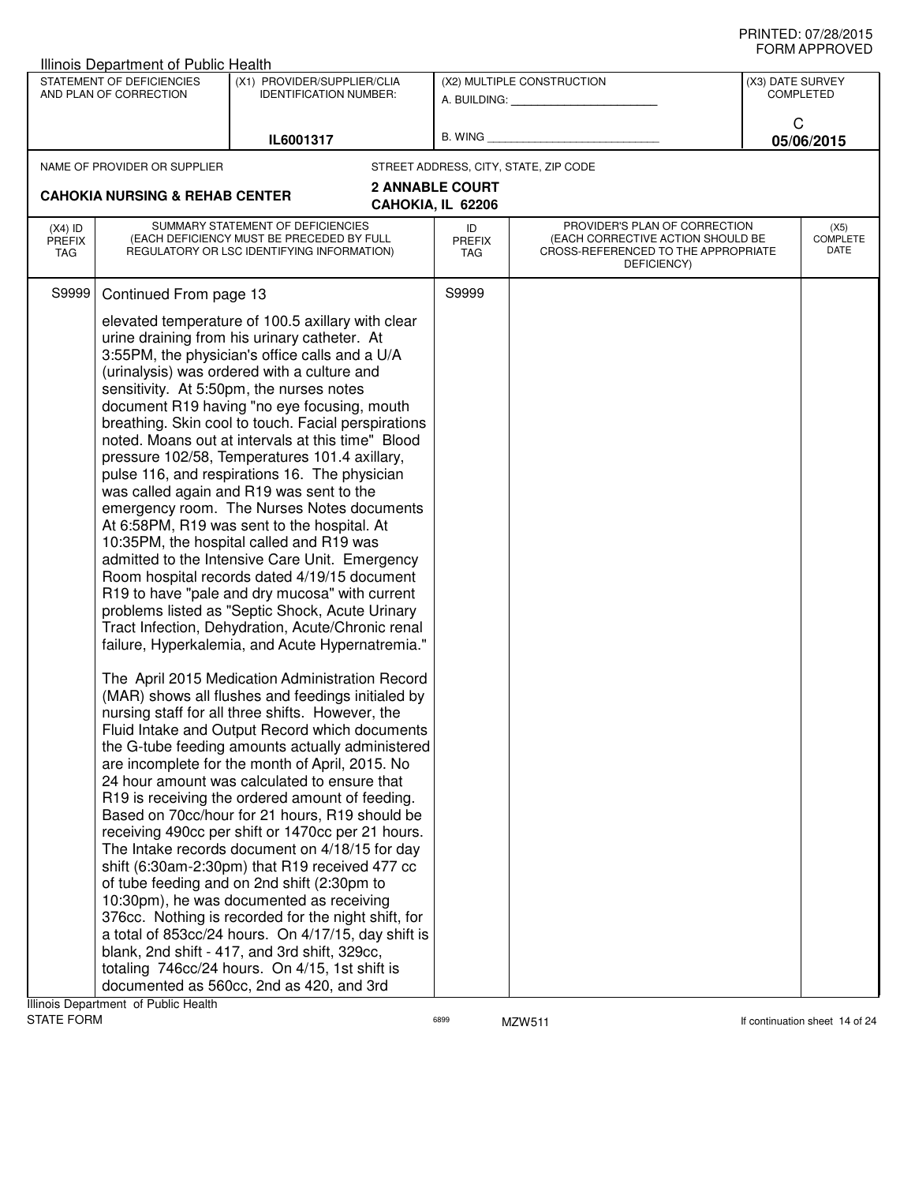|                                   | Illinois Department of Public Health                |                                                                                                                                                                                                                                                                                                                                                                                                                                                                                                                                                                                                                                                                                                                                                                                                                                                                                                                                                                                                                                                                                                                                                                                                                                                                                                                                                                                                                                                                                                                                                                                                                                                                                                                                                                                                                                                                                                                                                                                                             |                        |                                                                                                                          |                  | ᅴᄖᄞᇊᆝᆝᇅ៴ᄂ                       |
|-----------------------------------|-----------------------------------------------------|-------------------------------------------------------------------------------------------------------------------------------------------------------------------------------------------------------------------------------------------------------------------------------------------------------------------------------------------------------------------------------------------------------------------------------------------------------------------------------------------------------------------------------------------------------------------------------------------------------------------------------------------------------------------------------------------------------------------------------------------------------------------------------------------------------------------------------------------------------------------------------------------------------------------------------------------------------------------------------------------------------------------------------------------------------------------------------------------------------------------------------------------------------------------------------------------------------------------------------------------------------------------------------------------------------------------------------------------------------------------------------------------------------------------------------------------------------------------------------------------------------------------------------------------------------------------------------------------------------------------------------------------------------------------------------------------------------------------------------------------------------------------------------------------------------------------------------------------------------------------------------------------------------------------------------------------------------------------------------------------------------------|------------------------|--------------------------------------------------------------------------------------------------------------------------|------------------|---------------------------------|
|                                   | STATEMENT OF DEFICIENCIES<br>AND PLAN OF CORRECTION | (X1) PROVIDER/SUPPLIER/CLIA<br><b>IDENTIFICATION NUMBER:</b>                                                                                                                                                                                                                                                                                                                                                                                                                                                                                                                                                                                                                                                                                                                                                                                                                                                                                                                                                                                                                                                                                                                                                                                                                                                                                                                                                                                                                                                                                                                                                                                                                                                                                                                                                                                                                                                                                                                                                |                        | (X2) MULTIPLE CONSTRUCTION<br>A. BUILDING: A. BUILDING:                                                                  | (X3) DATE SURVEY | <b>COMPLETED</b>                |
|                                   |                                                     | IL6001317                                                                                                                                                                                                                                                                                                                                                                                                                                                                                                                                                                                                                                                                                                                                                                                                                                                                                                                                                                                                                                                                                                                                                                                                                                                                                                                                                                                                                                                                                                                                                                                                                                                                                                                                                                                                                                                                                                                                                                                                   |                        | B. WING <b>Example 2008</b>                                                                                              | C                | 05/06/2015                      |
|                                   | NAME OF PROVIDER OR SUPPLIER                        |                                                                                                                                                                                                                                                                                                                                                                                                                                                                                                                                                                                                                                                                                                                                                                                                                                                                                                                                                                                                                                                                                                                                                                                                                                                                                                                                                                                                                                                                                                                                                                                                                                                                                                                                                                                                                                                                                                                                                                                                             |                        | STREET ADDRESS, CITY, STATE, ZIP CODE                                                                                    |                  |                                 |
|                                   |                                                     |                                                                                                                                                                                                                                                                                                                                                                                                                                                                                                                                                                                                                                                                                                                                                                                                                                                                                                                                                                                                                                                                                                                                                                                                                                                                                                                                                                                                                                                                                                                                                                                                                                                                                                                                                                                                                                                                                                                                                                                                             | <b>2 ANNABLE COURT</b> |                                                                                                                          |                  |                                 |
|                                   | <b>CAHOKIA NURSING &amp; REHAB CENTER</b>           |                                                                                                                                                                                                                                                                                                                                                                                                                                                                                                                                                                                                                                                                                                                                                                                                                                                                                                                                                                                                                                                                                                                                                                                                                                                                                                                                                                                                                                                                                                                                                                                                                                                                                                                                                                                                                                                                                                                                                                                                             | CAHOKIA, IL 62206      |                                                                                                                          |                  |                                 |
| $(X4)$ ID<br><b>PREFIX</b><br>TAG |                                                     | SUMMARY STATEMENT OF DEFICIENCIES<br>(EACH DEFICIENCY MUST BE PRECEDED BY FULL<br>REGULATORY OR LSC IDENTIFYING INFORMATION)                                                                                                                                                                                                                                                                                                                                                                                                                                                                                                                                                                                                                                                                                                                                                                                                                                                                                                                                                                                                                                                                                                                                                                                                                                                                                                                                                                                                                                                                                                                                                                                                                                                                                                                                                                                                                                                                                | ID<br>PREFIX<br>TAG    | PROVIDER'S PLAN OF CORRECTION<br>(EACH CORRECTIVE ACTION SHOULD BE<br>CROSS-REFERENCED TO THE APPROPRIATE<br>DEFICIENCY) |                  | (X5)<br><b>COMPLETE</b><br>DATE |
| S9999                             | Continued From page 13                              |                                                                                                                                                                                                                                                                                                                                                                                                                                                                                                                                                                                                                                                                                                                                                                                                                                                                                                                                                                                                                                                                                                                                                                                                                                                                                                                                                                                                                                                                                                                                                                                                                                                                                                                                                                                                                                                                                                                                                                                                             | S9999                  |                                                                                                                          |                  |                                 |
|                                   | Illinois Department of Public Health                | elevated temperature of 100.5 axillary with clear<br>urine draining from his urinary catheter. At<br>3:55PM, the physician's office calls and a U/A<br>(urinalysis) was ordered with a culture and<br>sensitivity. At 5:50pm, the nurses notes<br>document R19 having "no eye focusing, mouth<br>breathing. Skin cool to touch. Facial perspirations<br>noted. Moans out at intervals at this time" Blood<br>pressure 102/58, Temperatures 101.4 axillary,<br>pulse 116, and respirations 16. The physician<br>was called again and R19 was sent to the<br>emergency room. The Nurses Notes documents<br>At 6:58PM, R19 was sent to the hospital. At<br>10:35PM, the hospital called and R19 was<br>admitted to the Intensive Care Unit. Emergency<br>Room hospital records dated 4/19/15 document<br>R19 to have "pale and dry mucosa" with current<br>problems listed as "Septic Shock, Acute Urinary<br>Tract Infection, Dehydration, Acute/Chronic renal<br>failure, Hyperkalemia, and Acute Hypernatremia."<br>The April 2015 Medication Administration Record<br>(MAR) shows all flushes and feedings initialed by<br>nursing staff for all three shifts. However, the<br>Fluid Intake and Output Record which documents<br>the G-tube feeding amounts actually administered<br>are incomplete for the month of April, 2015. No<br>24 hour amount was calculated to ensure that<br>R19 is receiving the ordered amount of feeding.<br>Based on 70cc/hour for 21 hours, R19 should be<br>receiving 490cc per shift or 1470cc per 21 hours.<br>The Intake records document on 4/18/15 for day<br>shift (6:30am-2:30pm) that R19 received 477 cc<br>of tube feeding and on 2nd shift (2:30pm to<br>10:30pm), he was documented as receiving<br>376cc. Nothing is recorded for the night shift, for<br>a total of 853cc/24 hours. On 4/17/15, day shift is<br>blank, 2nd shift - 417, and 3rd shift, 329cc,<br>totaling 746cc/24 hours. On 4/15, 1st shift is<br>documented as 560cc, 2nd as 420, and 3rd |                        |                                                                                                                          |                  |                                 |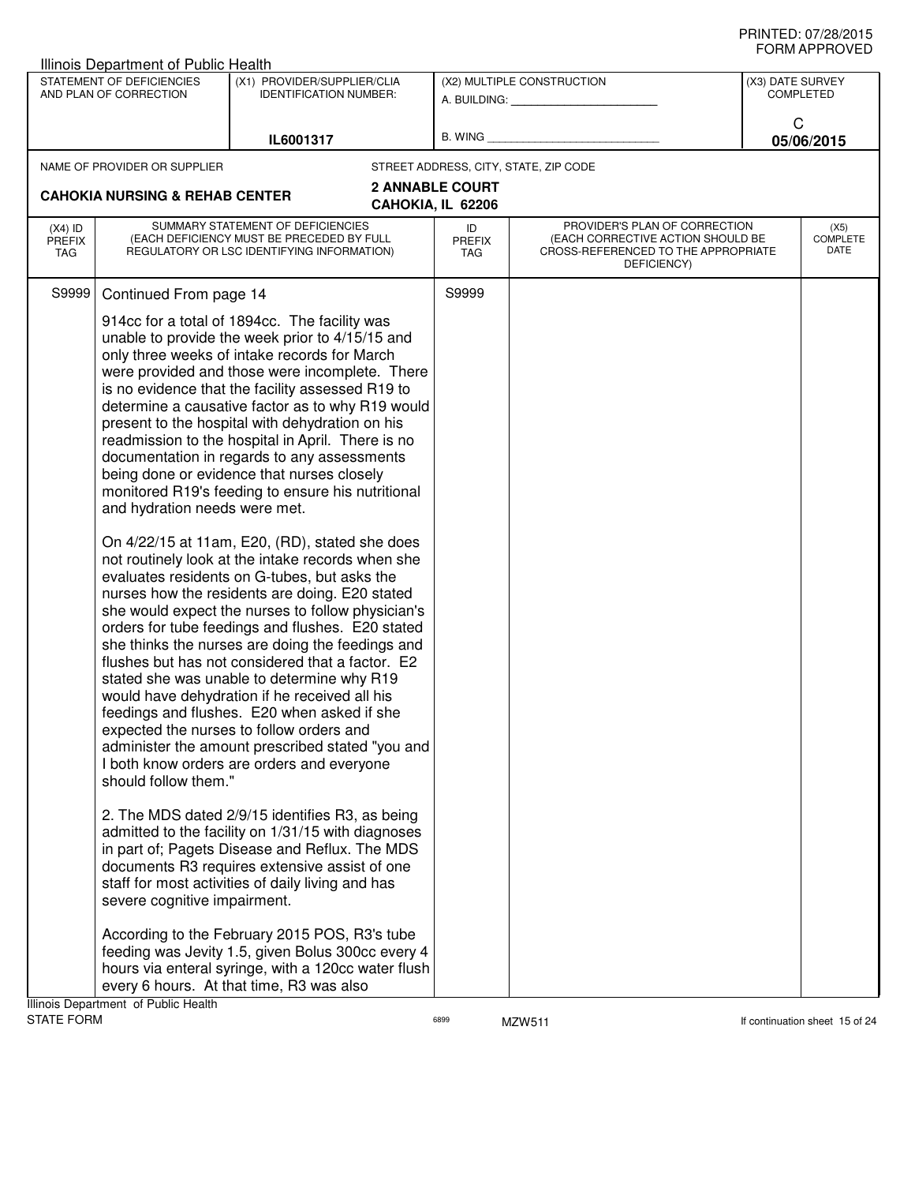| Illinois Department of Public Health                                                                                                                                                                                           |                                                                                                                                                                                                                                                                                                                                                                                                                                                                                                                                                                                                                                                                                                                                                                                                                                                                                                                                                                                                                                                                                                                                                                                                                                                                                                                                                                                                                                                                                                                                                             |                                             |                                                                                                                          |                                      |                                 |
|--------------------------------------------------------------------------------------------------------------------------------------------------------------------------------------------------------------------------------|-------------------------------------------------------------------------------------------------------------------------------------------------------------------------------------------------------------------------------------------------------------------------------------------------------------------------------------------------------------------------------------------------------------------------------------------------------------------------------------------------------------------------------------------------------------------------------------------------------------------------------------------------------------------------------------------------------------------------------------------------------------------------------------------------------------------------------------------------------------------------------------------------------------------------------------------------------------------------------------------------------------------------------------------------------------------------------------------------------------------------------------------------------------------------------------------------------------------------------------------------------------------------------------------------------------------------------------------------------------------------------------------------------------------------------------------------------------------------------------------------------------------------------------------------------------|---------------------------------------------|--------------------------------------------------------------------------------------------------------------------------|--------------------------------------|---------------------------------|
| STATEMENT OF DEFICIENCIES<br>AND PLAN OF CORRECTION                                                                                                                                                                            | (X1) PROVIDER/SUPPLIER/CLIA<br><b>IDENTIFICATION NUMBER:</b>                                                                                                                                                                                                                                                                                                                                                                                                                                                                                                                                                                                                                                                                                                                                                                                                                                                                                                                                                                                                                                                                                                                                                                                                                                                                                                                                                                                                                                                                                                |                                             | (X2) MULTIPLE CONSTRUCTION<br>A. BUILDING: A. BUILDING:                                                                  | (X3) DATE SURVEY<br><b>COMPLETED</b> |                                 |
|                                                                                                                                                                                                                                | IL6001317                                                                                                                                                                                                                                                                                                                                                                                                                                                                                                                                                                                                                                                                                                                                                                                                                                                                                                                                                                                                                                                                                                                                                                                                                                                                                                                                                                                                                                                                                                                                                   |                                             | B. WING <b>Example 2008</b>                                                                                              | C                                    | 05/06/2015                      |
| NAME OF PROVIDER OR SUPPLIER                                                                                                                                                                                                   |                                                                                                                                                                                                                                                                                                                                                                                                                                                                                                                                                                                                                                                                                                                                                                                                                                                                                                                                                                                                                                                                                                                                                                                                                                                                                                                                                                                                                                                                                                                                                             | STREET ADDRESS, CITY, STATE, ZIP CODE       |                                                                                                                          |                                      |                                 |
| <b>CAHOKIA NURSING &amp; REHAB CENTER</b>                                                                                                                                                                                      |                                                                                                                                                                                                                                                                                                                                                                                                                                                                                                                                                                                                                                                                                                                                                                                                                                                                                                                                                                                                                                                                                                                                                                                                                                                                                                                                                                                                                                                                                                                                                             | <b>2 ANNABLE COURT</b><br>CAHOKIA, IL 62206 |                                                                                                                          |                                      |                                 |
| $(X4)$ ID<br><b>PREFIX</b><br>TAG                                                                                                                                                                                              | SUMMARY STATEMENT OF DEFICIENCIES<br>(EACH DEFICIENCY MUST BE PRECEDED BY FULL<br>REGULATORY OR LSC IDENTIFYING INFORMATION)                                                                                                                                                                                                                                                                                                                                                                                                                                                                                                                                                                                                                                                                                                                                                                                                                                                                                                                                                                                                                                                                                                                                                                                                                                                                                                                                                                                                                                | ID<br>PREFIX<br>TAG                         | PROVIDER'S PLAN OF CORRECTION<br>(EACH CORRECTIVE ACTION SHOULD BE<br>CROSS-REFERENCED TO THE APPROPRIATE<br>DEFICIENCY) |                                      | (X5)<br><b>COMPLETE</b><br>DATE |
| Continued From page 14<br>S9999<br>and hydration needs were met.<br>should follow them."<br>severe cognitive impairment.<br>According to the February 2015 POS, R3's tube<br>feeding was Jevity 1.5, given Bolus 300cc every 4 | 914cc for a total of 1894cc. The facility was<br>unable to provide the week prior to 4/15/15 and<br>only three weeks of intake records for March<br>were provided and those were incomplete. There<br>is no evidence that the facility assessed R19 to<br>determine a causative factor as to why R19 would<br>present to the hospital with dehydration on his<br>readmission to the hospital in April. There is no<br>documentation in regards to any assessments<br>being done or evidence that nurses closely<br>monitored R19's feeding to ensure his nutritional<br>On 4/22/15 at 11am, E20, (RD), stated she does<br>not routinely look at the intake records when she<br>evaluates residents on G-tubes, but asks the<br>nurses how the residents are doing. E20 stated<br>she would expect the nurses to follow physician's<br>orders for tube feedings and flushes. E20 stated<br>she thinks the nurses are doing the feedings and<br>flushes but has not considered that a factor. E2<br>stated she was unable to determine why R19<br>would have dehydration if he received all his<br>feedings and flushes. E20 when asked if she<br>expected the nurses to follow orders and<br>administer the amount prescribed stated "you and<br>I both know orders are orders and everyone<br>2. The MDS dated 2/9/15 identifies R3, as being<br>admitted to the facility on 1/31/15 with diagnoses<br>in part of; Pagets Disease and Reflux. The MDS<br>documents R3 requires extensive assist of one<br>staff for most activities of daily living and has | S9999                                       |                                                                                                                          |                                      |                                 |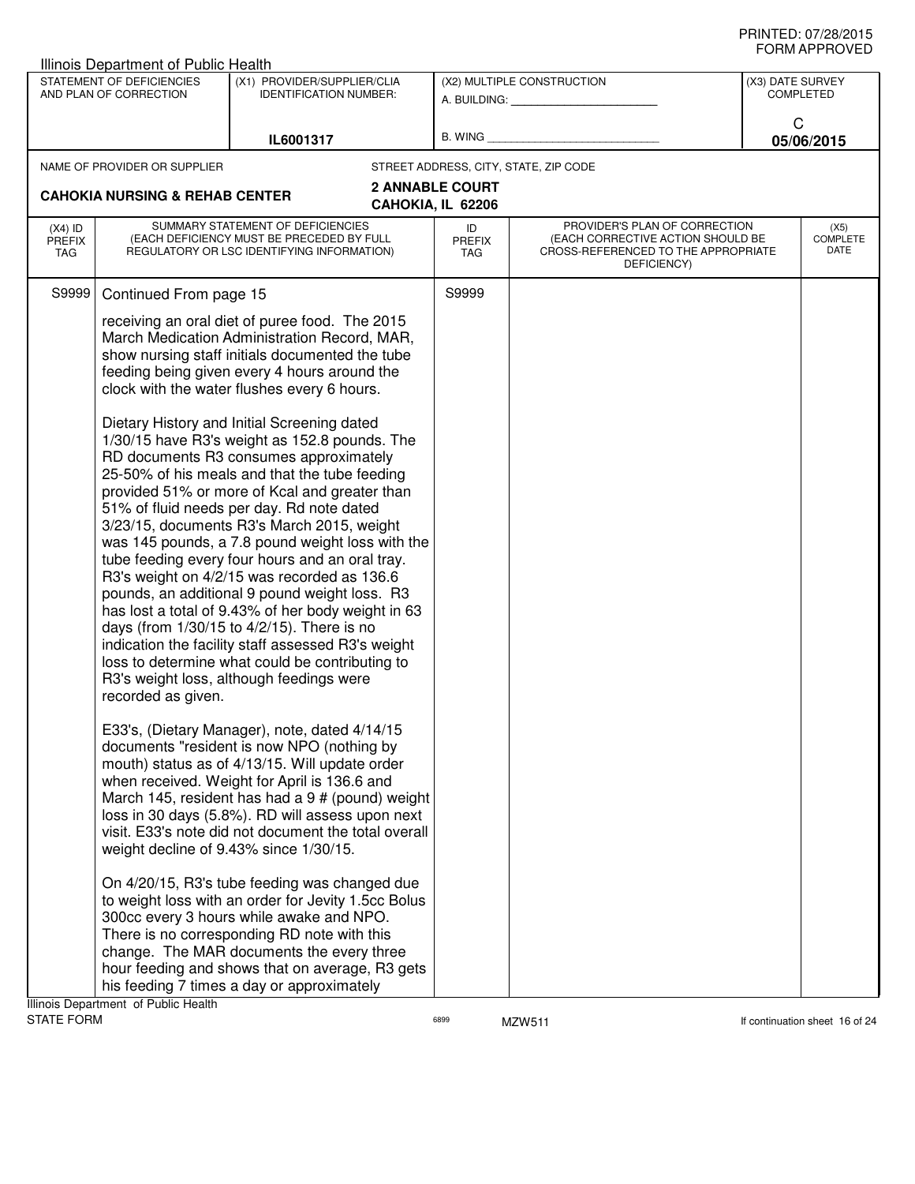|                                          | Illinois Department of Public Health                                      |                                                                                                                                                                                                                                                                                                                                                                                                                                                                                                                                                                                                                                                                                                                                                                                                                                                                                                                                                                                                                                                                                                                                                                                                                                                                                                                                                                                                                                                                                                                                                                                                                                                                                                                                                                                                                     |                                             |                                                                                                                          |                                 |
|------------------------------------------|---------------------------------------------------------------------------|---------------------------------------------------------------------------------------------------------------------------------------------------------------------------------------------------------------------------------------------------------------------------------------------------------------------------------------------------------------------------------------------------------------------------------------------------------------------------------------------------------------------------------------------------------------------------------------------------------------------------------------------------------------------------------------------------------------------------------------------------------------------------------------------------------------------------------------------------------------------------------------------------------------------------------------------------------------------------------------------------------------------------------------------------------------------------------------------------------------------------------------------------------------------------------------------------------------------------------------------------------------------------------------------------------------------------------------------------------------------------------------------------------------------------------------------------------------------------------------------------------------------------------------------------------------------------------------------------------------------------------------------------------------------------------------------------------------------------------------------------------------------------------------------------------------------|---------------------------------------------|--------------------------------------------------------------------------------------------------------------------------|---------------------------------|
|                                          | STATEMENT OF DEFICIENCIES<br>AND PLAN OF CORRECTION                       | (X1) PROVIDER/SUPPLIER/CLIA<br><b>IDENTIFICATION NUMBER:</b>                                                                                                                                                                                                                                                                                                                                                                                                                                                                                                                                                                                                                                                                                                                                                                                                                                                                                                                                                                                                                                                                                                                                                                                                                                                                                                                                                                                                                                                                                                                                                                                                                                                                                                                                                        |                                             | (X2) MULTIPLE CONSTRUCTION                                                                                               | (X3) DATE SURVEY<br>COMPLETED   |
|                                          |                                                                           | IL6001317                                                                                                                                                                                                                                                                                                                                                                                                                                                                                                                                                                                                                                                                                                                                                                                                                                                                                                                                                                                                                                                                                                                                                                                                                                                                                                                                                                                                                                                                                                                                                                                                                                                                                                                                                                                                           |                                             | B. WING <b>Example 2008</b>                                                                                              | C<br>05/06/2015                 |
|                                          | NAME OF PROVIDER OR SUPPLIER<br><b>CAHOKIA NURSING &amp; REHAB CENTER</b> |                                                                                                                                                                                                                                                                                                                                                                                                                                                                                                                                                                                                                                                                                                                                                                                                                                                                                                                                                                                                                                                                                                                                                                                                                                                                                                                                                                                                                                                                                                                                                                                                                                                                                                                                                                                                                     | <b>2 ANNABLE COURT</b><br>CAHOKIA, IL 62206 | STREET ADDRESS, CITY, STATE, ZIP CODE                                                                                    |                                 |
| $(X4)$ ID<br><b>PREFIX</b><br><b>TAG</b> |                                                                           | SUMMARY STATEMENT OF DEFICIENCIES<br>(EACH DEFICIENCY MUST BE PRECEDED BY FULL<br>REGULATORY OR LSC IDENTIFYING INFORMATION)                                                                                                                                                                                                                                                                                                                                                                                                                                                                                                                                                                                                                                                                                                                                                                                                                                                                                                                                                                                                                                                                                                                                                                                                                                                                                                                                                                                                                                                                                                                                                                                                                                                                                        | ID<br><b>PREFIX</b><br>TAG                  | PROVIDER'S PLAN OF CORRECTION<br>(EACH CORRECTIVE ACTION SHOULD BE<br>CROSS-REFERENCED TO THE APPROPRIATE<br>DEFICIENCY) | (X5)<br><b>COMPLETE</b><br>DATE |
| S9999                                    | Continued From page 15<br>recorded as given.                              | receiving an oral diet of puree food. The 2015<br>March Medication Administration Record, MAR,<br>show nursing staff initials documented the tube<br>feeding being given every 4 hours around the<br>clock with the water flushes every 6 hours.<br>Dietary History and Initial Screening dated<br>1/30/15 have R3's weight as 152.8 pounds. The<br>RD documents R3 consumes approximately<br>25-50% of his meals and that the tube feeding<br>provided 51% or more of Kcal and greater than<br>51% of fluid needs per day. Rd note dated<br>3/23/15, documents R3's March 2015, weight<br>was 145 pounds, a 7.8 pound weight loss with the<br>tube feeding every four hours and an oral tray.<br>R3's weight on 4/2/15 was recorded as 136.6<br>pounds, an additional 9 pound weight loss. R3<br>has lost a total of 9.43% of her body weight in 63<br>days (from 1/30/15 to 4/2/15). There is no<br>indication the facility staff assessed R3's weight<br>loss to determine what could be contributing to<br>R3's weight loss, although feedings were<br>E33's, (Dietary Manager), note, dated 4/14/15<br>documents "resident is now NPO (nothing by<br>mouth) status as of 4/13/15. Will update order<br>when received. Weight for April is 136.6 and<br>March 145, resident has had a 9 # (pound) weight<br>loss in 30 days (5.8%). RD will assess upon next<br>visit. E33's note did not document the total overall<br>weight decline of 9.43% since 1/30/15.<br>On 4/20/15, R3's tube feeding was changed due<br>to weight loss with an order for Jevity 1.5cc Bolus<br>300cc every 3 hours while awake and NPO.<br>There is no corresponding RD note with this<br>change. The MAR documents the every three<br>hour feeding and shows that on average, R3 gets<br>his feeding 7 times a day or approximately | S9999                                       |                                                                                                                          |                                 |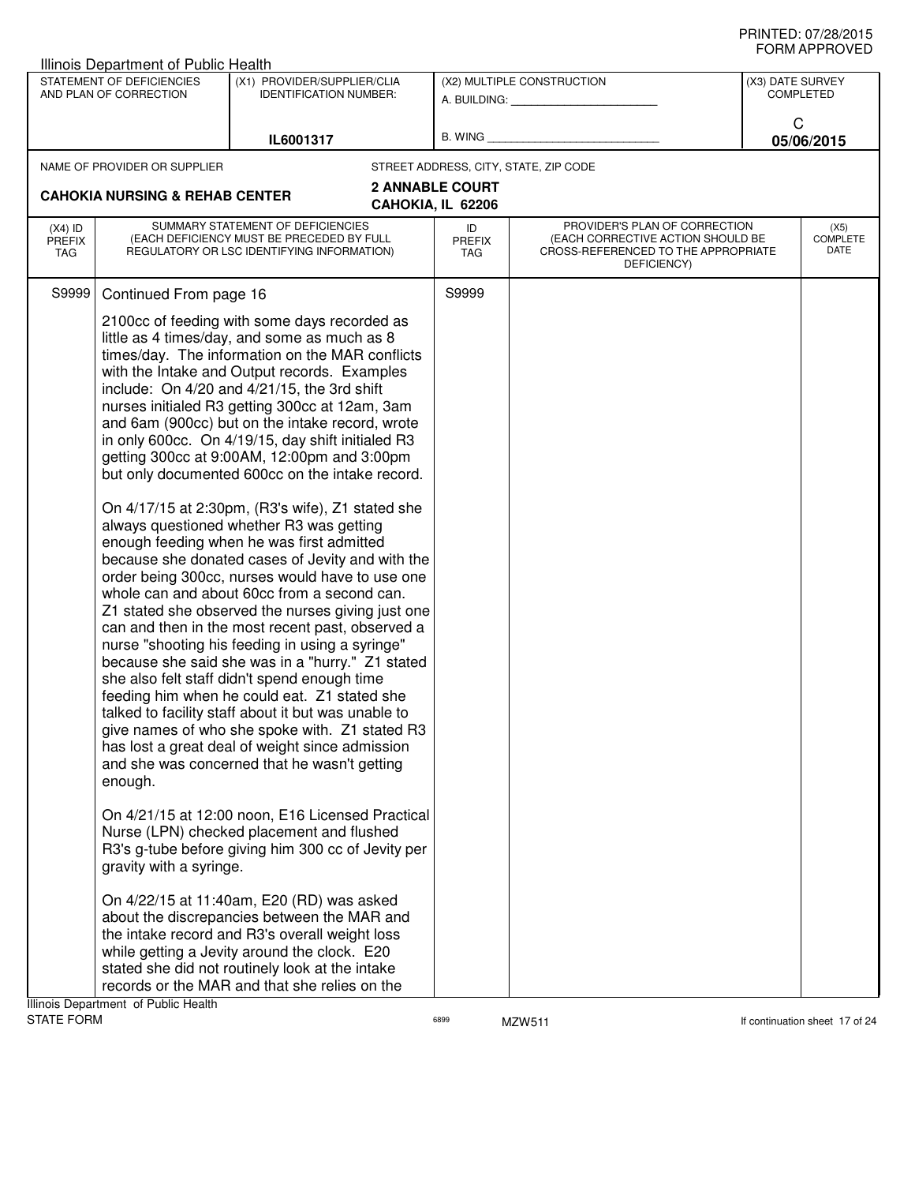| STATEMENT OF DEFICIENCIES<br>(X1) PROVIDER/SUPPLIER/CLIA<br>(X2) MULTIPLE CONSTRUCTION<br>(X3) DATE SURVEY<br>AND PLAN OF CORRECTION<br><b>COMPLETED</b><br><b>IDENTIFICATION NUMBER:</b><br>A. BUILDING: A.<br>C<br>B. WING<br>IL6001317<br>05/06/2015<br>STREET ADDRESS, CITY, STATE, ZIP CODE<br>NAME OF PROVIDER OR SUPPLIER<br><b>2 ANNABLE COURT</b><br><b>CAHOKIA NURSING &amp; REHAB CENTER</b><br>CAHOKIA, IL 62206<br>SUMMARY STATEMENT OF DEFICIENCIES<br>PROVIDER'S PLAN OF CORRECTION<br>$(X4)$ ID<br>ID<br>(X5)<br>COMPLETE<br>(EACH DEFICIENCY MUST BE PRECEDED BY FULL<br>(EACH CORRECTIVE ACTION SHOULD BE<br><b>PREFIX</b><br><b>PREFIX</b><br>DATE<br>REGULATORY OR LSC IDENTIFYING INFORMATION)<br>CROSS-REFERENCED TO THE APPROPRIATE<br>TAG<br>TAG<br>DEFICIENCY)<br>S9999<br>S9999<br>Continued From page 16<br>2100cc of feeding with some days recorded as<br>little as 4 times/day, and some as much as 8<br>times/day. The information on the MAR conflicts<br>with the Intake and Output records. Examples<br>include: On 4/20 and 4/21/15, the 3rd shift<br>nurses initialed R3 getting 300cc at 12am, 3am<br>and 6am (900cc) but on the intake record, wrote<br>in only 600cc. On 4/19/15, day shift initialed R3<br>getting 300cc at 9:00AM, 12:00pm and 3:00pm<br>but only documented 600cc on the intake record.<br>On 4/17/15 at 2:30pm, (R3's wife), Z1 stated she<br>always questioned whether R3 was getting<br>enough feeding when he was first admitted<br>because she donated cases of Jevity and with the<br>order being 300cc, nurses would have to use one<br>whole can and about 60cc from a second can.<br>Z1 stated she observed the nurses giving just one<br>can and then in the most recent past, observed a<br>nurse "shooting his feeding in using a syringe"<br>because she said she was in a "hurry." Z1 stated<br>she also felt staff didn't spend enough time<br>feeding him when he could eat. Z1 stated she<br>talked to facility staff about it but was unable to<br>give names of who she spoke with. Z1 stated R3<br>has lost a great deal of weight since admission<br>and she was concerned that he wasn't getting<br>enough.<br>On 4/21/15 at 12:00 noon, E16 Licensed Practical<br>Nurse (LPN) checked placement and flushed<br>R3's g-tube before giving him 300 cc of Jevity per<br>gravity with a syringe.<br>On 4/22/15 at 11:40am, E20 (RD) was asked<br>about the discrepancies between the MAR and<br>the intake record and R3's overall weight loss<br>while getting a Jevity around the clock. E20<br>stated she did not routinely look at the intake<br>records or the MAR and that she relies on the | Illinois Department of Public Health |  |  | שם עשורו ותואווט |
|---------------------------------------------------------------------------------------------------------------------------------------------------------------------------------------------------------------------------------------------------------------------------------------------------------------------------------------------------------------------------------------------------------------------------------------------------------------------------------------------------------------------------------------------------------------------------------------------------------------------------------------------------------------------------------------------------------------------------------------------------------------------------------------------------------------------------------------------------------------------------------------------------------------------------------------------------------------------------------------------------------------------------------------------------------------------------------------------------------------------------------------------------------------------------------------------------------------------------------------------------------------------------------------------------------------------------------------------------------------------------------------------------------------------------------------------------------------------------------------------------------------------------------------------------------------------------------------------------------------------------------------------------------------------------------------------------------------------------------------------------------------------------------------------------------------------------------------------------------------------------------------------------------------------------------------------------------------------------------------------------------------------------------------------------------------------------------------------------------------------------------------------------------------------------------------------------------------------------------------------------------------------------------------------------------------------------------------------------------------------------------------------------------------------------------------------------------------------------------------------------------------------------------------------------------------------------------------------------------------------------------------------------------------------------------|--------------------------------------|--|--|------------------|
|                                                                                                                                                                                                                                                                                                                                                                                                                                                                                                                                                                                                                                                                                                                                                                                                                                                                                                                                                                                                                                                                                                                                                                                                                                                                                                                                                                                                                                                                                                                                                                                                                                                                                                                                                                                                                                                                                                                                                                                                                                                                                                                                                                                                                                                                                                                                                                                                                                                                                                                                                                                                                                                                                 |                                      |  |  |                  |
|                                                                                                                                                                                                                                                                                                                                                                                                                                                                                                                                                                                                                                                                                                                                                                                                                                                                                                                                                                                                                                                                                                                                                                                                                                                                                                                                                                                                                                                                                                                                                                                                                                                                                                                                                                                                                                                                                                                                                                                                                                                                                                                                                                                                                                                                                                                                                                                                                                                                                                                                                                                                                                                                                 |                                      |  |  |                  |
|                                                                                                                                                                                                                                                                                                                                                                                                                                                                                                                                                                                                                                                                                                                                                                                                                                                                                                                                                                                                                                                                                                                                                                                                                                                                                                                                                                                                                                                                                                                                                                                                                                                                                                                                                                                                                                                                                                                                                                                                                                                                                                                                                                                                                                                                                                                                                                                                                                                                                                                                                                                                                                                                                 |                                      |  |  |                  |
|                                                                                                                                                                                                                                                                                                                                                                                                                                                                                                                                                                                                                                                                                                                                                                                                                                                                                                                                                                                                                                                                                                                                                                                                                                                                                                                                                                                                                                                                                                                                                                                                                                                                                                                                                                                                                                                                                                                                                                                                                                                                                                                                                                                                                                                                                                                                                                                                                                                                                                                                                                                                                                                                                 |                                      |  |  |                  |
|                                                                                                                                                                                                                                                                                                                                                                                                                                                                                                                                                                                                                                                                                                                                                                                                                                                                                                                                                                                                                                                                                                                                                                                                                                                                                                                                                                                                                                                                                                                                                                                                                                                                                                                                                                                                                                                                                                                                                                                                                                                                                                                                                                                                                                                                                                                                                                                                                                                                                                                                                                                                                                                                                 |                                      |  |  |                  |
|                                                                                                                                                                                                                                                                                                                                                                                                                                                                                                                                                                                                                                                                                                                                                                                                                                                                                                                                                                                                                                                                                                                                                                                                                                                                                                                                                                                                                                                                                                                                                                                                                                                                                                                                                                                                                                                                                                                                                                                                                                                                                                                                                                                                                                                                                                                                                                                                                                                                                                                                                                                                                                                                                 |                                      |  |  |                  |
|                                                                                                                                                                                                                                                                                                                                                                                                                                                                                                                                                                                                                                                                                                                                                                                                                                                                                                                                                                                                                                                                                                                                                                                                                                                                                                                                                                                                                                                                                                                                                                                                                                                                                                                                                                                                                                                                                                                                                                                                                                                                                                                                                                                                                                                                                                                                                                                                                                                                                                                                                                                                                                                                                 |                                      |  |  |                  |
| Illinois Department of Public Health                                                                                                                                                                                                                                                                                                                                                                                                                                                                                                                                                                                                                                                                                                                                                                                                                                                                                                                                                                                                                                                                                                                                                                                                                                                                                                                                                                                                                                                                                                                                                                                                                                                                                                                                                                                                                                                                                                                                                                                                                                                                                                                                                                                                                                                                                                                                                                                                                                                                                                                                                                                                                                            |                                      |  |  |                  |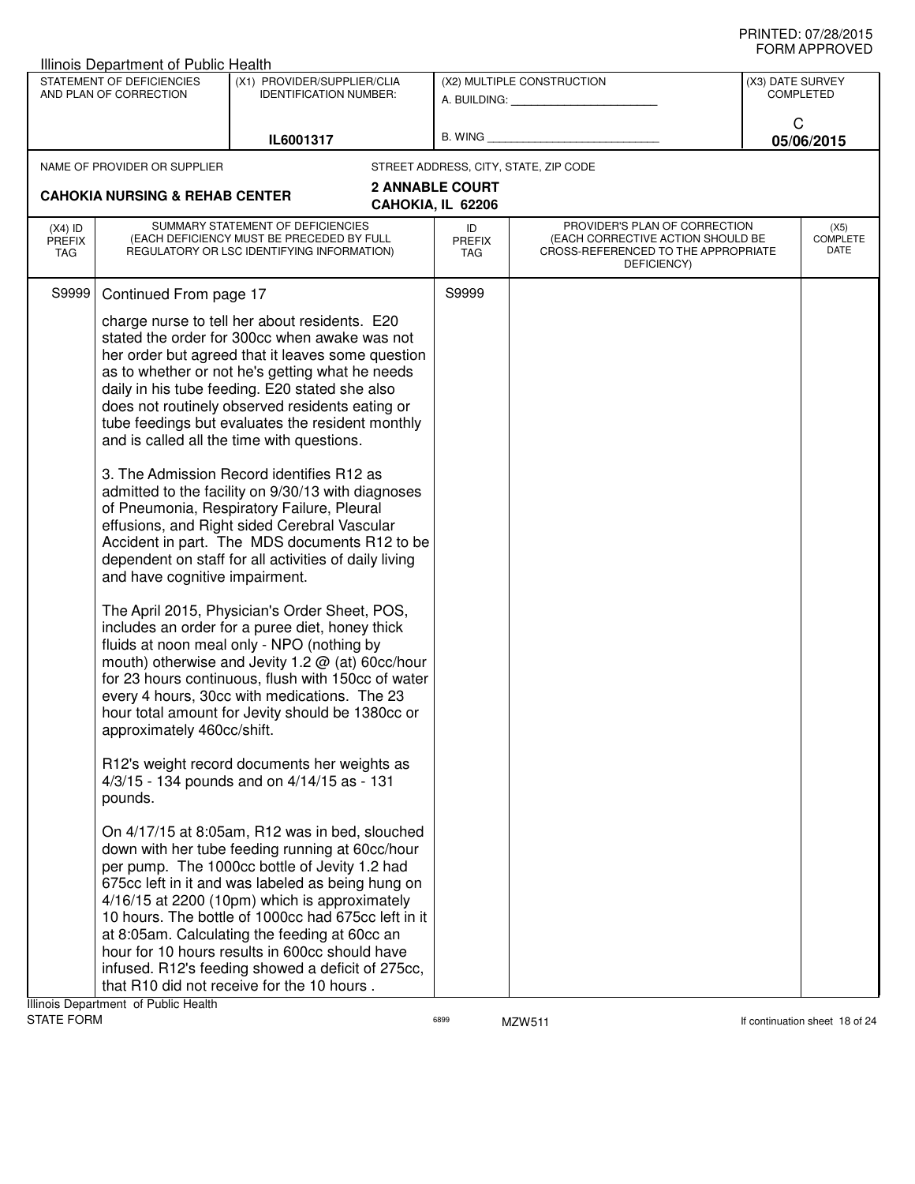|                                   | Illinois Department of Public Health                                    |                                                                                                                                                                                                                                                                                                                                                                                                                                                                                                                                                                                                                                                                                                                                                                                                                                                                                                                                                                                                                                                                                                                                                                                                                                                                                                                                                                                                                                                                                                                                                                                                                                                                                                                  |                                             |                                                                                                                          |                  | ◡੶┉┌┅ ┌ ┌ ┌ ∪ ∪ ∟◡              |
|-----------------------------------|-------------------------------------------------------------------------|------------------------------------------------------------------------------------------------------------------------------------------------------------------------------------------------------------------------------------------------------------------------------------------------------------------------------------------------------------------------------------------------------------------------------------------------------------------------------------------------------------------------------------------------------------------------------------------------------------------------------------------------------------------------------------------------------------------------------------------------------------------------------------------------------------------------------------------------------------------------------------------------------------------------------------------------------------------------------------------------------------------------------------------------------------------------------------------------------------------------------------------------------------------------------------------------------------------------------------------------------------------------------------------------------------------------------------------------------------------------------------------------------------------------------------------------------------------------------------------------------------------------------------------------------------------------------------------------------------------------------------------------------------------------------------------------------------------|---------------------------------------------|--------------------------------------------------------------------------------------------------------------------------|------------------|---------------------------------|
|                                   | STATEMENT OF DEFICIENCIES<br>AND PLAN OF CORRECTION                     | (X1) PROVIDER/SUPPLIER/CLIA<br><b>IDENTIFICATION NUMBER:</b>                                                                                                                                                                                                                                                                                                                                                                                                                                                                                                                                                                                                                                                                                                                                                                                                                                                                                                                                                                                                                                                                                                                                                                                                                                                                                                                                                                                                                                                                                                                                                                                                                                                     |                                             | (X2) MULTIPLE CONSTRUCTION<br>A. BUILDING: A. BUILDING:                                                                  | (X3) DATE SURVEY | <b>COMPLETED</b>                |
|                                   |                                                                         | IL6001317                                                                                                                                                                                                                                                                                                                                                                                                                                                                                                                                                                                                                                                                                                                                                                                                                                                                                                                                                                                                                                                                                                                                                                                                                                                                                                                                                                                                                                                                                                                                                                                                                                                                                                        |                                             | B. WING <b>Example 20</b>                                                                                                | C                | 05/06/2015                      |
|                                   | NAME OF PROVIDER OR SUPPLIER                                            |                                                                                                                                                                                                                                                                                                                                                                                                                                                                                                                                                                                                                                                                                                                                                                                                                                                                                                                                                                                                                                                                                                                                                                                                                                                                                                                                                                                                                                                                                                                                                                                                                                                                                                                  |                                             | STREET ADDRESS, CITY, STATE, ZIP CODE                                                                                    |                  |                                 |
|                                   | <b>CAHOKIA NURSING &amp; REHAB CENTER</b>                               |                                                                                                                                                                                                                                                                                                                                                                                                                                                                                                                                                                                                                                                                                                                                                                                                                                                                                                                                                                                                                                                                                                                                                                                                                                                                                                                                                                                                                                                                                                                                                                                                                                                                                                                  | <b>2 ANNABLE COURT</b><br>CAHOKIA, IL 62206 |                                                                                                                          |                  |                                 |
| $(X4)$ ID<br><b>PREFIX</b><br>TAG |                                                                         | SUMMARY STATEMENT OF DEFICIENCIES<br>(EACH DEFICIENCY MUST BE PRECEDED BY FULL<br>REGULATORY OR LSC IDENTIFYING INFORMATION)                                                                                                                                                                                                                                                                                                                                                                                                                                                                                                                                                                                                                                                                                                                                                                                                                                                                                                                                                                                                                                                                                                                                                                                                                                                                                                                                                                                                                                                                                                                                                                                     | ID<br><b>PREFIX</b><br>TAG                  | PROVIDER'S PLAN OF CORRECTION<br>(EACH CORRECTIVE ACTION SHOULD BE<br>CROSS-REFERENCED TO THE APPROPRIATE<br>DEFICIENCY) |                  | (X5)<br><b>COMPLETE</b><br>DATE |
| S9999                             | Continued From page 17                                                  |                                                                                                                                                                                                                                                                                                                                                                                                                                                                                                                                                                                                                                                                                                                                                                                                                                                                                                                                                                                                                                                                                                                                                                                                                                                                                                                                                                                                                                                                                                                                                                                                                                                                                                                  | S9999                                       |                                                                                                                          |                  |                                 |
|                                   | and have cognitive impairment.<br>approximately 460cc/shift.<br>pounds. | charge nurse to tell her about residents. E20<br>stated the order for 300cc when awake was not<br>her order but agreed that it leaves some question<br>as to whether or not he's getting what he needs<br>daily in his tube feeding. E20 stated she also<br>does not routinely observed residents eating or<br>tube feedings but evaluates the resident monthly<br>and is called all the time with questions.<br>3. The Admission Record identifies R12 as<br>admitted to the facility on 9/30/13 with diagnoses<br>of Pneumonia, Respiratory Failure, Pleural<br>effusions, and Right sided Cerebral Vascular<br>Accident in part. The MDS documents R12 to be<br>dependent on staff for all activities of daily living<br>The April 2015, Physician's Order Sheet, POS,<br>includes an order for a puree diet, honey thick<br>fluids at noon meal only - NPO (nothing by<br>mouth) otherwise and Jevity 1.2 @ (at) 60cc/hour<br>for 23 hours continuous, flush with 150cc of water<br>every 4 hours, 30cc with medications. The 23<br>hour total amount for Jevity should be 1380cc or<br>R12's weight record documents her weights as<br>4/3/15 - 134 pounds and on 4/14/15 as - 131<br>On 4/17/15 at 8:05am, R12 was in bed, slouched<br>down with her tube feeding running at 60cc/hour<br>per pump. The 1000cc bottle of Jevity 1.2 had<br>675cc left in it and was labeled as being hung on<br>4/16/15 at 2200 (10pm) which is approximately<br>10 hours. The bottle of 1000cc had 675cc left in it<br>at 8:05am. Calculating the feeding at 60cc an<br>hour for 10 hours results in 600cc should have<br>infused. R12's feeding showed a deficit of 275cc,<br>that R10 did not receive for the 10 hours. |                                             |                                                                                                                          |                  |                                 |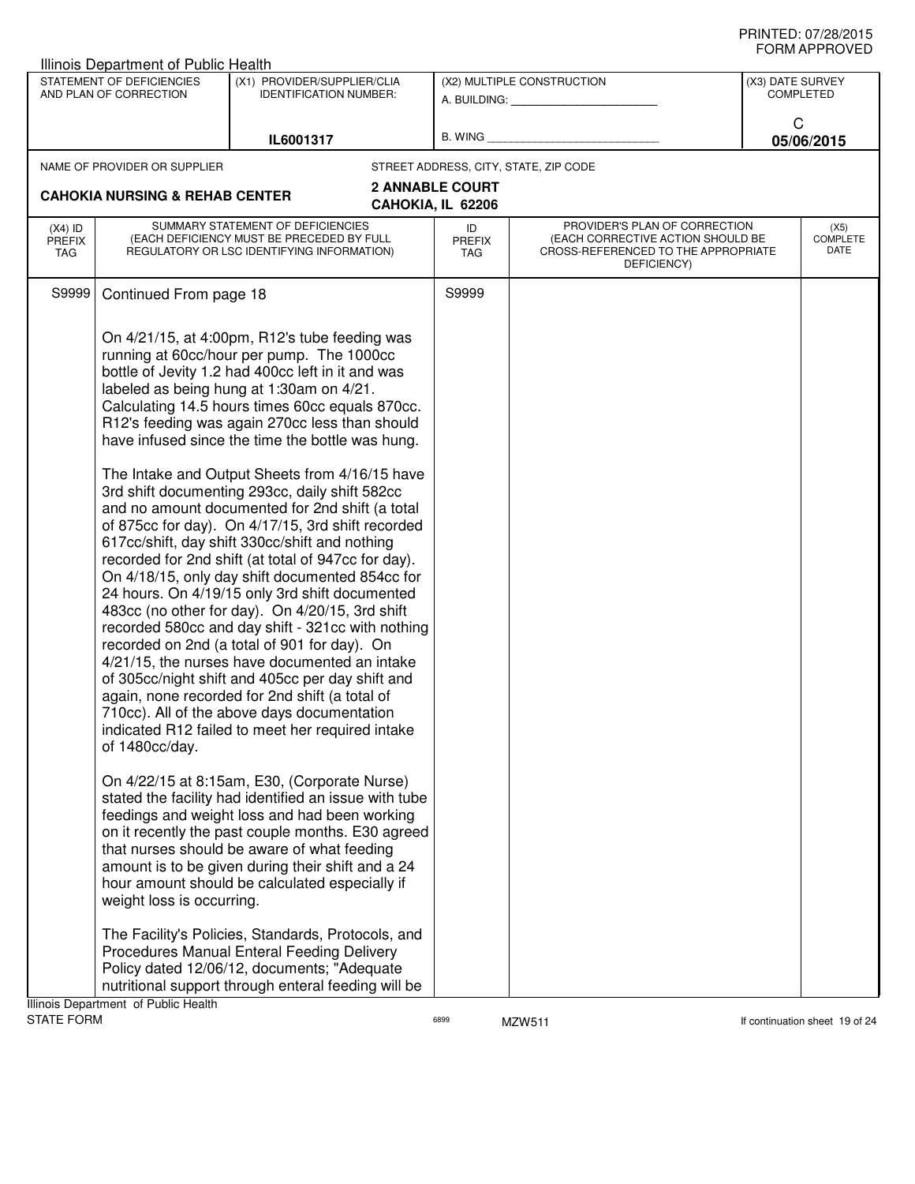|                                   | Illinois Department of Public Health                                                |                                                                                                                                                                                                                                                                                                                                                                                                                                                                                                                                                                                                                                                                                                                                                                                                                                                                                                                                                                                                                                                                                                                                                                                                                                                                                                                                                                                                                                                                                                                                                                                                                                                                                                                                                                                 |                                                                 |                                                                                                                          |                  | ◡੶┉灬┌┅ ・・・∪ ▼ 느◡                |
|-----------------------------------|-------------------------------------------------------------------------------------|---------------------------------------------------------------------------------------------------------------------------------------------------------------------------------------------------------------------------------------------------------------------------------------------------------------------------------------------------------------------------------------------------------------------------------------------------------------------------------------------------------------------------------------------------------------------------------------------------------------------------------------------------------------------------------------------------------------------------------------------------------------------------------------------------------------------------------------------------------------------------------------------------------------------------------------------------------------------------------------------------------------------------------------------------------------------------------------------------------------------------------------------------------------------------------------------------------------------------------------------------------------------------------------------------------------------------------------------------------------------------------------------------------------------------------------------------------------------------------------------------------------------------------------------------------------------------------------------------------------------------------------------------------------------------------------------------------------------------------------------------------------------------------|-----------------------------------------------------------------|--------------------------------------------------------------------------------------------------------------------------|------------------|---------------------------------|
|                                   | STATEMENT OF DEFICIENCIES<br>AND PLAN OF CORRECTION                                 | (X1) PROVIDER/SUPPLIER/CLIA<br><b>IDENTIFICATION NUMBER:</b>                                                                                                                                                                                                                                                                                                                                                                                                                                                                                                                                                                                                                                                                                                                                                                                                                                                                                                                                                                                                                                                                                                                                                                                                                                                                                                                                                                                                                                                                                                                                                                                                                                                                                                                    |                                                                 | (X2) MULTIPLE CONSTRUCTION<br>A. BUILDING: A. BUILDING:                                                                  | (X3) DATE SURVEY | <b>COMPLETED</b>                |
|                                   |                                                                                     | IL6001317                                                                                                                                                                                                                                                                                                                                                                                                                                                                                                                                                                                                                                                                                                                                                                                                                                                                                                                                                                                                                                                                                                                                                                                                                                                                                                                                                                                                                                                                                                                                                                                                                                                                                                                                                                       |                                                                 | B. WING <b>Example 2008</b>                                                                                              | C                | 05/06/2015                      |
|                                   | NAME OF PROVIDER OR SUPPLIER<br><b>CAHOKIA NURSING &amp; REHAB CENTER</b>           |                                                                                                                                                                                                                                                                                                                                                                                                                                                                                                                                                                                                                                                                                                                                                                                                                                                                                                                                                                                                                                                                                                                                                                                                                                                                                                                                                                                                                                                                                                                                                                                                                                                                                                                                                                                 | STREET ADDRESS, CITY, STATE, ZIP CODE<br><b>2 ANNABLE COURT</b> |                                                                                                                          |                  |                                 |
|                                   |                                                                                     |                                                                                                                                                                                                                                                                                                                                                                                                                                                                                                                                                                                                                                                                                                                                                                                                                                                                                                                                                                                                                                                                                                                                                                                                                                                                                                                                                                                                                                                                                                                                                                                                                                                                                                                                                                                 | CAHOKIA, IL 62206                                               |                                                                                                                          |                  |                                 |
| $(X4)$ ID<br><b>PREFIX</b><br>TAG |                                                                                     | SUMMARY STATEMENT OF DEFICIENCIES<br>(EACH DEFICIENCY MUST BE PRECEDED BY FULL<br>REGULATORY OR LSC IDENTIFYING INFORMATION)                                                                                                                                                                                                                                                                                                                                                                                                                                                                                                                                                                                                                                                                                                                                                                                                                                                                                                                                                                                                                                                                                                                                                                                                                                                                                                                                                                                                                                                                                                                                                                                                                                                    | ID<br><b>PREFIX</b><br>TAG                                      | PROVIDER'S PLAN OF CORRECTION<br>(EACH CORRECTIVE ACTION SHOULD BE<br>CROSS-REFERENCED TO THE APPROPRIATE<br>DEFICIENCY) |                  | (X5)<br><b>COMPLETE</b><br>DATE |
| S9999                             | Continued From page 18                                                              |                                                                                                                                                                                                                                                                                                                                                                                                                                                                                                                                                                                                                                                                                                                                                                                                                                                                                                                                                                                                                                                                                                                                                                                                                                                                                                                                                                                                                                                                                                                                                                                                                                                                                                                                                                                 | S9999                                                           |                                                                                                                          |                  |                                 |
|                                   | of 1480cc/day.<br>weight loss is occurring.<br>Illinois Department of Public Health | On 4/21/15, at 4:00pm, R12's tube feeding was<br>running at 60cc/hour per pump. The 1000cc<br>bottle of Jevity 1.2 had 400cc left in it and was<br>labeled as being hung at 1:30am on 4/21.<br>Calculating 14.5 hours times 60cc equals 870cc.<br>R12's feeding was again 270cc less than should<br>have infused since the time the bottle was hung.<br>The Intake and Output Sheets from 4/16/15 have<br>3rd shift documenting 293cc, daily shift 582cc<br>and no amount documented for 2nd shift (a total<br>of 875cc for day). On 4/17/15, 3rd shift recorded<br>617cc/shift, day shift 330cc/shift and nothing<br>recorded for 2nd shift (at total of 947cc for day).<br>On 4/18/15, only day shift documented 854cc for<br>24 hours. On 4/19/15 only 3rd shift documented<br>483cc (no other for day). On 4/20/15, 3rd shift<br>recorded 580cc and day shift - 321cc with nothing<br>recorded on 2nd (a total of 901 for day). On<br>4/21/15, the nurses have documented an intake<br>of 305cc/night shift and 405cc per day shift and<br>again, none recorded for 2nd shift (a total of<br>710cc). All of the above days documentation<br>indicated R12 failed to meet her required intake<br>On 4/22/15 at 8:15am, E30, (Corporate Nurse)<br>stated the facility had identified an issue with tube<br>feedings and weight loss and had been working<br>on it recently the past couple months. E30 agreed<br>that nurses should be aware of what feeding<br>amount is to be given during their shift and a 24<br>hour amount should be calculated especially if<br>The Facility's Policies, Standards, Protocols, and<br>Procedures Manual Enteral Feeding Delivery<br>Policy dated 12/06/12, documents; "Adequate<br>nutritional support through enteral feeding will be |                                                                 |                                                                                                                          |                  |                                 |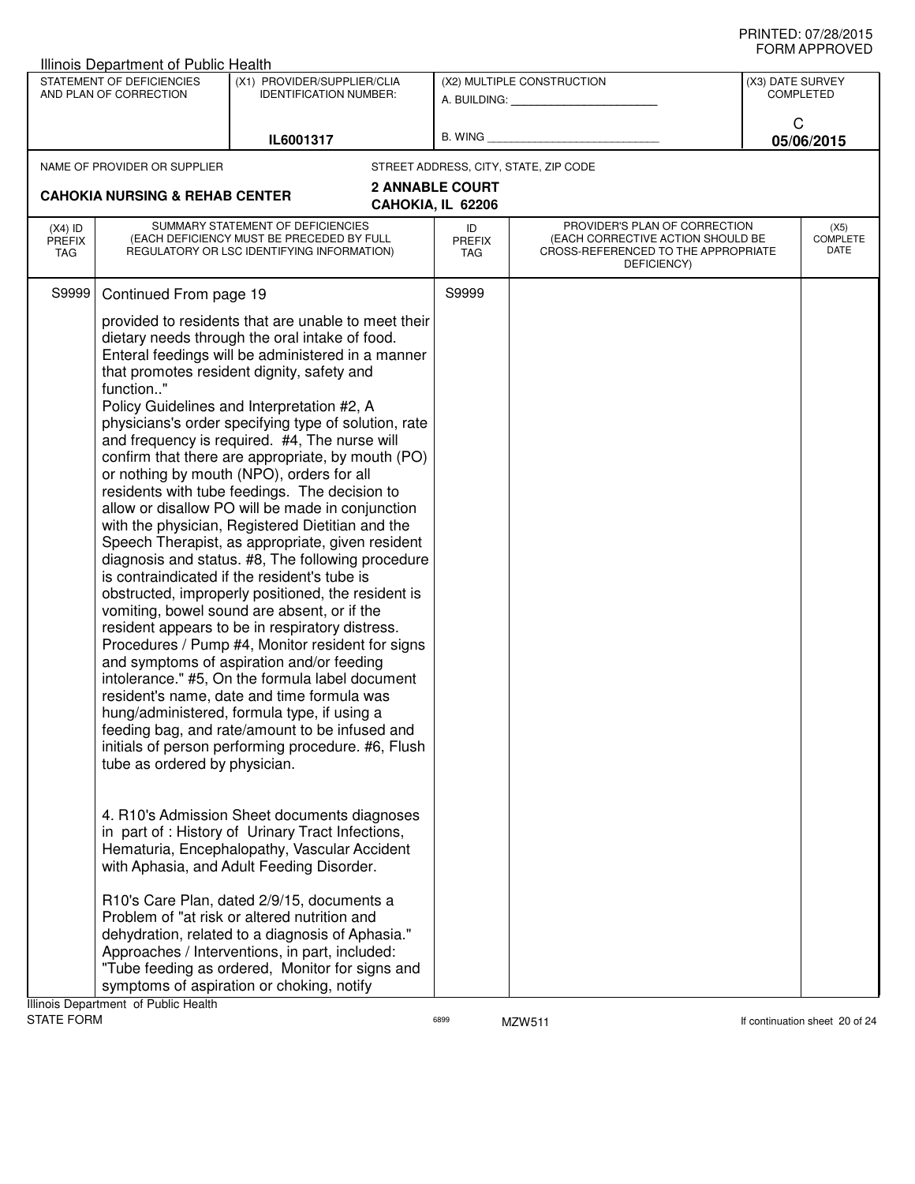|                                          | Illinois Department of Public Health                |                                                                                                                                                                                                                                                                                                                                                                                                                                                                                                                                                                                                                                                                                                                                                                                                                                                                                                                                                                                                                                                                                                                                                                                                                                                                                                                                                                                                                                                                                                                                                                                                                                                                                                                                                                                                            |                            |                                                                                                                          |                  | <b>JI UVI AI I I IV</b> V L D   |
|------------------------------------------|-----------------------------------------------------|------------------------------------------------------------------------------------------------------------------------------------------------------------------------------------------------------------------------------------------------------------------------------------------------------------------------------------------------------------------------------------------------------------------------------------------------------------------------------------------------------------------------------------------------------------------------------------------------------------------------------------------------------------------------------------------------------------------------------------------------------------------------------------------------------------------------------------------------------------------------------------------------------------------------------------------------------------------------------------------------------------------------------------------------------------------------------------------------------------------------------------------------------------------------------------------------------------------------------------------------------------------------------------------------------------------------------------------------------------------------------------------------------------------------------------------------------------------------------------------------------------------------------------------------------------------------------------------------------------------------------------------------------------------------------------------------------------------------------------------------------------------------------------------------------------|----------------------------|--------------------------------------------------------------------------------------------------------------------------|------------------|---------------------------------|
|                                          | STATEMENT OF DEFICIENCIES<br>AND PLAN OF CORRECTION | (X1) PROVIDER/SUPPLIER/CLIA<br><b>IDENTIFICATION NUMBER:</b>                                                                                                                                                                                                                                                                                                                                                                                                                                                                                                                                                                                                                                                                                                                                                                                                                                                                                                                                                                                                                                                                                                                                                                                                                                                                                                                                                                                                                                                                                                                                                                                                                                                                                                                                               |                            | (X2) MULTIPLE CONSTRUCTION<br>A. BUILDING: A. BUILDING:                                                                  | (X3) DATE SURVEY | <b>COMPLETED</b>                |
|                                          |                                                     | IL6001317                                                                                                                                                                                                                                                                                                                                                                                                                                                                                                                                                                                                                                                                                                                                                                                                                                                                                                                                                                                                                                                                                                                                                                                                                                                                                                                                                                                                                                                                                                                                                                                                                                                                                                                                                                                                  |                            | B. WING <b>Example 2008</b>                                                                                              | C                | 05/06/2015                      |
|                                          | NAME OF PROVIDER OR SUPPLIER                        |                                                                                                                                                                                                                                                                                                                                                                                                                                                                                                                                                                                                                                                                                                                                                                                                                                                                                                                                                                                                                                                                                                                                                                                                                                                                                                                                                                                                                                                                                                                                                                                                                                                                                                                                                                                                            |                            | STREET ADDRESS, CITY, STATE, ZIP CODE                                                                                    |                  |                                 |
|                                          | <b>CAHOKIA NURSING &amp; REHAB CENTER</b>           |                                                                                                                                                                                                                                                                                                                                                                                                                                                                                                                                                                                                                                                                                                                                                                                                                                                                                                                                                                                                                                                                                                                                                                                                                                                                                                                                                                                                                                                                                                                                                                                                                                                                                                                                                                                                            | <b>2 ANNABLE COURT</b>     |                                                                                                                          |                  |                                 |
|                                          |                                                     |                                                                                                                                                                                                                                                                                                                                                                                                                                                                                                                                                                                                                                                                                                                                                                                                                                                                                                                                                                                                                                                                                                                                                                                                                                                                                                                                                                                                                                                                                                                                                                                                                                                                                                                                                                                                            | CAHOKIA, IL 62206          |                                                                                                                          |                  |                                 |
| $(X4)$ ID<br><b>PREFIX</b><br><b>TAG</b> |                                                     | SUMMARY STATEMENT OF DEFICIENCIES<br>(EACH DEFICIENCY MUST BE PRECEDED BY FULL<br>REGULATORY OR LSC IDENTIFYING INFORMATION)                                                                                                                                                                                                                                                                                                                                                                                                                                                                                                                                                                                                                                                                                                                                                                                                                                                                                                                                                                                                                                                                                                                                                                                                                                                                                                                                                                                                                                                                                                                                                                                                                                                                               | ID<br><b>PREFIX</b><br>TAG | PROVIDER'S PLAN OF CORRECTION<br>(EACH CORRECTIVE ACTION SHOULD BE<br>CROSS-REFERENCED TO THE APPROPRIATE<br>DEFICIENCY) |                  | (X5)<br><b>COMPLETE</b><br>DATE |
| S9999                                    | Continued From page 19                              |                                                                                                                                                                                                                                                                                                                                                                                                                                                                                                                                                                                                                                                                                                                                                                                                                                                                                                                                                                                                                                                                                                                                                                                                                                                                                                                                                                                                                                                                                                                                                                                                                                                                                                                                                                                                            | S9999                      |                                                                                                                          |                  |                                 |
|                                          | function"<br>tube as ordered by physician.          | provided to residents that are unable to meet their<br>dietary needs through the oral intake of food.<br>Enteral feedings will be administered in a manner<br>that promotes resident dignity, safety and<br>Policy Guidelines and Interpretation #2, A<br>physicians's order specifying type of solution, rate<br>and frequency is required. #4, The nurse will<br>confirm that there are appropriate, by mouth (PO)<br>or nothing by mouth (NPO), orders for all<br>residents with tube feedings. The decision to<br>allow or disallow PO will be made in conjunction<br>with the physician, Registered Dietitian and the<br>Speech Therapist, as appropriate, given resident<br>diagnosis and status. #8, The following procedure<br>is contraindicated if the resident's tube is<br>obstructed, improperly positioned, the resident is<br>vomiting, bowel sound are absent, or if the<br>resident appears to be in respiratory distress.<br>Procedures / Pump #4, Monitor resident for signs<br>and symptoms of aspiration and/or feeding<br>intolerance." #5, On the formula label document<br>resident's name, date and time formula was<br>hung/administered, formula type, if using a<br>feeding bag, and rate/amount to be infused and<br>initials of person performing procedure. #6, Flush<br>4. R10's Admission Sheet documents diagnoses<br>in part of : History of Urinary Tract Infections,<br>Hematuria, Encephalopathy, Vascular Accident<br>with Aphasia, and Adult Feeding Disorder.<br>R10's Care Plan, dated 2/9/15, documents a<br>Problem of "at risk or altered nutrition and<br>dehydration, related to a diagnosis of Aphasia."<br>Approaches / Interventions, in part, included:<br>"Tube feeding as ordered, Monitor for signs and<br>symptoms of aspiration or choking, notify |                            |                                                                                                                          |                  |                                 |
| <b>STATE FORM</b>                        | Illinois Department of Public Health                |                                                                                                                                                                                                                                                                                                                                                                                                                                                                                                                                                                                                                                                                                                                                                                                                                                                                                                                                                                                                                                                                                                                                                                                                                                                                                                                                                                                                                                                                                                                                                                                                                                                                                                                                                                                                            | 6899                       | MZW511                                                                                                                   |                  | If continuation sheet 20 of 24  |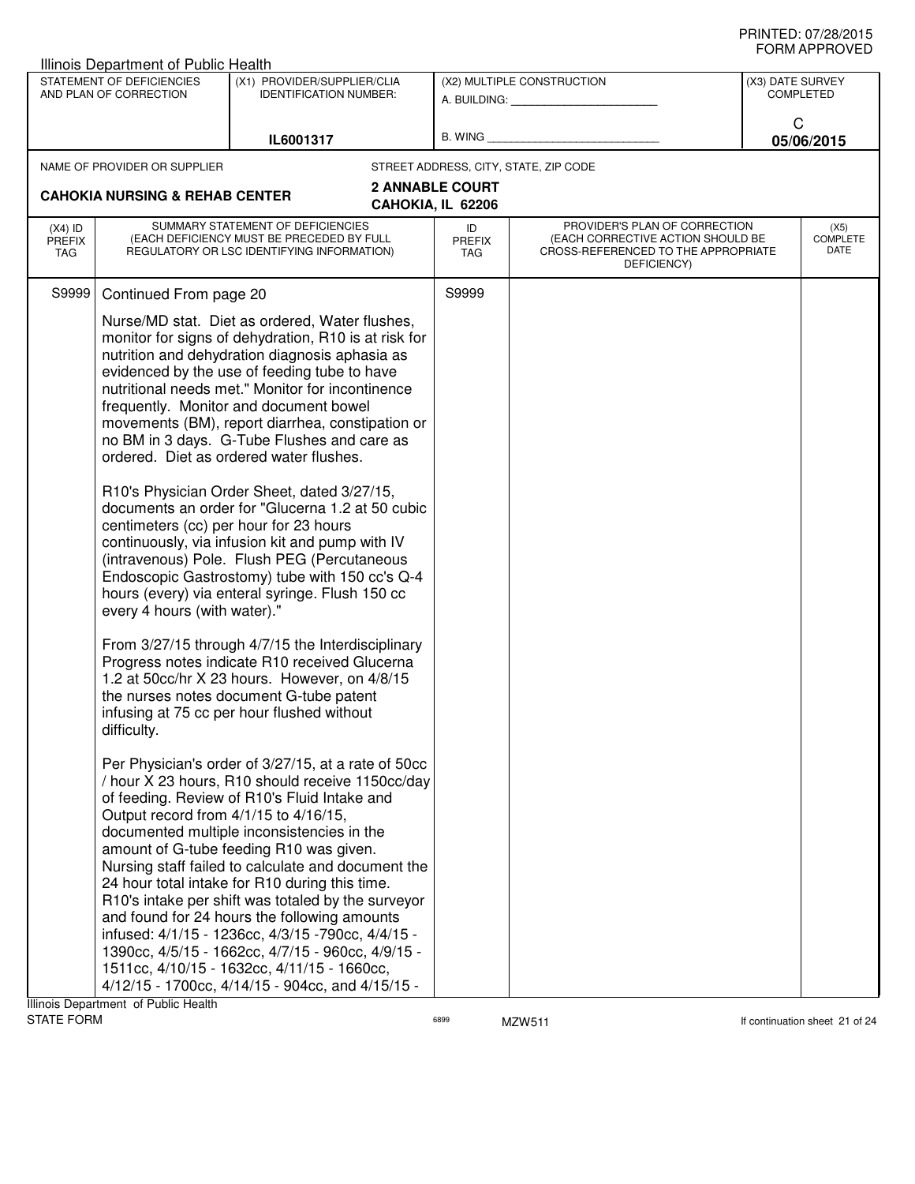| STATEMENT OF DEFICIENCIES<br>(X1) PROVIDER/SUPPLIER/CLIA<br>(X2) MULTIPLE CONSTRUCTION<br>(X3) DATE SURVEY<br>AND PLAN OF CORRECTION<br><b>IDENTIFICATION NUMBER:</b><br><b>COMPLETED</b><br>A. BUILDING: ________________<br>C<br>B. WING <b>Example 2008</b><br>IL6001317<br>05/06/2015<br>STREET ADDRESS, CITY, STATE, ZIP CODE<br>NAME OF PROVIDER OR SUPPLIER<br><b>2 ANNABLE COURT</b><br><b>CAHOKIA NURSING &amp; REHAB CENTER</b><br>CAHOKIA, IL 62206<br>SUMMARY STATEMENT OF DEFICIENCIES<br>PROVIDER'S PLAN OF CORRECTION<br>$(X4)$ ID<br>ID<br>(X5)<br>COMPLETE<br>(EACH DEFICIENCY MUST BE PRECEDED BY FULL<br>(EACH CORRECTIVE ACTION SHOULD BE<br><b>PREFIX</b><br><b>PREFIX</b><br>DATE<br>CROSS-REFERENCED TO THE APPROPRIATE<br>REGULATORY OR LSC IDENTIFYING INFORMATION)<br>TAG<br>TAG<br>DEFICIENCY)<br>Continued From page 20<br>S9999<br>S9999<br>Nurse/MD stat. Diet as ordered, Water flushes,<br>monitor for signs of dehydration, R10 is at risk for<br>nutrition and dehydration diagnosis aphasia as<br>evidenced by the use of feeding tube to have<br>nutritional needs met." Monitor for incontinence<br>frequently. Monitor and document bowel<br>movements (BM), report diarrhea, constipation or<br>no BM in 3 days. G-Tube Flushes and care as<br>ordered. Diet as ordered water flushes.<br>R10's Physician Order Sheet, dated 3/27/15,<br>documents an order for "Glucerna 1.2 at 50 cubic<br>centimeters (cc) per hour for 23 hours<br>continuously, via infusion kit and pump with IV<br>(intravenous) Pole. Flush PEG (Percutaneous<br>Endoscopic Gastrostomy) tube with 150 cc's Q-4<br>hours (every) via enteral syringe. Flush 150 cc<br>every 4 hours (with water)."<br>From 3/27/15 through 4/7/15 the Interdisciplinary<br>Progress notes indicate R10 received Glucerna<br>1.2 at 50cc/hr X 23 hours. However, on 4/8/15<br>the nurses notes document G-tube patent | Illinois Department of Public Health  |                                                                                                                                                                                                                                                                                                                                                                                                                                                                                                                                                                  |  |  |
|---------------------------------------------------------------------------------------------------------------------------------------------------------------------------------------------------------------------------------------------------------------------------------------------------------------------------------------------------------------------------------------------------------------------------------------------------------------------------------------------------------------------------------------------------------------------------------------------------------------------------------------------------------------------------------------------------------------------------------------------------------------------------------------------------------------------------------------------------------------------------------------------------------------------------------------------------------------------------------------------------------------------------------------------------------------------------------------------------------------------------------------------------------------------------------------------------------------------------------------------------------------------------------------------------------------------------------------------------------------------------------------------------------------------------------------------------------------------------------------------------------------------------------------------------------------------------------------------------------------------------------------------------------------------------------------------------------------------------------------------------------------------------------------------------------------------------------------------------------------------------------------------------------------------|---------------------------------------|------------------------------------------------------------------------------------------------------------------------------------------------------------------------------------------------------------------------------------------------------------------------------------------------------------------------------------------------------------------------------------------------------------------------------------------------------------------------------------------------------------------------------------------------------------------|--|--|
|                                                                                                                                                                                                                                                                                                                                                                                                                                                                                                                                                                                                                                                                                                                                                                                                                                                                                                                                                                                                                                                                                                                                                                                                                                                                                                                                                                                                                                                                                                                                                                                                                                                                                                                                                                                                                                                                                                                     |                                       |                                                                                                                                                                                                                                                                                                                                                                                                                                                                                                                                                                  |  |  |
|                                                                                                                                                                                                                                                                                                                                                                                                                                                                                                                                                                                                                                                                                                                                                                                                                                                                                                                                                                                                                                                                                                                                                                                                                                                                                                                                                                                                                                                                                                                                                                                                                                                                                                                                                                                                                                                                                                                     |                                       |                                                                                                                                                                                                                                                                                                                                                                                                                                                                                                                                                                  |  |  |
|                                                                                                                                                                                                                                                                                                                                                                                                                                                                                                                                                                                                                                                                                                                                                                                                                                                                                                                                                                                                                                                                                                                                                                                                                                                                                                                                                                                                                                                                                                                                                                                                                                                                                                                                                                                                                                                                                                                     |                                       |                                                                                                                                                                                                                                                                                                                                                                                                                                                                                                                                                                  |  |  |
|                                                                                                                                                                                                                                                                                                                                                                                                                                                                                                                                                                                                                                                                                                                                                                                                                                                                                                                                                                                                                                                                                                                                                                                                                                                                                                                                                                                                                                                                                                                                                                                                                                                                                                                                                                                                                                                                                                                     |                                       |                                                                                                                                                                                                                                                                                                                                                                                                                                                                                                                                                                  |  |  |
|                                                                                                                                                                                                                                                                                                                                                                                                                                                                                                                                                                                                                                                                                                                                                                                                                                                                                                                                                                                                                                                                                                                                                                                                                                                                                                                                                                                                                                                                                                                                                                                                                                                                                                                                                                                                                                                                                                                     |                                       |                                                                                                                                                                                                                                                                                                                                                                                                                                                                                                                                                                  |  |  |
|                                                                                                                                                                                                                                                                                                                                                                                                                                                                                                                                                                                                                                                                                                                                                                                                                                                                                                                                                                                                                                                                                                                                                                                                                                                                                                                                                                                                                                                                                                                                                                                                                                                                                                                                                                                                                                                                                                                     |                                       |                                                                                                                                                                                                                                                                                                                                                                                                                                                                                                                                                                  |  |  |
|                                                                                                                                                                                                                                                                                                                                                                                                                                                                                                                                                                                                                                                                                                                                                                                                                                                                                                                                                                                                                                                                                                                                                                                                                                                                                                                                                                                                                                                                                                                                                                                                                                                                                                                                                                                                                                                                                                                     | Output record from 4/1/15 to 4/16/15, | of feeding. Review of R10's Fluid Intake and<br>documented multiple inconsistencies in the<br>amount of G-tube feeding R10 was given.<br>Nursing staff failed to calculate and document the<br>24 hour total intake for R10 during this time.<br>R10's intake per shift was totaled by the surveyor<br>and found for 24 hours the following amounts<br>infused: 4/1/15 - 1236cc, 4/3/15 -790cc, 4/4/15 -<br>1390cc, 4/5/15 - 1662cc, 4/7/15 - 960cc, 4/9/15 -<br>1511cc, 4/10/15 - 1632cc, 4/11/15 - 1660cc,<br>4/12/15 - 1700cc, 4/14/15 - 904cc, and 4/15/15 - |  |  |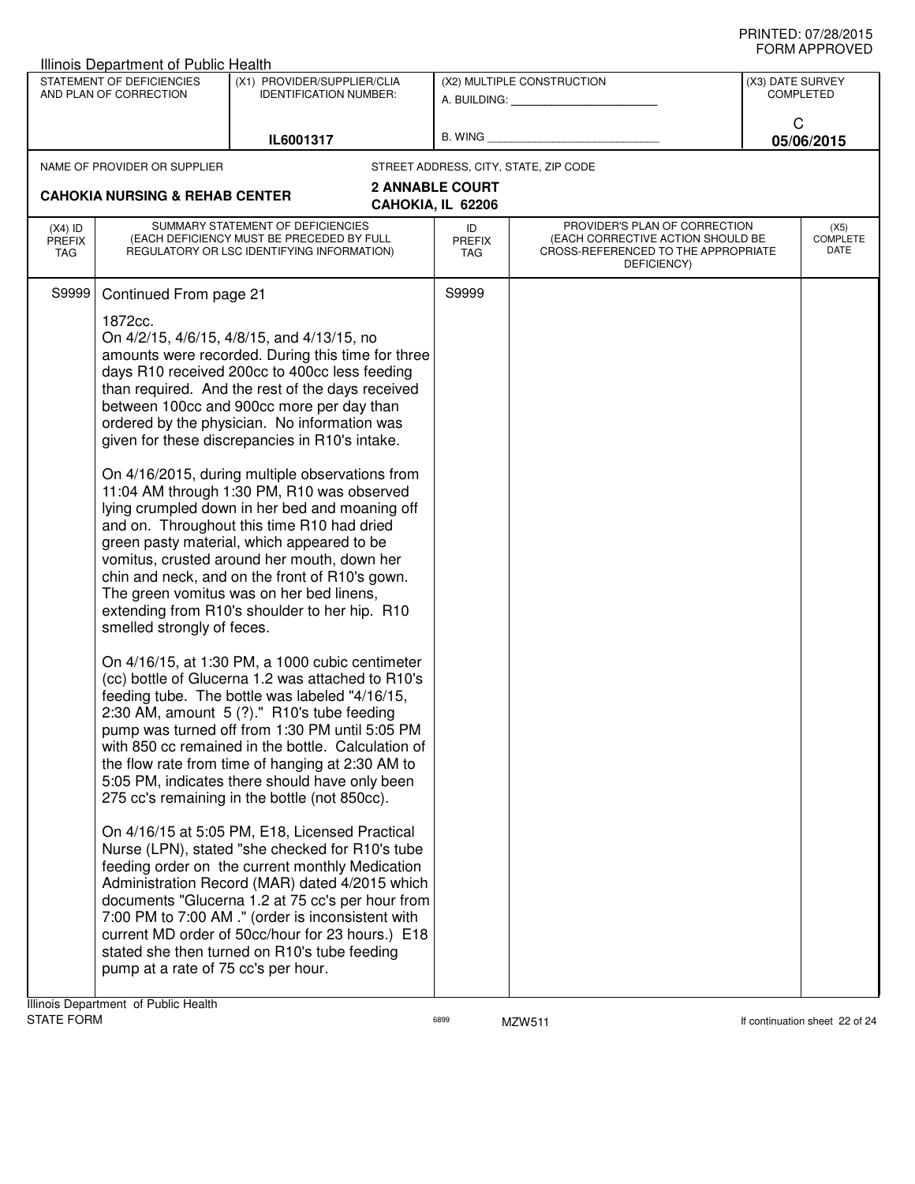| Illinois Department of Public Health                                                                                                                                                                                                                                                                                                                                                                                                                                                                                                                                                                                                                                                                                                                                                                                                                                                                                                                                                                                                                                                                                                                                                                                                                                                                                                                                                                                                                                                                                                                                                                                                                                                                                                                                                                                |                                                              |                                             |                                                                                                                          |                  |                                 |
|---------------------------------------------------------------------------------------------------------------------------------------------------------------------------------------------------------------------------------------------------------------------------------------------------------------------------------------------------------------------------------------------------------------------------------------------------------------------------------------------------------------------------------------------------------------------------------------------------------------------------------------------------------------------------------------------------------------------------------------------------------------------------------------------------------------------------------------------------------------------------------------------------------------------------------------------------------------------------------------------------------------------------------------------------------------------------------------------------------------------------------------------------------------------------------------------------------------------------------------------------------------------------------------------------------------------------------------------------------------------------------------------------------------------------------------------------------------------------------------------------------------------------------------------------------------------------------------------------------------------------------------------------------------------------------------------------------------------------------------------------------------------------------------------------------------------|--------------------------------------------------------------|---------------------------------------------|--------------------------------------------------------------------------------------------------------------------------|------------------|---------------------------------|
| STATEMENT OF DEFICIENCIES<br>AND PLAN OF CORRECTION                                                                                                                                                                                                                                                                                                                                                                                                                                                                                                                                                                                                                                                                                                                                                                                                                                                                                                                                                                                                                                                                                                                                                                                                                                                                                                                                                                                                                                                                                                                                                                                                                                                                                                                                                                 | (X1) PROVIDER/SUPPLIER/CLIA<br><b>IDENTIFICATION NUMBER:</b> |                                             | (X2) MULTIPLE CONSTRUCTION                                                                                               | (X3) DATE SURVEY | <b>COMPLETED</b>                |
| IL6001317                                                                                                                                                                                                                                                                                                                                                                                                                                                                                                                                                                                                                                                                                                                                                                                                                                                                                                                                                                                                                                                                                                                                                                                                                                                                                                                                                                                                                                                                                                                                                                                                                                                                                                                                                                                                           |                                                              |                                             | B. WING <b>Example 2008</b>                                                                                              | C                | 05/06/2015                      |
| NAME OF PROVIDER OR SUPPLIER                                                                                                                                                                                                                                                                                                                                                                                                                                                                                                                                                                                                                                                                                                                                                                                                                                                                                                                                                                                                                                                                                                                                                                                                                                                                                                                                                                                                                                                                                                                                                                                                                                                                                                                                                                                        |                                                              |                                             | STREET ADDRESS, CITY, STATE, ZIP CODE                                                                                    |                  |                                 |
| <b>CAHOKIA NURSING &amp; REHAB CENTER</b>                                                                                                                                                                                                                                                                                                                                                                                                                                                                                                                                                                                                                                                                                                                                                                                                                                                                                                                                                                                                                                                                                                                                                                                                                                                                                                                                                                                                                                                                                                                                                                                                                                                                                                                                                                           |                                                              | <b>2 ANNABLE COURT</b><br>CAHOKIA, IL 62206 |                                                                                                                          |                  |                                 |
| SUMMARY STATEMENT OF DEFICIENCIES<br>$(X4)$ ID<br>(EACH DEFICIENCY MUST BE PRECEDED BY FULL<br><b>PREFIX</b><br>REGULATORY OR LSC IDENTIFYING INFORMATION)<br>TAG                                                                                                                                                                                                                                                                                                                                                                                                                                                                                                                                                                                                                                                                                                                                                                                                                                                                                                                                                                                                                                                                                                                                                                                                                                                                                                                                                                                                                                                                                                                                                                                                                                                   |                                                              | ID<br><b>PREFIX</b><br>TAG                  | PROVIDER'S PLAN OF CORRECTION<br>(EACH CORRECTIVE ACTION SHOULD BE<br>CROSS-REFERENCED TO THE APPROPRIATE<br>DEFICIENCY) |                  | (X5)<br><b>COMPLETE</b><br>DATE |
| Continued From page 21<br>S9999<br>1872cc.<br>On 4/2/15, 4/6/15, 4/8/15, and 4/13/15, no<br>amounts were recorded. During this time for three<br>days R10 received 200cc to 400cc less feeding<br>than required. And the rest of the days received<br>between 100cc and 900cc more per day than<br>ordered by the physician. No information was<br>given for these discrepancies in R10's intake.<br>On 4/16/2015, during multiple observations from<br>11:04 AM through 1:30 PM, R10 was observed<br>lying crumpled down in her bed and moaning off<br>and on. Throughout this time R10 had dried<br>green pasty material, which appeared to be<br>vomitus, crusted around her mouth, down her<br>chin and neck, and on the front of R10's gown.<br>The green vomitus was on her bed linens,<br>extending from R10's shoulder to her hip. R10<br>smelled strongly of feces.<br>On 4/16/15, at 1:30 PM, a 1000 cubic centimeter<br>(cc) bottle of Glucerna 1.2 was attached to R10's<br>feeding tube. The bottle was labeled "4/16/15,<br>2:30 AM, amount $5$ (?)." R10's tube feeding<br>pump was turned off from 1:30 PM until 5:05 PM<br>with 850 cc remained in the bottle. Calculation of<br>the flow rate from time of hanging at 2:30 AM to<br>5:05 PM, indicates there should have only been<br>275 cc's remaining in the bottle (not 850cc).<br>On 4/16/15 at 5:05 PM, E18, Licensed Practical<br>Nurse (LPN), stated "she checked for R10's tube<br>feeding order on the current monthly Medication<br>Administration Record (MAR) dated 4/2015 which<br>documents "Glucerna 1.2 at 75 cc's per hour from<br>7:00 PM to 7:00 AM ." (order is inconsistent with<br>current MD order of 50cc/hour for 23 hours.) E18<br>stated she then turned on R10's tube feeding<br>pump at a rate of 75 cc's per hour. |                                                              | S9999                                       |                                                                                                                          |                  |                                 |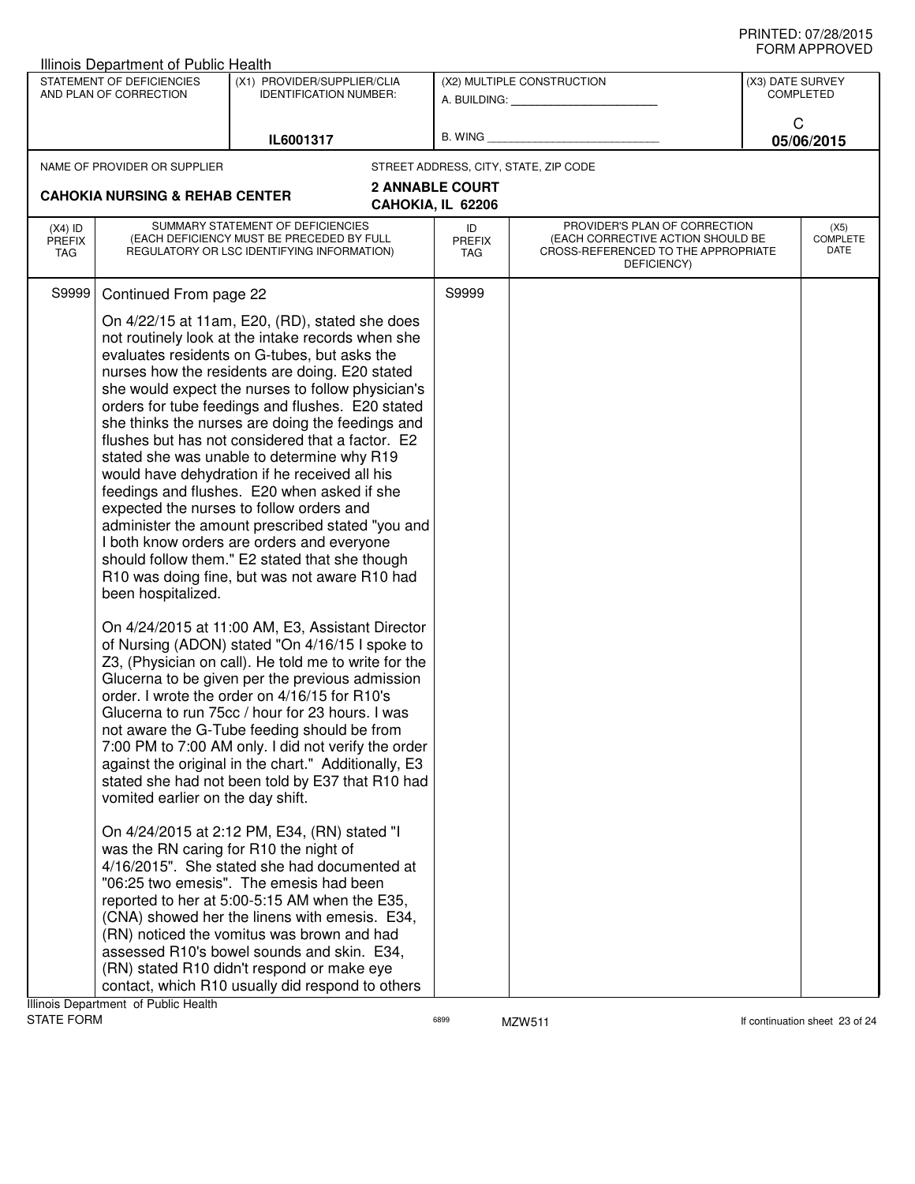|                                   | Illinois Department of Public Health                    |                                                                                                                                                                                                                                                                                                                                                                                                                                                                                                                                                                                                                                                                                                                                                                                                                                                                                                                                                                                                                                                                                                                                                                                                                                                                                                                                                                                                                                                                                                                                                                                                                                                                                                                                                                                                                                                    |                                             |                                                                                                                          |                  |                                 |
|-----------------------------------|---------------------------------------------------------|----------------------------------------------------------------------------------------------------------------------------------------------------------------------------------------------------------------------------------------------------------------------------------------------------------------------------------------------------------------------------------------------------------------------------------------------------------------------------------------------------------------------------------------------------------------------------------------------------------------------------------------------------------------------------------------------------------------------------------------------------------------------------------------------------------------------------------------------------------------------------------------------------------------------------------------------------------------------------------------------------------------------------------------------------------------------------------------------------------------------------------------------------------------------------------------------------------------------------------------------------------------------------------------------------------------------------------------------------------------------------------------------------------------------------------------------------------------------------------------------------------------------------------------------------------------------------------------------------------------------------------------------------------------------------------------------------------------------------------------------------------------------------------------------------------------------------------------------------|---------------------------------------------|--------------------------------------------------------------------------------------------------------------------------|------------------|---------------------------------|
|                                   | STATEMENT OF DEFICIENCIES<br>AND PLAN OF CORRECTION     | (X1) PROVIDER/SUPPLIER/CLIA<br><b>IDENTIFICATION NUMBER:</b>                                                                                                                                                                                                                                                                                                                                                                                                                                                                                                                                                                                                                                                                                                                                                                                                                                                                                                                                                                                                                                                                                                                                                                                                                                                                                                                                                                                                                                                                                                                                                                                                                                                                                                                                                                                       |                                             | (X2) MULTIPLE CONSTRUCTION<br>A. BUILDING: A. BUILDING:                                                                  | (X3) DATE SURVEY | <b>COMPLETED</b>                |
|                                   |                                                         | IL6001317                                                                                                                                                                                                                                                                                                                                                                                                                                                                                                                                                                                                                                                                                                                                                                                                                                                                                                                                                                                                                                                                                                                                                                                                                                                                                                                                                                                                                                                                                                                                                                                                                                                                                                                                                                                                                                          | B. WING                                     |                                                                                                                          | C                | 05/06/2015                      |
|                                   | NAME OF PROVIDER OR SUPPLIER                            |                                                                                                                                                                                                                                                                                                                                                                                                                                                                                                                                                                                                                                                                                                                                                                                                                                                                                                                                                                                                                                                                                                                                                                                                                                                                                                                                                                                                                                                                                                                                                                                                                                                                                                                                                                                                                                                    |                                             | STREET ADDRESS, CITY, STATE, ZIP CODE                                                                                    |                  |                                 |
|                                   | <b>CAHOKIA NURSING &amp; REHAB CENTER</b>               |                                                                                                                                                                                                                                                                                                                                                                                                                                                                                                                                                                                                                                                                                                                                                                                                                                                                                                                                                                                                                                                                                                                                                                                                                                                                                                                                                                                                                                                                                                                                                                                                                                                                                                                                                                                                                                                    | <b>2 ANNABLE COURT</b><br>CAHOKIA, IL 62206 |                                                                                                                          |                  |                                 |
| $(X4)$ ID<br><b>PREFIX</b><br>TAG |                                                         | SUMMARY STATEMENT OF DEFICIENCIES<br>(EACH DEFICIENCY MUST BE PRECEDED BY FULL<br>REGULATORY OR LSC IDENTIFYING INFORMATION)                                                                                                                                                                                                                                                                                                                                                                                                                                                                                                                                                                                                                                                                                                                                                                                                                                                                                                                                                                                                                                                                                                                                                                                                                                                                                                                                                                                                                                                                                                                                                                                                                                                                                                                       | ID<br><b>PREFIX</b><br><b>TAG</b>           | PROVIDER'S PLAN OF CORRECTION<br>(EACH CORRECTIVE ACTION SHOULD BE<br>CROSS-REFERENCED TO THE APPROPRIATE<br>DEFICIENCY) |                  | (X5)<br><b>COMPLETE</b><br>DATE |
| S9999                             | Continued From page 22                                  |                                                                                                                                                                                                                                                                                                                                                                                                                                                                                                                                                                                                                                                                                                                                                                                                                                                                                                                                                                                                                                                                                                                                                                                                                                                                                                                                                                                                                                                                                                                                                                                                                                                                                                                                                                                                                                                    | S9999                                       |                                                                                                                          |                  |                                 |
|                                   | been hospitalized.<br>vomited earlier on the day shift. | On 4/22/15 at 11am, E20, (RD), stated she does<br>not routinely look at the intake records when she<br>evaluates residents on G-tubes, but asks the<br>nurses how the residents are doing. E20 stated<br>she would expect the nurses to follow physician's<br>orders for tube feedings and flushes. E20 stated<br>she thinks the nurses are doing the feedings and<br>flushes but has not considered that a factor. E2<br>stated she was unable to determine why R19<br>would have dehydration if he received all his<br>feedings and flushes. E20 when asked if she<br>expected the nurses to follow orders and<br>administer the amount prescribed stated "you and<br>I both know orders are orders and everyone<br>should follow them." E2 stated that she though<br>R10 was doing fine, but was not aware R10 had<br>On 4/24/2015 at 11:00 AM, E3, Assistant Director<br>of Nursing (ADON) stated "On 4/16/15 I spoke to<br>Z3, (Physician on call). He told me to write for the<br>Glucerna to be given per the previous admission<br>order. I wrote the order on 4/16/15 for R10's<br>Glucerna to run 75cc / hour for 23 hours. I was<br>not aware the G-Tube feeding should be from<br>7:00 PM to 7:00 AM only. I did not verify the order<br>against the original in the chart." Additionally, E3<br>stated she had not been told by E37 that R10 had<br>On 4/24/2015 at 2:12 PM, E34, (RN) stated "I<br>was the RN caring for R10 the night of<br>4/16/2015". She stated she had documented at<br>"06:25 two emesis". The emesis had been<br>reported to her at 5:00-5:15 AM when the E35,<br>(CNA) showed her the linens with emesis. E34,<br>(RN) noticed the vomitus was brown and had<br>assessed R10's bowel sounds and skin. E34,<br>(RN) stated R10 didn't respond or make eye<br>contact, which R10 usually did respond to others |                                             |                                                                                                                          |                  |                                 |